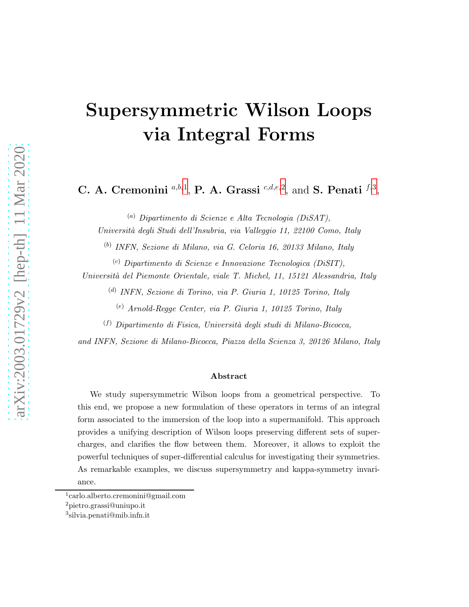# Supersymmetric Wilson Loops via Integral Forms

C. A. Cremonini<sup>a,b,[1](#page-0-0)</sup>, P. A. Grassi<sup>c,d,e,[2](#page-0-1)</sup>, and S. Penati<sup>f,[3](#page-0-2)</sup>,

(a) Dipartimento di Scienze e Alta Tecnologia (DiSAT), Universit`a degli Studi dell'Insubria, via Valleggio 11, 22100 Como, Italy

(b) INFN, Sezione di Milano, via G. Celoria 16, 20133 Milano, Italy

(c) Dipartimento di Scienze e Innovazione Tecnologica (DiSIT), Università del Piemonte Orientale, viale T. Michel, 11, 15121 Alessandria, Italy

(d) INFN, Sezione di Torino, via P. Giuria 1, 10125 Torino, Italy

(e) Arnold-Regge Center, via P. Giuria 1, 10125 Torino, Italy

 $(f)$  Dipartimento di Fisica, Università degli studi di Milano-Bicocca,

and INFN, Sezione di Milano-Bicocca, Piazza della Scienza 3, 20126 Milano, Italy

#### Abstract

We study supersymmetric Wilson loops from a geometrical perspective. To this end, we propose a new formulation of these operators in terms of an integral form associated to the immersion of the loop into a supermanifold. This approach provides a unifying description of Wilson loops preserving different sets of supercharges, and clarifies the flow between them. Moreover, it allows to exploit the powerful techniques of super-differential calculus for investigating their symmetries. As remarkable examples, we discuss supersymmetry and kappa-symmetry invariance.

<sup>1</sup> carlo.alberto.cremonini@gmail.com

<span id="page-0-0"></span><sup>2</sup>pietro.grassi@uniupo.it

<span id="page-0-2"></span><span id="page-0-1"></span><sup>3</sup> silvia.penati@mib.infn.it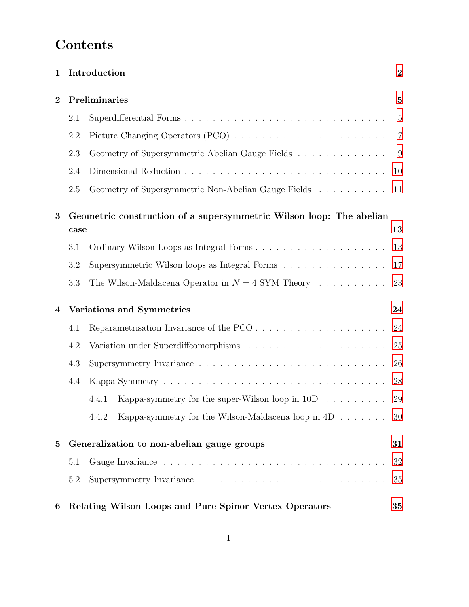## Contents

| 1              |                                                                     | Introduction                                                                | $\overline{2}$ |  |
|----------------|---------------------------------------------------------------------|-----------------------------------------------------------------------------|----------------|--|
| $\overline{2}$ |                                                                     | Preliminaries                                                               | $\mathbf{5}$   |  |
|                | 2.1                                                                 |                                                                             | $\overline{5}$ |  |
|                | 2.2                                                                 |                                                                             | $\overline{7}$ |  |
|                | 2.3                                                                 | Geometry of Supersymmetric Abelian Gauge Fields                             | 9              |  |
|                | 2.4                                                                 |                                                                             | 10             |  |
|                | 2.5                                                                 | Geometry of Supersymmetric Non-Abelian Gauge Fields                         | 11             |  |
| 3              | Geometric construction of a supersymmetric Wilson loop: The abelian |                                                                             |                |  |
|                | case                                                                |                                                                             | 13             |  |
|                | 3.1                                                                 |                                                                             | 13             |  |
|                | 3.2                                                                 | Supersymmetric Wilson loops as Integral Forms                               | 17             |  |
|                | 3.3                                                                 | The Wilson-Maldacena Operator in $N = 4$ SYM Theory                         | 23             |  |
| 4              |                                                                     | Variations and Symmetries                                                   | 24             |  |
|                | 4.1                                                                 |                                                                             | 24             |  |
|                | 4.2                                                                 |                                                                             | 25             |  |
|                | 4.3                                                                 |                                                                             | 26             |  |
|                | 4.4                                                                 |                                                                             | 28             |  |
|                |                                                                     | Kappa-symmetry for the super-Wilson loop in 10D<br>4.4.1                    | 29             |  |
|                |                                                                     | Kappa-symmetry for the Wilson-Maldacena loop in $4D \ldots \ldots$<br>4.4.2 | 30             |  |
| $\bf{5}$       | Generalization to non-abelian gauge groups<br>31                    |                                                                             |                |  |
|                | 5.1                                                                 |                                                                             | 32             |  |
|                | 5.2                                                                 |                                                                             | 35             |  |
| 6              |                                                                     | Relating Wilson Loops and Pure Spinor Vertex Operators                      | 35             |  |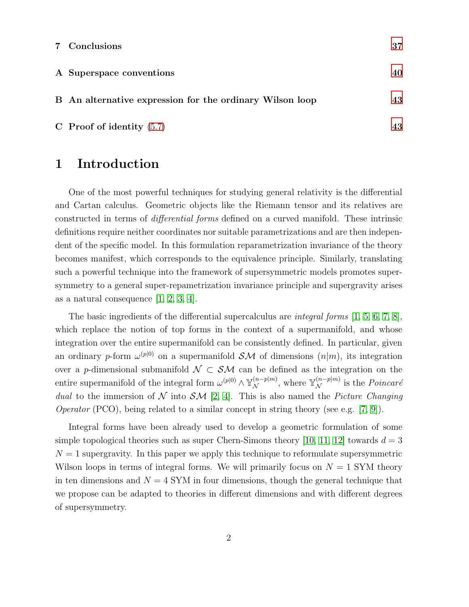| 7 Conclusions                                            | 37 |
|----------------------------------------------------------|----|
| A Superspace conventions                                 | 40 |
| B An alternative expression for the ordinary Wilson loop | 43 |
|                                                          |    |

<span id="page-2-0"></span> $C$  Proof of identity  $(5.7)$  [43](#page-43-1)

## 1 Introduction

One of the most powerful techniques for studying general relativity is the differential and Cartan calculus. Geometric objects like the Riemann tensor and its relatives are constructed in terms of differential forms defined on a curved manifold. These intrinsic definitions require neither coordinates nor suitable parametrizations and are then independent of the specific model. In this formulation reparametrization invariance of the theory becomes manifest, which corresponds to the equivalence principle. Similarly, translating such a powerful technique into the framework of supersymmetric models promotes supersymmetry to a general super-repametrization invariance principle and supergravity arises as a natural consequence [\[1,](#page-47-0) [2,](#page-47-1) [3,](#page-47-2) [4\]](#page-47-3).

The basic ingredients of the differential supercalculus are *integral forms* [\[1,](#page-47-0) [5,](#page-47-4) [6,](#page-47-5) [7,](#page-47-6) [8\]](#page-47-7), which replace the notion of top forms in the context of a supermanifold, and whose integration over the entire supermanifold can be consistently defined. In particular, given an ordinary p-form  $\omega^{(p|0)}$  on a supermanifold  $\mathcal{SM}$  of dimensions  $(n|m)$ , its integration over a p-dimensional submanifold  $\mathcal{N} \subset \mathcal{SM}$  can be defined as the integration on the entire supermanifold of the integral form  $\omega^{(p|0)} \wedge \mathbb{Y}_{\mathcal{N}}^{(n-p|m)}$ , where  $\mathbb{Y}_{\mathcal{N}}^{(n-p|m)}$  is the *Poincaré* dual to the immersion of N into  $\mathcal{SM}$  [\[2,](#page-47-1) [4\]](#page-47-3). This is also named the *Picture Changing Operator* (PCO), being related to a similar concept in string theory (see e.g. [\[7,](#page-47-6) [9\]](#page-47-8)).

Integral forms have been already used to develop a geometric formulation of some simple topological theories such as super Chern-Simons theory [\[10,](#page-47-9) [11,](#page-47-10) [12\]](#page-47-11) towards  $d = 3$  $N = 1$  supergravity. In this paper we apply this technique to reformulate supersymmetric Wilson loops in terms of integral forms. We will primarily focus on  $N = 1$  SYM theory in ten dimensions and  $N = 4$  SYM in four dimensions, though the general technique that we propose can be adapted to theories in different dimensions and with different degrees of supersymmetry.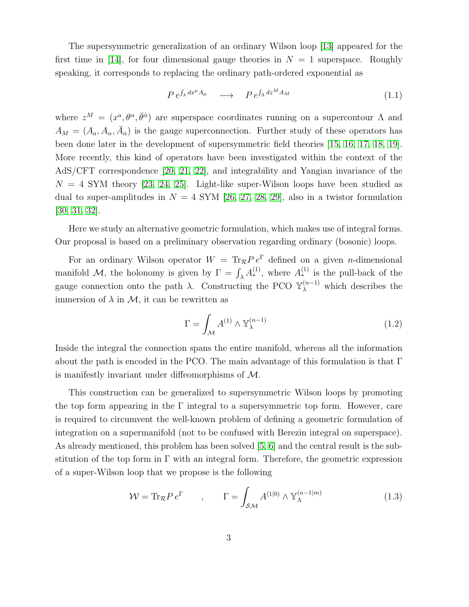The supersymmetric generalization of an ordinary Wilson loop [\[13\]](#page-48-0) appeared for the first time in [\[14\]](#page-48-1), for four dimensional gauge theories in  $N = 1$  superspace. Roughly speaking, it corresponds to replacing the ordinary path-ordered exponential as

$$
P e^{\int_{\lambda} dx^{\mu} A_{\mu}} \longrightarrow P e^{\int_{\Lambda} dz^{M} A_{M}}
$$
\n(1.1)

where  $z^M = (x^a, \theta^\alpha, \bar{\theta}^{\dot{\alpha}})$  are superspace coordinates running on a supercontour  $\Lambda$  and  $A_M = (A_\alpha, A_\alpha, \overline{A}_\alpha)$  is the gauge superconnection. Further study of these operators has been done later in the development of supersymmetric field theories [\[15,](#page-48-2) [16,](#page-48-3) [17,](#page-48-4) [18,](#page-48-5) [19\]](#page-48-6). More recently, this kind of operators have been investigated within the context of the AdS/CFT correspondence [\[20,](#page-48-7) [21,](#page-48-8) [22\]](#page-48-9), and integrability and Yangian invariance of the  $N = 4$  SYM theory [\[23,](#page-48-10) [24,](#page-48-11) [25\]](#page-49-0). Light-like super-Wilson loops have been studied as dual to super-amplitudes in  $N = 4$  SYM [\[26,](#page-49-1) [27,](#page-49-2) [28,](#page-49-3) [29\]](#page-49-4), also in a twistor formulation [\[30,](#page-49-5) [31,](#page-49-6) [32\]](#page-49-7).

Here we study an alternative geometric formulation, which makes use of integral forms. Our proposal is based on a preliminary observation regarding ordinary (bosonic) loops.

For an ordinary Wilson operator  $W = Tr_{\mathcal{R}} P e^{\Gamma}$  defined on a given *n*-dimensional manifold M, the holonomy is given by  $\Gamma = \int_{\lambda} A_*^{(1)}$ , where  $A_*^{(1)}$  is the pull-back of the gauge connection onto the path  $\lambda$ . Constructing the PCO  $\mathbb{Y}_{\lambda}^{(n-1)}$  which describes the immersion of  $\lambda$  in  $\mathcal{M}$ , it can be rewritten as

$$
\Gamma = \int_{\mathcal{M}} A^{(1)} \wedge \mathbb{Y}_{\lambda}^{(n-1)} \tag{1.2}
$$

Inside the integral the connection spans the entire manifold, whereas all the information about the path is encoded in the PCO. The main advantage of this formulation is that  $\Gamma$ is manifestly invariant under diffeomorphisms of M.

This construction can be generalized to supersymmetric Wilson loops by promoting the top form appearing in the  $\Gamma$  integral to a supersymmetric top form. However, care is required to circumvent the well-known problem of defining a geometric formulation of integration on a supermanifold (not to be confused with Berezin integral on superspace). As already mentioned, this problem has been solved [\[5,](#page-47-4) [6\]](#page-47-5) and the central result is the substitution of the top form in  $\Gamma$  with an integral form. Therefore, the geometric expression of a super-Wilson loop that we propose is the following

$$
\mathcal{W} = \text{Tr}_{\mathcal{R}} P e^{\Gamma} \qquad , \qquad \Gamma = \int_{\mathcal{SM}} A^{(1|0)} \wedge \mathbb{Y}_{\Lambda}^{(n-1|m)} \tag{1.3}
$$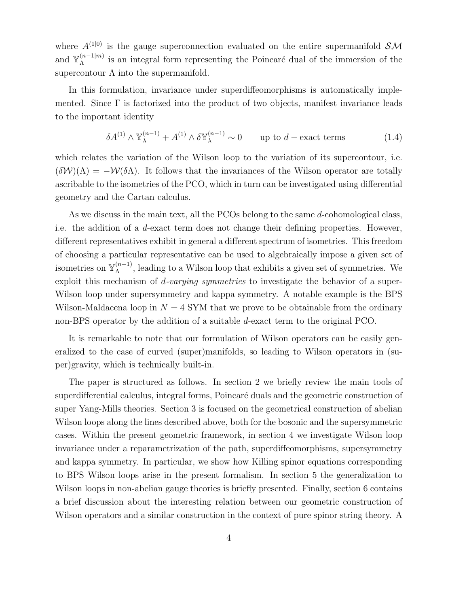where  $A^{(1|0)}$  is the gauge superconnection evaluated on the entire supermanifold  $\mathcal{SM}$ and  $\mathbb{Y}_{\Lambda}^{(n-1|m)}$  $\Lambda^{(n-1|m)}$  is an integral form representing the Poincaré dual of the immersion of the supercontour  $\Lambda$  into the supermanifold.

In this formulation, invariance under superdiffeomorphisms is automatically implemented. Since  $\Gamma$  is factorized into the product of two objects, manifest invariance leads to the important identity

$$
\delta A^{(1)} \wedge \mathbb{Y}_{\lambda}^{(n-1)} + A^{(1)} \wedge \delta \mathbb{Y}_{\lambda}^{(n-1)} \sim 0 \qquad \text{up to } d-\text{exact terms} \tag{1.4}
$$

which relates the variation of the Wilson loop to the variation of its supercontour, i.e.  $(\delta W)(\Lambda) = -W(\delta\Lambda)$ . It follows that the invariances of the Wilson operator are totally ascribable to the isometries of the PCO, which in turn can be investigated using differential geometry and the Cartan calculus.

As we discuss in the main text, all the PCOs belong to the same d-cohomological class, i.e. the addition of a d-exact term does not change their defining properties. However, different representatives exhibit in general a different spectrum of isometries. This freedom of choosing a particular representative can be used to algebraically impose a given set of isometries on  $\mathbb{Y}_{\Lambda}^{(n-1)}$  $\Lambda^{(n-1)}$ , leading to a Wilson loop that exhibits a given set of symmetries. We exploit this mechanism of *d-varying symmetries* to investigate the behavior of a super-Wilson loop under supersymmetry and kappa symmetry. A notable example is the BPS Wilson-Maldacena loop in  $N = 4$  SYM that we prove to be obtainable from the ordinary non-BPS operator by the addition of a suitable d-exact term to the original PCO.

It is remarkable to note that our formulation of Wilson operators can be easily generalized to the case of curved (super)manifolds, so leading to Wilson operators in (super)gravity, which is technically built-in.

The paper is structured as follows. In section 2 we briefly review the main tools of superdifferential calculus, integral forms, Poincaré duals and the geometric construction of super Yang-Mills theories. Section 3 is focused on the geometrical construction of abelian Wilson loops along the lines described above, both for the bosonic and the supersymmetric cases. Within the present geometric framework, in section 4 we investigate Wilson loop invariance under a reparametrization of the path, superdiffeomorphisms, supersymmetry and kappa symmetry. In particular, we show how Killing spinor equations corresponding to BPS Wilson loops arise in the present formalism. In section 5 the generalization to Wilson loops in non-abelian gauge theories is briefly presented. Finally, section 6 contains a brief discussion about the interesting relation between our geometric construction of Wilson operators and a similar construction in the context of pure spinor string theory. A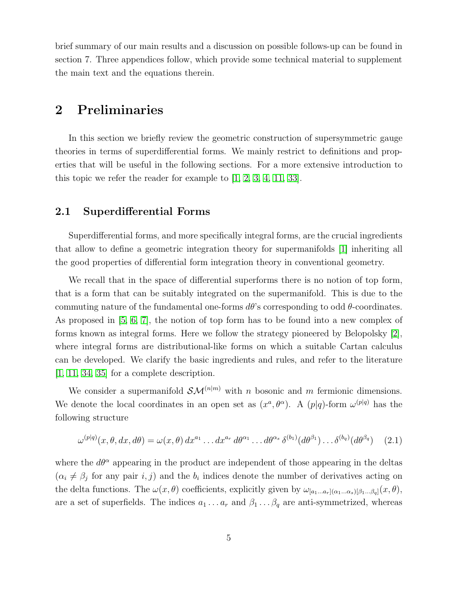brief summary of our main results and a discussion on possible follows-up can be found in section 7. Three appendices follow, which provide some technical material to supplement the main text and the equations therein.

## <span id="page-5-0"></span>2 Preliminaries

In this section we briefly review the geometric construction of supersymmetric gauge theories in terms of superdifferential forms. We mainly restrict to definitions and properties that will be useful in the following sections. For a more extensive introduction to this topic we refer the reader for example to [\[1,](#page-47-0) [2,](#page-47-1) [3,](#page-47-2) [4,](#page-47-3) [11,](#page-47-10) [33\]](#page-49-8).

#### <span id="page-5-1"></span>2.1 Superdifferential Forms

Superdifferential forms, and more specifically integral forms, are the crucial ingredients that allow to define a geometric integration theory for supermanifolds [\[1\]](#page-47-0) inheriting all the good properties of differential form integration theory in conventional geometry.

We recall that in the space of differential superforms there is no notion of top form, that is a form that can be suitably integrated on the supermanifold. This is due to the commuting nature of the fundamental one-forms  $d\theta$ 's corresponding to odd  $\theta$ -coordinates. As proposed in [\[5,](#page-47-4) [6,](#page-47-5) [7\]](#page-47-6), the notion of top form has to be found into a new complex of forms known as integral forms. Here we follow the strategy pioneered by Belopolsky [\[2\]](#page-47-1), where integral forms are distributional-like forms on which a suitable Cartan calculus can be developed. We clarify the basic ingredients and rules, and refer to the literature [\[1,](#page-47-0) [11,](#page-47-10) [34,](#page-49-9) [35\]](#page-50-0) for a complete description.

We consider a supermanifold  $\mathcal{SM}^{(n|m)}$  with n bosonic and m fermionic dimensions. We denote the local coordinates in an open set as  $(x^a, \theta^{\alpha})$ . A  $(p|q)$ -form  $\omega^{(p|q)}$  has the following structure

<span id="page-5-2"></span>
$$
\omega^{(p|q)}(x,\theta,dx,d\theta) = \omega(x,\theta) dx^{a_1} \dots dx^{a_r} d\theta^{\alpha_1} \dots d\theta^{\alpha_s} \delta^{(b_1)}(d\theta^{\beta_1}) \dots \delta^{(b_q)}(d\theta^{\beta_q}) \tag{2.1}
$$

where the  $d\theta^{\alpha}$  appearing in the product are independent of those appearing in the deltas  $(\alpha_i \neq \beta_j$  for any pair  $i, j$  and the  $b_i$  indices denote the number of derivatives acting on the delta functions. The  $\omega(x, \theta)$  coefficients, explicitly given by  $\omega_{[a_1...a_r](\alpha_1...\alpha_s)[\beta_1...\beta_q]}(x, \theta)$ , are a set of superfields. The indices  $a_1 \ldots a_r$  and  $\beta_1 \ldots \beta_q$  are anti-symmetrized, whereas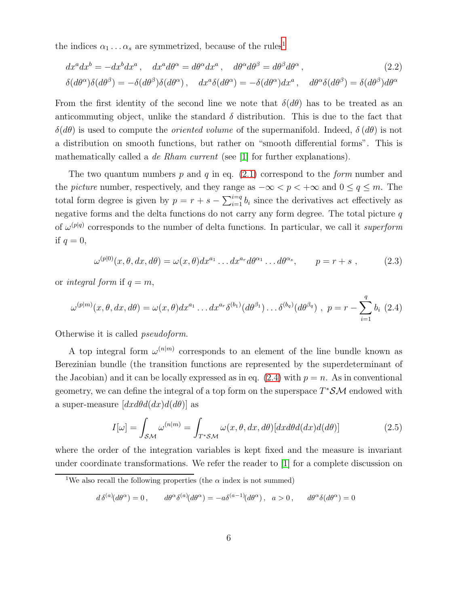the indices  $\alpha_1 \dots \alpha_s$  $\alpha_1 \dots \alpha_s$  $\alpha_1 \dots \alpha_s$  are symmetrized, because of the rules<sup>1</sup>

$$
dx^{a}dx^{b} = -dx^{b}dx^{a}, \quad dx^{a}d\theta^{\alpha} = d\theta^{\alpha}dx^{a}, \quad d\theta^{\alpha}d\theta^{\beta} = d\theta^{\beta}d\theta^{\alpha}, \tag{2.2}
$$

$$
\delta(d\theta^{\alpha})\delta(d\theta^{\beta}) = -\delta(d\theta^{\beta})\delta(d\theta^{\alpha}), \quad dx^{a}\delta(d\theta^{\alpha}) = -\delta(d\theta^{\alpha})dx^{a}, \quad d\theta^{\alpha}\delta(d\theta^{\beta}) = \delta(d\theta^{\beta})d\theta^{\alpha}
$$

From the first identity of the second line we note that  $\delta(d\theta)$  has to be treated as an anticommuting object, unlike the standard  $\delta$  distribution. This is due to the fact that  $\delta(d\theta)$  is used to compute the *oriented volume* of the supermanifold. Indeed,  $\delta(d\theta)$  is not a distribution on smooth functions, but rather on "smooth differential forms". This is mathematically called a *de Rham current* (see [\[1\]](#page-47-0) for further explanations).

The two quantum numbers p and q in eq.  $(2.1)$  correspond to the form number and the *picture* number, respectively, and they range as  $-\infty < p < +\infty$  and  $0 \le q \le m$ . The total form degree is given by  $p = r + s - \sum_{i=1}^{i=q} b_i$  since the derivatives act effectively as negative forms and the delta functions do not carry any form degree. The total picture  $q$ of  $\omega^{(p|q)}$  corresponds to the number of delta functions. In particular, we call it superform if  $q = 0$ ,

$$
\omega^{(p|0)}(x,\theta,dx,d\theta) = \omega(x,\theta)dx^{a_1}\dots dx^{a_r}d\theta^{a_1}\dots d\theta^{a_s}, \qquad p = r + s \,, \tag{2.3}
$$

or *integral form* if  $q = m$ ,

<span id="page-6-1"></span>
$$
\omega^{(p|m)}(x,\theta,dx,d\theta) = \omega(x,\theta)dx^{a_1}\dots dx^{a_r}\delta^{(b_1)}(d\theta^{\beta_1})\dots\delta^{(b_q)}(d\theta^{\beta_q})\ ,\ p = r - \sum_{i=1}^q b_i\ (2.4)
$$

Otherwise it is called pseudoform.

A top integral form  $\omega^{(n|m)}$  corresponds to an element of the line bundle known as Berezinian bundle (the transition functions are represented by the superdeterminant of the Jacobian) and it can be locally expressed as in eq.  $(2.4)$  with  $p = n$ . As in conventional geometry, we can define the integral of a top form on the superspace  $T^*S\mathcal{M}$  endowed with a super-measure  $[dx d\theta d(dx)d(d\theta)]$  as

<span id="page-6-2"></span>
$$
I[\omega] = \int_{\mathcal{SM}} \omega^{(n|m)} = \int_{T^* \mathcal{SM}} \omega(x, \theta, dx, d\theta) [dx d\theta d(dx) d(d\theta)] \tag{2.5}
$$

where the order of the integration variables is kept fixed and the measure is invariant under coordinate transformations. We refer the reader to [\[1\]](#page-47-0) for a complete discussion on

$$
d\,\delta^{(a)}\!(d\theta^\alpha) = 0\,,\qquad d\theta^\alpha\delta^{(a)}\!(d\theta^\alpha) = -a\delta^{(a-1)}\!(d\theta^\alpha)\,,\quad a > 0\,,\qquad d\theta^\alpha\delta(d\theta^\alpha) = 0
$$

<span id="page-6-0"></span><sup>&</sup>lt;sup>1</sup>We also recall the following properties (the  $\alpha$  index is not summed)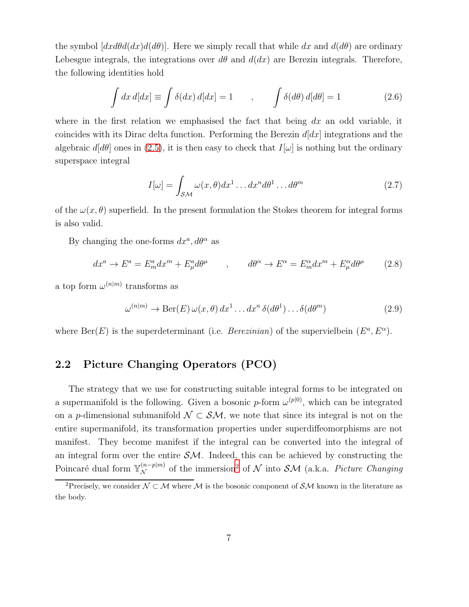the symbol  $[dx d\theta d(dx)d(d\theta)]$ . Here we simply recall that while dx and  $d(d\theta)$  are ordinary Lebesgue integrals, the integrations over  $d\theta$  and  $d(dx)$  are Berezin integrals. Therefore, the following identities hold

$$
\int dx d[dx] \equiv \int \delta(dx) d[dx] = 1 \qquad , \qquad \int \delta(d\theta) d[d\theta] = 1 \qquad (2.6)
$$

where in the first relation we emphasised the fact that being  $dx$  an odd variable, it coincides with its Dirac delta function. Performing the Berezin  $d/dx$  integrations and the algebraic  $d[d\theta]$  ones in [\(2.5\)](#page-6-2), it is then easy to check that  $I[\omega]$  is nothing but the ordinary superspace integral

<span id="page-7-2"></span>
$$
I[\omega] = \int_{\mathcal{SM}} \omega(x,\theta) dx^{1} \dots dx^{n} d\theta^{1} \dots d\theta^{m}
$$
 (2.7)

of the  $\omega(x, \theta)$  superfield. In the present formulation the Stokes theorem for integral forms is also valid.

By changing the one-forms  $dx^a$ ,  $d\theta^{\alpha}$  as

$$
dx^{a} \to E^{a} = E_{m}^{a} dx^{m} + E_{\mu}^{a} d\theta^{\mu} \qquad , \qquad d\theta^{\alpha} \to E^{\alpha} = E_{m}^{\alpha} dx^{m} + E_{\mu}^{\alpha} d\theta^{\mu} \qquad (2.8)
$$

a top form  $\omega^{(n|m)}$  transforms as

$$
\omega^{(n|m)} \to \text{Ber}(E) \,\omega(x,\theta) \,dx^1 \dots dx^n \,\delta(d\theta^1) \dots \delta(d\theta^m) \tag{2.9}
$$

<span id="page-7-0"></span>where Ber(E) is the superdeterminant (i.e. Berezinian) of the supervielbein  $(E^a, E^{\alpha})$ .

### 2.2 Picture Changing Operators (PCO)

The strategy that we use for constructing suitable integral forms to be integrated on a supermanifold is the following. Given a bosonic p-form  $\omega^{(p|0)}$ , which can be integrated on a p-dimensional submanifold  $\mathcal{N} \subset \mathcal{SM}$ , we note that since its integral is not on the entire supermanifold, its transformation properties under superdiffeomorphisms are not manifest. They become manifest if the integral can be converted into the integral of an integral form over the entire  $\mathcal{SM}$ . Indeed, this can be achieved by constructing the Poincaré dual form  $\mathbb{Y}_{\mathcal{N}}^{(n-p|m)}$  of the immersion<sup>[2](#page-7-1)</sup> of  $\mathcal N$  into  $\mathcal{SM}$  (a.k.a. *Picture Changing* 

<span id="page-7-1"></span><sup>&</sup>lt;sup>2</sup>Precisely, we consider  $\mathcal{N} \subset \mathcal{M}$  where  $\mathcal{M}$  is the bosonic component of SM known in the literature as the body.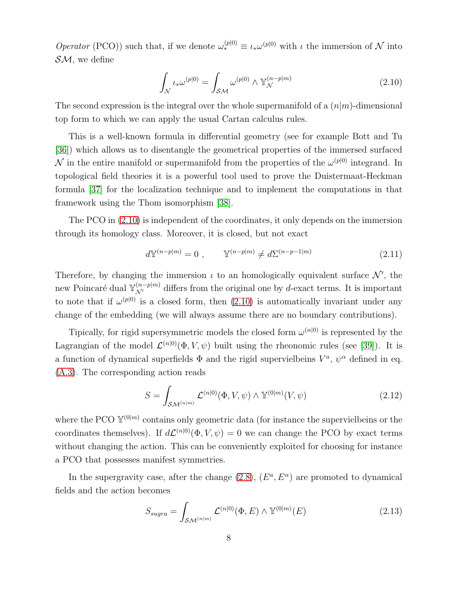Operator (PCO)) such that, if we denote  $\omega_*^{(p|0)} \equiv \iota_* \omega^{(p|0)}$  with  $\iota$  the immersion of N into  $S\mathcal{M}$ , we define

<span id="page-8-0"></span>
$$
\int_{\mathcal{N}} \iota_* \omega^{(p|0)} = \int_{\mathcal{SM}} \omega^{(p|0)} \wedge \mathbb{Y}_{\mathcal{N}}^{(n-p|m)} \tag{2.10}
$$

The second expression is the integral over the whole supermanifold of a  $(n|m)$ -dimensional top form to which we can apply the usual Cartan calculus rules.

This is a well-known formula in differential geometry (see for example Bott and Tu [\[36\]](#page-50-1)) which allows us to disentangle the geometrical properties of the immersed surfaced N in the entire manifold or supermanifold from the properties of the  $\omega^{(p|0)}$  integrand. In topological field theories it is a powerful tool used to prove the Duistermaat-Heckman formula [\[37\]](#page-50-2) for the localization technique and to implement the computations in that framework using the Thom isomorphism [\[38\]](#page-50-3).

The PCO in [\(2.10\)](#page-8-0) is independent of the coordinates, it only depends on the immersion through its homology class. Moreover, it is closed, but not exact

$$
d\mathbb{Y}^{(n-p|m)} = 0 , \qquad \mathbb{Y}^{(n-p|m)} \neq d\Sigma^{(n-p-1|m)} \tag{2.11}
$$

Therefore, by changing the immersion  $\iota$  to an homologically equivalent surface  $\mathcal{N}'$ , the new Poincaré dual  $\mathbb{Y}_{\mathcal{N}'}^{(n-p|m)}$  differs from the original one by d-exact terms. It is important to note that if  $\omega^{(p|0)}$  is a closed form, then  $(2.10)$  is automatically invariant under any change of the embedding (we will always assume there are no boundary contributions).

Tipically, for rigid supersymmetric models the closed form  $\omega^{(n|0)}$  is represented by the Lagrangian of the model  $\mathcal{L}^{(n|0)}(\Phi, V, \psi)$  built using the rheonomic rules (see [\[39\]](#page-50-4)). It is a function of dynamical superfields  $\Phi$  and the rigid supervielbeins  $V^a$ ,  $\psi^\alpha$  defined in eq. [\(A.3\)](#page-40-1). The corresponding action reads

$$
S = \int_{\mathcal{SM}^{(n|m)}} \mathcal{L}^{(n|0)}(\Phi, V, \psi) \wedge \mathbb{Y}^{(0|m)}(V, \psi)
$$
 (2.12)

where the PCO  $\mathbb{Y}^{(0|m)}$  contains only geometric data (for instance the supervielbeins or the coordinates themselves). If  $d\mathcal{L}^{(n|0)}(\Phi, V, \psi) = 0$  we can change the PCO by exact terms without changing the action. This can be conveniently exploited for choosing for instance a PCO that possesses manifest symmetries.

In the supergravity case, after the change  $(2.8)$ ,  $(E^a, E^{\alpha})$  are promoted to dynamical fields and the action becomes

$$
S_{sugra} = \int_{\mathcal{SM}^{(n|m)}} \mathcal{L}^{(n|0)}(\Phi, E) \wedge \mathbb{Y}^{(0|m)}(E) \tag{2.13}
$$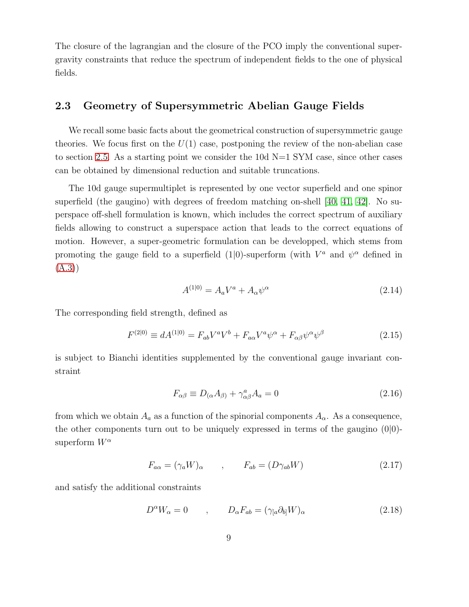The closure of the lagrangian and the closure of the PCO imply the conventional supergravity constraints that reduce the spectrum of independent fields to the one of physical fields.

#### <span id="page-9-0"></span>2.3 Geometry of Supersymmetric Abelian Gauge Fields

We recall some basic facts about the geometrical construction of supersymmetric gauge theories. We focus first on the  $U(1)$  case, postponing the review of the non-abelian case to section [2.5.](#page-11-0) As a starting point we consider the 10d  $N=1$  SYM case, since other cases can be obtained by dimensional reduction and suitable truncations.

The 10d gauge supermultiplet is represented by one vector superfield and one spinor superfield (the gaugino) with degrees of freedom matching on-shell [\[40,](#page-50-5) [41,](#page-50-6) [42\]](#page-50-7). No superspace off-shell formulation is known, which includes the correct spectrum of auxiliary fields allowing to construct a superspace action that leads to the correct equations of motion. However, a super-geometric formulation can be developped, which stems from promoting the gauge field to a superfield (1|0)-superform (with  $V^a$  and  $\psi^{\alpha}$  defined in [\(A.3\)](#page-40-1))

<span id="page-9-1"></span>
$$
A^{(1|0)} = A_a V^a + A_\alpha \psi^\alpha \tag{2.14}
$$

The corresponding field strength, defined as

$$
F^{(2|0)} \equiv dA^{(1|0)} = F_{ab}V^aV^b + F_{a\alpha}V^a\psi^\alpha + F_{\alpha\beta}\psi^\alpha\psi^\beta \tag{2.15}
$$

is subject to Bianchi identities supplemented by the conventional gauge invariant constraint

$$
F_{\alpha\beta} \equiv D_{(\alpha}A_{\beta)} + \gamma_{\alpha\beta}^a A_a = 0 \tag{2.16}
$$

from which we obtain  $A_a$  as a function of the spinorial components  $A_\alpha$ . As a consequence, the other components turn out to be uniquely expressed in terms of the gaugino  $(0|0)$ superform  $W^{\alpha}$ 

$$
F_{a\alpha} = (\gamma_a W)_{\alpha} \qquad , \qquad F_{ab} = (D\gamma_{ab} W) \tag{2.17}
$$

and satisfy the additional constraints

$$
D^{\alpha}W_{\alpha} = 0 \qquad , \qquad D_{\alpha}F_{ab} = (\gamma_{[a}\partial_{b]}W)_{\alpha} \qquad (2.18)
$$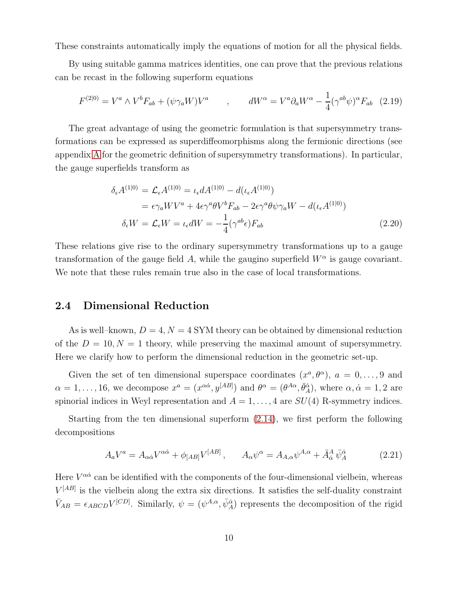These constraints automatically imply the equations of motion for all the physical fields.

By using suitable gamma matrices identities, one can prove that the previous relations can be recast in the following superform equations

<span id="page-10-1"></span>
$$
F^{(2|0)} = V^a \wedge V^b F_{ab} + (\psi \gamma_a W) V^a \qquad , \qquad dW^\alpha = V^a \partial_a W^\alpha - \frac{1}{4} (\gamma^{ab} \psi)^\alpha F_{ab} \tag{2.19}
$$

The great advantage of using the geometric formulation is that supersymmetry transformations can be expressed as superdiffeomorphisms along the fermionic directions (see appendix [A](#page-40-0) for the geometric definition of supersymmetry transformations). In particular, the gauge superfields transform as

$$
\delta_{\epsilon}A^{(1|0)} = \mathcal{L}_{\epsilon}A^{(1|0)} = \iota_{\epsilon}dA^{(1|0)} - d(\iota_{\epsilon}A^{(1|0)})
$$
  
\n
$$
= \epsilon \gamma_a W V^a + 4\epsilon \gamma^a \theta V^b F_{ab} - 2\epsilon \gamma^a \theta \psi \gamma_a W - d(\iota_{\epsilon}A^{(1|0)})
$$
  
\n
$$
\delta_{\epsilon}W = \mathcal{L}_{\epsilon}W = \iota_{\epsilon}dW = -\frac{1}{4}(\gamma^{ab}\epsilon)F_{ab}
$$
\n(2.20)

These relations give rise to the ordinary supersymmetry transformations up to a gauge transformation of the gauge field A, while the gaugino superfield  $W^{\alpha}$  is gauge covariant. We note that these rules remain true also in the case of local transformations.

#### <span id="page-10-0"></span>2.4 Dimensional Reduction

As is well–known,  $D = 4$ ,  $N = 4$  SYM theory can be obtained by dimensional reduction of the  $D = 10, N = 1$  theory, while preserving the maximal amount of supersymmetry. Here we clarify how to perform the dimensional reduction in the geometric set-up.

Given the set of ten dimensional superspace coordinates  $(x^a, \theta^{\alpha})$ ,  $a = 0, \ldots, 9$  and  $\alpha = 1, \ldots, 16$ , we decompose  $x^a = (x^{\alpha \dot{\alpha}}, y^{[AB]})$  and  $\theta^{\alpha} = (\theta^{A\alpha}, \bar{\theta}^{\dot{\alpha}}_A)$ , where  $\alpha, \dot{\alpha} = 1, 2$  are spinorial indices in Weyl representation and  $A = 1, \ldots, 4$  are  $SU(4)$  R-symmetry indices.

Starting from the ten dimensional superform [\(2.14\)](#page-9-1), we first perform the following decompositions

$$
A_a V^a = A_{\alpha \dot{\alpha}} V^{\alpha \dot{\alpha}} + \phi_{[AB]} V^{[AB]}, \qquad A_{\alpha} \psi^{\alpha} = A_{A,\alpha} \psi^{A,\alpha} + \bar{A}_{\dot{\alpha}}^A \bar{\psi}_A^{\dot{\alpha}} \tag{2.21}
$$

Here  $V^{\alpha\dot{\alpha}}$  can be identified with the components of the four-dimensional vielbein, whereas  $V^{[AB]}$  is the vielbein along the extra six directions. It satisfies the self-duality constraint  $\bar{V}_{AB} = \epsilon_{ABCD} V^{[CD]}$ . Similarly,  $\psi = (\psi^{A,\alpha}, \bar{\psi}^{\dot{\alpha}}_A)$  represents the decomposition of the rigid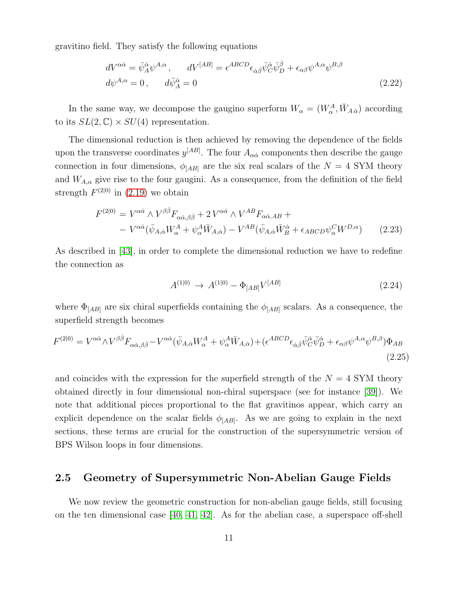gravitino field. They satisfy the following equations

$$
dV^{\alpha\dot{\alpha}} = \bar{\psi}_{A}^{\dot{\alpha}} \psi^{A,\alpha}, \qquad dV^{[AB]} = \epsilon^{ABCD} \epsilon_{\dot{\alpha}\dot{\beta}} \bar{\psi}_{C}^{\dot{\alpha}} \bar{\psi}_{D}^{\dot{\beta}} + \epsilon_{\alpha\beta} \psi^{A,\alpha} \psi^{B,\beta}
$$

$$
d\psi^{A,\alpha} = 0, \qquad d\bar{\psi}_{A}^{\dot{\alpha}} = 0 \tag{2.22}
$$

In the same way, we decompose the gaugino superform  $W_{\alpha} = (W_{\alpha}^{A}, \bar{W}_{A\dot{\alpha}})$  according to its  $SL(2,\mathbb{C}) \times SU(4)$  representation.

The dimensional reduction is then achieved by removing the dependence of the fields upon the transverse coordinates  $y^{[AB]}$ . The four  $A_{\alpha\dot{\alpha}}$  components then describe the gauge connection in four dimensions,  $\phi_{[AB]}$  are the six real scalars of the  $N = 4$  SYM theory and  $W_{A,\alpha}$  give rise to the four gaugini. As a consequence, from the definition of the field strength  $F^{(2|0)}$  in [\(2.19\)](#page-10-1) we obtain

$$
F^{(2|0)} = V^{\alpha\dot{\alpha}} \wedge V^{\beta\dot{\beta}} F_{\alpha\dot{\alpha},\beta\dot{\beta}} + 2 V^{\alpha\dot{\alpha}} \wedge V^{AB} F_{\alpha\dot{\alpha},AB} +
$$
  
- 
$$
V^{\alpha\dot{\alpha}} (\bar{\psi}_{A,\dot{\alpha}} W^A_{\alpha} + \psi^A_{\alpha} \bar{W}_{A,\dot{\alpha}}) - V^{AB} (\bar{\psi}_{A,\dot{\alpha}} \bar{W}^{\dot{\alpha}}_{B} + \epsilon_{ABCD} \psi^C_{\alpha} W^{D,\alpha})
$$
(2.23)

As described in [\[43\]](#page-50-8), in order to complete the dimensional reduction we have to redefine the connection as

$$
A^{(1|0)} \to A^{(1|0)} - \Phi_{[AB]} V^{[AB]} \tag{2.24}
$$

where  $\Phi_{[AB]}$  are six chiral superfields containing the  $\phi_{[AB]}$  scalars. As a consequence, the superfield strength becomes

<span id="page-11-1"></span>
$$
F^{(2|0)} = V^{\alpha\dot{\alpha}} \wedge V^{\beta\dot{\beta}} F_{\alpha\dot{\alpha},\beta\dot{\beta}} - V^{\alpha\dot{\alpha}} (\bar{\psi}_{A,\dot{\alpha}} W^A_{\alpha} + \psi^A_{\alpha} \bar{W}_{A,\dot{\alpha}}) + (\epsilon^{ABCD} \epsilon_{\dot{\alpha}\dot{\beta}} \bar{\psi}^{\dot{\alpha}}_{C} \bar{\psi}^{\dot{\alpha}}_{D} + \epsilon_{\alpha\beta} \psi^{A,\alpha} \psi^{B,\beta}) \Phi_{AB}
$$
\n(2.25)

and coincides with the expression for the superfield strength of the  $N = 4$  SYM theory obtained directly in four dimensional non-chiral superspace (see for instance [\[39\]](#page-50-4)). We note that additional pieces proportional to the flat gravitinos appear, which carry an explicit dependence on the scalar fields  $\phi_{[AB]}$ . As we are going to explain in the next sections, these terms are crucial for the construction of the supersymmetric version of BPS Wilson loops in four dimensions.

#### <span id="page-11-0"></span>2.5 Geometry of Supersymmetric Non-Abelian Gauge Fields

We now review the geometric construction for non-abelian gauge fields, still focusing on the ten dimensional case [\[40,](#page-50-5) [41,](#page-50-6) [42\]](#page-50-7). As for the abelian case, a superspace off-shell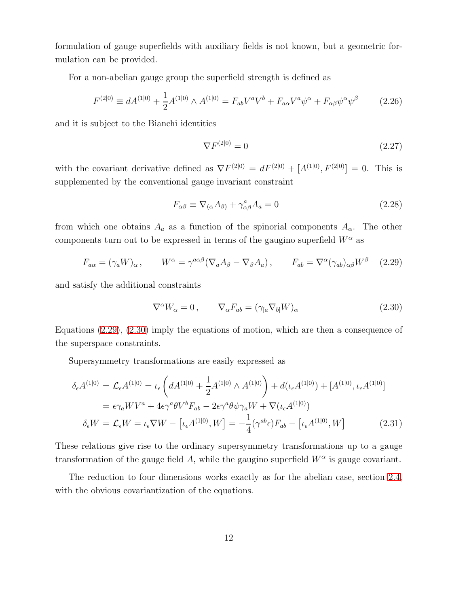formulation of gauge superfields with auxiliary fields is not known, but a geometric formulation can be provided.

For a non-abelian gauge group the superfield strength is defined as

$$
F^{(2|0)} \equiv dA^{(1|0)} + \frac{1}{2}A^{(1|0)} \wedge A^{(1|0)} = F_{ab}V^aV^b + F_{a\alpha}V^a\psi^\alpha + F_{\alpha\beta}\psi^\alpha\psi^\beta \tag{2.26}
$$

and it is subject to the Bianchi identities

$$
\nabla F^{(2|0)} = 0\tag{2.27}
$$

with the covariant derivative defined as  $\nabla F^{(2|0)} = dF^{(2|0)} + [A^{(1|0)}, F^{(2|0)}] = 0$ . This is supplemented by the conventional gauge invariant constraint

$$
F_{\alpha\beta} \equiv \nabla_{(\alpha}A_{\beta)} + \gamma^a_{\alpha\beta}A_a = 0 \tag{2.28}
$$

from which one obtains  $A_a$  as a function of the spinorial components  $A_\alpha$ . The other components turn out to be expressed in terms of the gaugino superfield  $W^{\alpha}$  as

<span id="page-12-0"></span>
$$
F_{a\alpha} = (\gamma_a W)_{\alpha}, \qquad W^{\alpha} = \gamma^{a\alpha\beta} (\nabla_a A_{\beta} - \nabla_{\beta} A_{a}), \qquad F_{ab} = \nabla^{\alpha} (\gamma_{ab})_{\alpha\beta} W^{\beta} \quad (2.29)
$$

and satisfy the additional constraints

<span id="page-12-1"></span>
$$
\nabla^{\alpha} W_{\alpha} = 0, \qquad \nabla_{\alpha} F_{ab} = (\gamma_{[a} \nabla_{b]} W)_{\alpha} \tag{2.30}
$$

Equations [\(2.29\)](#page-12-0), [\(2.30\)](#page-12-1) imply the equations of motion, which are then a consequence of the superspace constraints.

Supersymmetry transformations are easily expressed as

$$
\delta_{\epsilon}A^{(1|0)} = \mathcal{L}_{\epsilon}A^{(1|0)} = \iota_{\epsilon}\left(dA^{(1|0)} + \frac{1}{2}A^{(1|0)} \wedge A^{(1|0)}\right) + d(\iota_{\epsilon}A^{(1|0)}) + [A^{(1|0)}, \iota_{\epsilon}A^{(1|0)}]
$$

$$
= \epsilon \gamma_a W V^a + 4\epsilon \gamma^a \theta V^b F_{ab} - 2\epsilon \gamma^a \theta \psi \gamma_a W + \nabla(\iota_{\epsilon}A^{(1|0)})
$$

$$
\delta_{\epsilon} W = \mathcal{L}_{\epsilon} W = \iota_{\epsilon} \nabla W - [\iota_{\epsilon}A^{(1|0)}, W] = -\frac{1}{4}(\gamma^{ab}\epsilon)F_{ab} - [\iota_{\epsilon}A^{(1|0)}, W] \tag{2.31}
$$

These relations give rise to the ordinary supersymmetry transformations up to a gauge transformation of the gauge field A, while the gaugino superfield  $W^{\alpha}$  is gauge covariant.

The reduction to four dimensions works exactly as for the abelian case, section [2.4,](#page-10-0) with the obvious covariantization of the equations.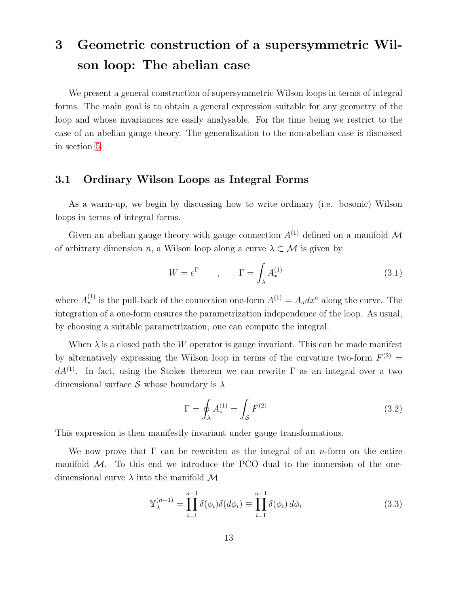# <span id="page-13-0"></span>3 Geometric construction of a supersymmetric Wilson loop: The abelian case

We present a general construction of supersymmetric Wilson loops in terms of integral forms. The main goal is to obtain a general expression suitable for any geometry of the loop and whose invariances are easily analysable. For the time being we restrict to the case of an abelian gauge theory. The generalization to the non-abelian case is discussed in section [5.](#page-31-0)

### <span id="page-13-1"></span>3.1 Ordinary Wilson Loops as Integral Forms

As a warm-up, we begin by discussing how to write ordinary (i.e. bosonic) Wilson loops in terms of integral forms.

Given an abelian gauge theory with gauge connection  $A^{(1)}$  defined on a manifold M of arbitrary dimension n, a Wilson loop along a curve  $\lambda \subset \mathcal{M}$  is given by

<span id="page-13-3"></span>
$$
W = e^{\Gamma} \qquad , \qquad \Gamma = \int_{\lambda} A_{*}^{(1)} \tag{3.1}
$$

where  $A_*^{(1)}$  is the pull-back of the connection one-form  $A^{(1)} = A_a dx^a$  along the curve. The integration of a one-form ensures the parametrization independence of the loop. As usual, by choosing a suitable parametrization, one can compute the integral.

When  $\lambda$  is a closed path the W operator is gauge invariant. This can be made manifest by alternatively expressing the Wilson loop in terms of the curvature two-form  $F^{(2)}$  =  $dA^{(1)}$ . In fact, using the Stokes theorem we can rewrite  $\Gamma$  as an integral over a two dimensional surface  $S$  whose boundary is  $\lambda$ 

<span id="page-13-4"></span>
$$
\Gamma = \oint_{\lambda} A_{*}^{(1)} = \int_{\mathcal{S}} F^{(2)} \tag{3.2}
$$

This expression is then manifestly invariant under gauge transformations.

We now prove that  $\Gamma$  can be rewritten as the integral of an *n*-form on the entire manifold  $M$ . To this end we introduce the PCO dual to the immersion of the onedimensional curve  $\lambda$  into the manifold  $\mathcal M$ 

<span id="page-13-2"></span>
$$
\mathbb{Y}_{\lambda}^{(n-1)} = \prod_{i=1}^{n-1} \delta(\phi_i) \delta(d\phi_i) \equiv \prod_{i=1}^{n-1} \delta(\phi_i) d\phi_i \tag{3.3}
$$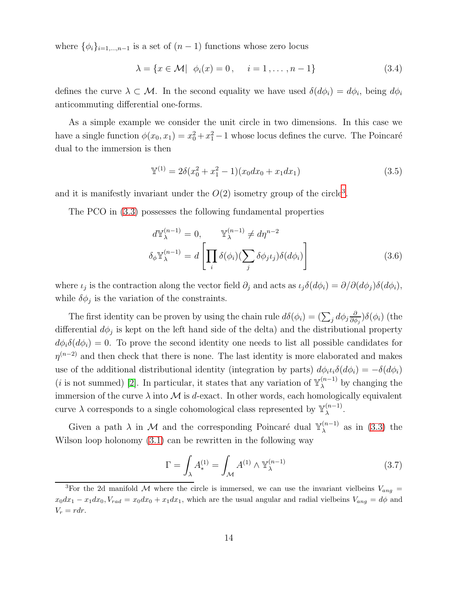where  $\{\phi_i\}_{i=1,\dots,n-1}$  is a set of  $(n-1)$  functions whose zero locus

$$
\lambda = \{x \in \mathcal{M} | \phi_i(x) = 0, \quad i = 1, \dots, n - 1\}
$$
\n(3.4)

defines the curve  $\lambda \subset \mathcal{M}$ . In the second equality we have used  $\delta(d\phi_i) = d\phi_i$ , being  $d\phi_i$ anticommuting differential one-forms.

As a simple example we consider the unit circle in two dimensions. In this case we have a single function  $\phi(x_0, x_1) = x_0^2 + x_1^2 - 1$  whose locus defines the curve. The Poincaré dual to the immersion is then

$$
\mathbb{Y}^{(1)} = 2\delta(x_0^2 + x_1^2 - 1)(x_0 dx_0 + x_1 dx_1)
$$
\n(3.5)

and it is manifestly invariant under the  $O(2)$  isometry group of the circle<sup>[3](#page-14-0)</sup>.

The PCO in [\(3.3\)](#page-13-2) possesses the following fundamental properties

<span id="page-14-1"></span>
$$
d\mathbb{Y}_{\lambda}^{(n-1)} = 0, \qquad \mathbb{Y}_{\lambda}^{(n-1)} \neq d\eta^{n-2}
$$

$$
\delta_{\phi} \mathbb{Y}_{\lambda}^{(n-1)} = d \left[ \prod_{i} \delta(\phi_{i}) (\sum_{j} \delta \phi_{j} \iota_{j}) \delta(d\phi_{i}) \right]
$$
(3.6)

where  $\iota_j$  is the contraction along the vector field  $\partial_j$  and acts as  $\iota_j \delta(d\phi_i) = \partial/\partial (d\phi_j) \delta(d\phi_i)$ , while  $\delta \phi_j$  is the variation of the constraints.

The first identity can be proven by using the chain rule  $d\delta(\phi_i) = (\sum_j d\phi_j \frac{\partial}{\partial \phi_j})$  $\frac{\partial}{\partial \phi_j}$ ) $\delta(\phi_i)$  (the differential  $d\phi_j$  is kept on the left hand side of the delta) and the distributional property  $d\phi_i\delta(d\phi_i) = 0$ . To prove the second identity one needs to list all possible candidates for  $\eta^{(n-2)}$  and then check that there is none. The last identity is more elaborated and makes use of the additional distributional identity (integration by parts)  $d\phi_i\iota_i\delta(d\phi_i) = -\delta(d\phi_i)$ (*i* is not summed) [\[2\]](#page-47-1). In particular, it states that any variation of  $\mathbb{Y}_{\lambda}^{(n-1)}$  $\lambda^{(n-1)}$  by changing the immersion of the curve  $\lambda$  into  $\mathcal M$  is d-exact. In other words, each homologically equivalent curve  $\lambda$  corresponds to a single cohomological class represented by  $\mathbb{Y}_{\lambda}^{(n-1)}$  $\lambda^{(n-1)}$ .

Given a path  $\lambda$  in M and the corresponding Poincaré dual  $\mathbb{Y}_{\lambda}^{(n-1)}$  $\lambda^{(n-1)}$  as in [\(3.3\)](#page-13-2) the Wilson loop holonomy [\(3.1\)](#page-13-3) can be rewritten in the following way

<span id="page-14-2"></span>
$$
\Gamma = \int_{\lambda} A_{*}^{(1)} = \int_{\mathcal{M}} A^{(1)} \wedge \mathbb{Y}_{\lambda}^{(n-1)} \tag{3.7}
$$

<span id="page-14-0"></span><sup>&</sup>lt;sup>3</sup>For the 2d manifold M where the circle is immersed, we can use the invariant vielbeins  $V_{ang}$  =  $x_0dx_1 - x_1dx_0, V_{rad} = x_0dx_0 + x_1dx_1$ , which are the usual angular and radial vielbeins  $V_{ang} = d\phi$  and  $V_r = r dr$ .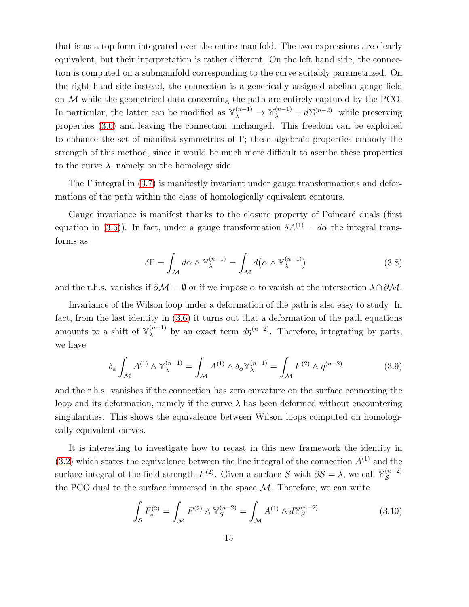that is as a top form integrated over the entire manifold. The two expressions are clearly equivalent, but their interpretation is rather different. On the left hand side, the connection is computed on a submanifold corresponding to the curve suitably parametrized. On the right hand side instead, the connection is a generically assigned abelian gauge field on  $M$  while the geometrical data concerning the path are entirely captured by the PCO. In particular, the latter can be modified as  $\mathbb{Y}_{\lambda}^{(n-1)} \to \mathbb{Y}_{\lambda}^{(n-1)} + d\Sigma^{(n-2)}$ , while preserving properties [\(3.6\)](#page-14-1) and leaving the connection unchanged. This freedom can be exploited to enhance the set of manifest symmetries of Γ; these algebraic properties embody the strength of this method, since it would be much more difficult to ascribe these properties to the curve  $\lambda$ , namely on the homology side.

The Γ integral in [\(3.7\)](#page-14-2) is manifestly invariant under gauge transformations and deformations of the path within the class of homologically equivalent contours.

Gauge invariance is manifest thanks to the closure property of Poincaré duals (first equation in [\(3.6\)](#page-14-1)). In fact, under a gauge transformation  $\delta A^{(1)} = d\alpha$  the integral transforms as

$$
\delta\Gamma = \int_{\mathcal{M}} d\alpha \wedge \mathbb{Y}_{\lambda}^{(n-1)} = \int_{\mathcal{M}} d\big(\alpha \wedge \mathbb{Y}_{\lambda}^{(n-1)}\big) \tag{3.8}
$$

and the r.h.s. vanishes if  $\partial \mathcal{M} = \emptyset$  or if we impose  $\alpha$  to vanish at the intersection  $\lambda \cap \partial \mathcal{M}$ .

Invariance of the Wilson loop under a deformation of the path is also easy to study. In fact, from the last identity in [\(3.6\)](#page-14-1) it turns out that a deformation of the path equations amounts to a shift of  $\mathbb{Y}_{\lambda}^{(n-1)}$  by an exact term  $d\eta^{(n-2)}$ . Therefore, integrating by parts, we have

$$
\delta_{\phi} \int_{\mathcal{M}} A^{(1)} \wedge \mathbb{Y}_{\lambda}^{(n-1)} = \int_{\mathcal{M}} A^{(1)} \wedge \delta_{\phi} \mathbb{Y}_{\lambda}^{(n-1)} = \int_{\mathcal{M}} F^{(2)} \wedge \eta^{(n-2)} \tag{3.9}
$$

and the r.h.s. vanishes if the connection has zero curvature on the surface connecting the loop and its deformation, namely if the curve  $\lambda$  has been deformed without encountering singularities. This shows the equivalence between Wilson loops computed on homologically equivalent curves.

It is interesting to investigate how to recast in this new framework the identity in  $(3.2)$  which states the equivalence between the line integral of the connection  $A^{(1)}$  and the surface integral of the field strength  $F^{(2)}$ . Given a surface S with  $\partial S = \lambda$ , we call  $\mathbb{Y}_{S}^{(n-2)}$ S the PCO dual to the surface immersed in the space  $\mathcal{M}$ . Therefore, we can write

$$
\int_{\mathcal{S}} F_{*}^{(2)} = \int_{\mathcal{M}} F^{(2)} \wedge \mathbb{Y}_{S}^{(n-2)} = \int_{\mathcal{M}} A^{(1)} \wedge d\mathbb{Y}_{S}^{(n-2)} \tag{3.10}
$$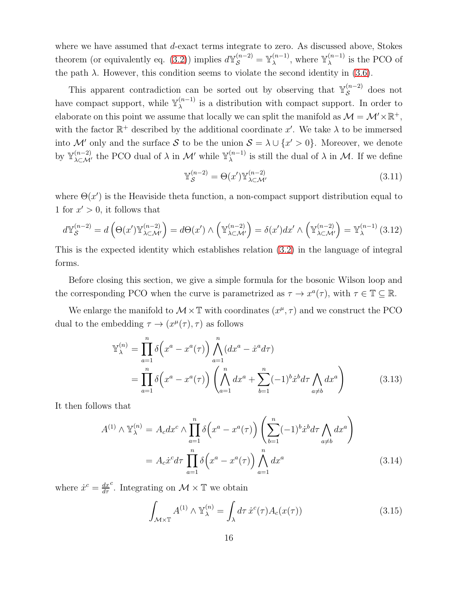where we have assumed that d-exact terms integrate to zero. As discussed above, Stokes theorem (or equivalently eq. [\(3.2\)](#page-13-4)) implies  $d\mathbb{Y}_{\mathcal{S}}^{(n-2)} = \mathbb{Y}_{\lambda}^{(n-1)}$  $\chi^{(n-1)}$ , where  $\mathbb{Y}_{\lambda}^{(n-1)}$  $\lambda^{(n-1)}$  is the PCO of the path  $\lambda$ . However, this condition seems to violate the second identity in [\(3.6\)](#page-14-1).

This apparent contradiction can be sorted out by observing that  $\mathbb{Y}_{\mathcal{S}}^{(n-2)}$  does not have compact support, while  $\mathbb{Y}_{\lambda}^{(n-1)}$  $\lambda^{(n-1)}$  is a distribution with compact support. In order to elaborate on this point we assume that locally we can split the manifold as  $\mathcal{M} = \mathcal{M}' \times \mathbb{R}^+$ , with the factor  $\mathbb{R}^+$  described by the additional coordinate x'. We take  $\lambda$  to be immersed into M' only and the surface S to be the union  $S = \lambda \cup \{x' > 0\}$ . Moreover, we denote by  $\mathbb{Y}_{\lambda \subset \mathcal{M}'}^{(n-2)}$  the PCO dual of  $\lambda$  in  $\mathcal{M}'$  while  $\mathbb{Y}_{\lambda}^{(n-1)}$  $\lambda^{\{n-1\}}$  is still the dual of  $\lambda$  in M. If we define

$$
\mathbb{Y}_{\mathcal{S}}^{(n-2)} = \Theta(x') \mathbb{Y}_{\lambda \subset \mathcal{M}'}^{(n-2)} \tag{3.11}
$$

where  $\Theta(x')$  is the Heaviside theta function, a non-compact support distribution equal to 1 for  $x' > 0$ , it follows that

$$
d\mathbb{Y}_{\mathcal{S}}^{(n-2)} = d\left(\Theta(x')\mathbb{Y}_{\lambda \subset \mathcal{M}'}^{(n-2)}\right) = d\Theta(x') \wedge \left(\mathbb{Y}_{\lambda \subset \mathcal{M}'}^{(n-2)}\right) = \delta(x')dx' \wedge \left(\mathbb{Y}_{\lambda \subset \mathcal{M}'}^{(n-2)}\right) = \mathbb{Y}_{\lambda}^{(n-1)}(3.12)
$$

This is the expected identity which establishes relation [\(3.2\)](#page-13-4) in the language of integral forms.

Before closing this section, we give a simple formula for the bosonic Wilson loop and the corresponding PCO when the curve is parametrized as  $\tau \to x^a(\tau)$ , with  $\tau \in \mathbb{T} \subseteq \mathbb{R}$ .

We enlarge the manifold to  $\mathcal{M} \times \mathbb{T}$  with coordinates  $(x^{\mu}, \tau)$  and we construct the PCO dual to the embedding  $\tau \to (x^{\mu}(\tau), \tau)$  as follows

<span id="page-16-0"></span>
$$
\mathbb{Y}_{\lambda}^{(n)} = \prod_{a=1}^{n} \delta\left(x^{a} - x^{a}(\tau)\right) \bigwedge_{a=1}^{n} (dx^{a} - \dot{x}^{a} d\tau) \n= \prod_{a=1}^{n} \delta\left(x^{a} - x^{a}(\tau)\right) \left(\bigwedge_{a=1}^{n} dx^{a} + \sum_{b=1}^{n} (-1)^{b} \dot{x}^{b} d\tau \bigwedge_{a \neq b} dx^{a}\right)
$$
\n(3.13)

It then follows that

$$
A^{(1)} \wedge \mathbb{Y}_{\lambda}^{(n)} = A_c dx^c \wedge \prod_{a=1}^{n} \delta\left(x^a - x^a(\tau)\right) \left(\sum_{b=1}^{n} (-1)^b \dot{x}^b d\tau \bigwedge_{a \neq b} dx^a\right)
$$

$$
= A_c \dot{x}^c d\tau \prod_{a=1}^{n} \delta\left(x^a - x^a(\tau)\right) \bigwedge_{a=1}^{n} dx^a
$$
(3.14)

where  $\dot{x}^c = \frac{dx}{d\tau}$ dτ <sup>c</sup>. Integrating on  $\mathcal{M} \times \mathbb{T}$  we obtain

$$
\int_{\mathcal{M}\times\mathbb{T}} A^{(1)} \wedge \mathbb{Y}_{\lambda}^{(n)} = \int_{\lambda} d\tau \, \dot{x}^{c}(\tau) A_{c}(x(\tau)) \tag{3.15}
$$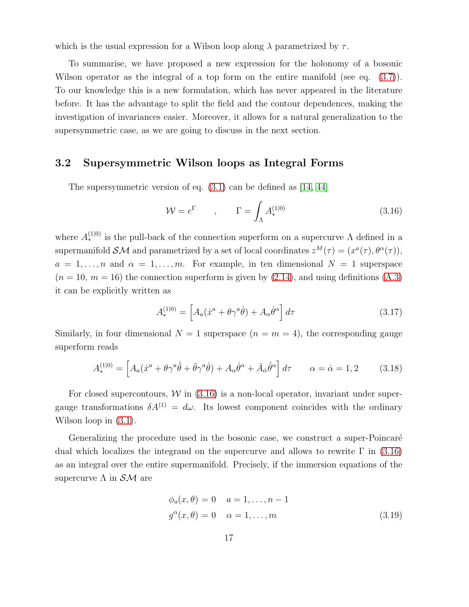which is the usual expression for a Wilson loop along  $\lambda$  parametrized by  $\tau$ .

To summarise, we have proposed a new expression for the holonomy of a bosonic Wilson operator as the integral of a top form on the entire manifold (see eq.  $(3.7)$ ). To our knowledge this is a new formulation, which has never appeared in the literature before. It has the advantage to split the field and the contour dependences, making the investigation of invariances easier. Moreover, it allows for a natural generalization to the supersymmetric case, as we are going to discuss in the next section.

#### <span id="page-17-0"></span>3.2 Supersymmetric Wilson loops as Integral Forms

The supersymmetric version of eq. [\(3.1\)](#page-13-3) can be defined as [\[14,](#page-48-1) [44\]](#page-51-0)

<span id="page-17-1"></span>
$$
\mathcal{W} = e^{\Gamma} \qquad , \qquad \Gamma = \int_{\Lambda} A_{*}^{(1|0)} \tag{3.16}
$$

where  $A_*^{(1|0)}$  is the pull-back of the connection superform on a supercurve  $\Lambda$  defined in a supermanifold  $\mathcal{SM}$  and parametrized by a set of local coordinates  $z^M(\tau) = (x^a(\tau), \theta^{\alpha}(\tau)),$  $a = 1, \ldots, n$  and  $\alpha = 1, \ldots, m$ . For example, in ten dimensional  $N = 1$  superspace  $(n = 10, m = 16)$  the connection superform is given by  $(2.14)$ , and using definitions  $(A.3)$ it can be explicitly written as

<span id="page-17-2"></span>
$$
A_*^{(1|0)} = \left[ A_a(\dot{x}^a + \theta \gamma^a \dot{\theta}) + A_\alpha \dot{\theta}^\alpha \right] d\tau \tag{3.17}
$$

Similarly, in four dimensional  $N = 1$  superspace  $(n = m = 4)$ , the corresponding gauge superform reads

$$
A_*^{(1|0)} = \left[ A_a(\dot{x}^a + \theta \gamma^a \dot{\theta} + \bar{\theta} \gamma^a \dot{\theta}) + A_\alpha \dot{\theta}^\alpha + \bar{A}_{\dot{\alpha}} \dot{\bar{\theta}}^\alpha \right] d\tau \qquad \alpha = \dot{\alpha} = 1,2 \tag{3.18}
$$

For closed supercontours,  $\mathcal W$  in [\(3.16\)](#page-17-1) is a non-local operator, invariant under supergauge transformations  $\delta A^{(1)} = d\omega$ . Its lowest component coincides with the ordinary Wilson loop in [\(3.1\)](#page-13-3).

Generalizing the procedure used in the bosonic case, we construct a super-Poincaré dual which localizes the integrand on the supercurve and allows to rewrite  $\Gamma$  in [\(3.16\)](#page-17-1) as an integral over the entire supermanifold. Precisely, if the immersion equations of the supercurve  $\Lambda$  in  $\mathcal{SM}$  are

$$
\phi_a(x,\theta) = 0 \quad a = 1,\dots, n-1
$$
  

$$
g^{\alpha}(x,\theta) = 0 \quad \alpha = 1,\dots, m
$$
 (3.19)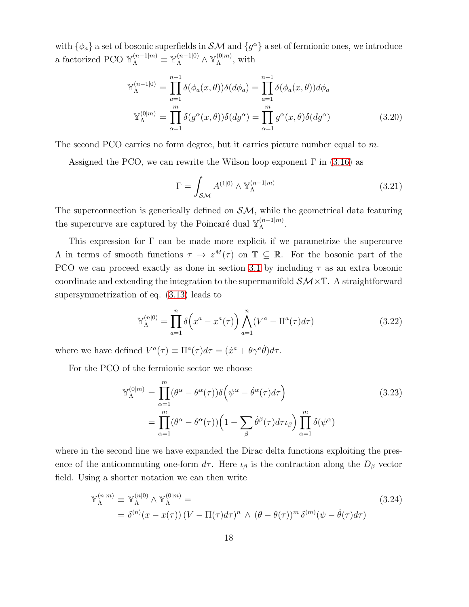with  $\{\phi_a\}$  a set of bosonic superfields in  ${\cal SM}$  and  $\{g^\alpha\}$  a set of fermionic ones, we introduce a factorized PCO  $\mathbb{Y}_{\Lambda}^{(n-1|m)} \equiv \mathbb{Y}_{\Lambda}^{(n-1|0)} \wedge \mathbb{Y}_{\Lambda}^{(0|m)}$  $\Lambda^{(0|m)}$ , with

<span id="page-18-1"></span>
$$
\mathbb{Y}_{\Lambda}^{(n-1|0)} = \prod_{a=1}^{n-1} \delta(\phi_a(x,\theta))\delta(d\phi_a) = \prod_{a=1}^{n-1} \delta(\phi_a(x,\theta))d\phi_a
$$

$$
\mathbb{Y}_{\Lambda}^{(0|m)} = \prod_{\alpha=1}^{m} \delta(g^{\alpha}(x,\theta))\delta(dg^{\alpha}) = \prod_{\alpha=1}^{m} g^{\alpha}(x,\theta)\delta(dg^{\alpha})
$$
(3.20)

The second PCO carries no form degree, but it carries picture number equal to  $m$ .

Assigned the PCO, we can rewrite the Wilson loop exponent  $\Gamma$  in [\(3.16\)](#page-17-1) as

<span id="page-18-3"></span>
$$
\Gamma = \int_{\mathcal{SM}} A^{(1|0)} \wedge \mathbb{Y}_{\Lambda}^{(n-1|m)} \tag{3.21}
$$

The superconnection is generically defined on  $S\mathcal{M}$ , while the geometrical data featuring the supercurve are captured by the Poincaré dual  $\mathbb{Y}_{\Lambda}^{(n-1|m)}$  $\Lambda^{(n-1|m)}.$ 

This expression for  $\Gamma$  can be made more explicit if we parametrize the supercurve A in terms of smooth functions  $\tau \to z^M(\tau)$  on  $\mathbb{T} \subseteq \mathbb{R}$ . For the bosonic part of the PCO we can proceed exactly as done in section [3.1](#page-13-1) by including  $\tau$  as an extra bosonic coordinate and extending the integration to the supermanifold  $\mathcal{SM}\times\mathbb{T}$ . A straightforward supersymmetrization of eq. [\(3.13\)](#page-16-0) leads to

<span id="page-18-0"></span>
$$
\mathbb{Y}_{\Lambda}^{(n|0)} = \prod_{a=1}^{n} \delta\left(x^a - x^a(\tau)\right) \bigwedge_{a=1}^{n} (V^a - \Pi^a(\tau)d\tau) \tag{3.22}
$$

where we have defined  $V^a(\tau) \equiv \Pi^a(\tau) d\tau = (\dot{x}^a + \theta \gamma^a \dot{\theta}) d\tau$ .

For the PCO of the fermionic sector we choose

<span id="page-18-2"></span>
$$
\mathbb{Y}_{\Lambda}^{(0|m)} = \prod_{\alpha=1}^{m} (\theta^{\alpha} - \theta^{\alpha}(\tau)) \delta\left(\psi^{\alpha} - \dot{\theta}^{\alpha}(\tau)d\tau\right)
$$
\n
$$
= \prod_{\alpha=1}^{m} (\theta^{\alpha} - \theta^{\alpha}(\tau)) \left(1 - \sum_{\beta} \dot{\theta}^{\beta}(\tau)d\tau \iota_{\beta}\right) \prod_{\alpha=1}^{m} \delta(\psi^{\alpha})
$$
\n(3.23)

where in the second line we have expanded the Dirac delta functions exploiting the presence of the anticommuting one-form  $d\tau$ . Here  $\iota_{\beta}$  is the contraction along the  $D_{\beta}$  vector field. Using a shorter notation we can then write

<span id="page-18-4"></span>
$$
\mathbb{Y}_{\Lambda}^{(n|m)} \equiv \mathbb{Y}_{\Lambda}^{(n|0)} \wedge \mathbb{Y}_{\Lambda}^{(0|m)} =
$$
\n
$$
= \delta^{(n)}(x - x(\tau)) \left( V - \Pi(\tau) d\tau \right)^n \wedge \left( \theta - \theta(\tau) \right)^m \delta^{(m)}(\psi - \dot{\theta}(\tau) d\tau)
$$
\n(3.24)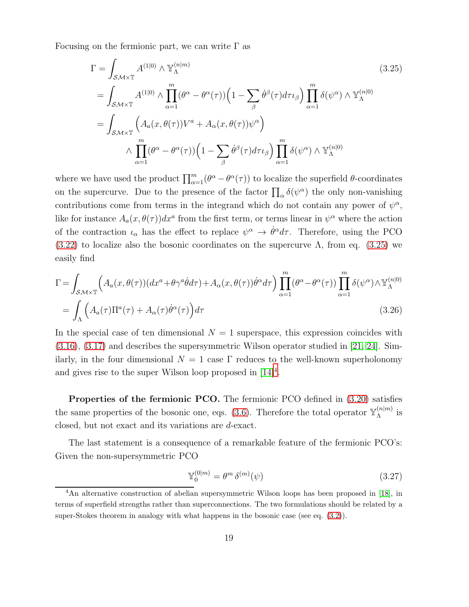Focusing on the fermionic part, we can write  $\Gamma$  as

<span id="page-19-0"></span>
$$
\Gamma = \int_{\mathcal{SM}\times\mathbb{T}} A^{(1|0)} \wedge \mathbb{Y}_{\Lambda}^{(n|m)} \qquad (3.25)
$$
\n
$$
= \int_{\mathcal{SM}\times\mathbb{T}} A^{(1|0)} \wedge \prod_{\alpha=1}^{m} (\theta^{\alpha} - \theta^{\alpha}(\tau)) \left(1 - \sum_{\beta} \dot{\theta}^{\beta}(\tau) d\tau \iota_{\beta}\right) \prod_{\alpha=1}^{m} \delta(\psi^{\alpha}) \wedge \mathbb{Y}_{\Lambda}^{(n|0)} \qquad (3.25)
$$
\n
$$
= \int_{\mathcal{SM}\times\mathbb{T}} \left( A_{a}(x, \theta(\tau)) V^{a} + A_{\alpha}(x, \theta(\tau)) \psi^{\alpha} \right) \qquad \qquad \wedge \prod_{\alpha=1}^{m} (\theta^{\alpha} - \theta^{\alpha}(\tau)) \left(1 - \sum_{\beta} \dot{\theta}^{\beta}(\tau) d\tau \iota_{\beta}\right) \prod_{\alpha=1}^{m} \delta(\psi^{\alpha}) \wedge \mathbb{Y}_{\Lambda}^{(n|0)}
$$

where we have used the product  $\prod_{\alpha=1}^m (\theta^{\alpha} - \theta^{\alpha}(\tau))$  to localize the superfield  $\theta$ -coordinates on the supercurve. Due to the presence of the factor  $\prod_{\alpha} \delta(\psi^{\alpha})$  the only non-vanishing contributions come from terms in the integrand which do not contain any power of  $\psi^{\alpha}$ , like for instance  $A_a(x, \theta(\tau))dx^a$  from the first term, or terms linear in  $\psi^{\alpha}$  where the action of the contraction  $\iota_{\alpha}$  has the effect to replace  $\psi^{\alpha} \to \dot{\theta}^{\alpha} d\tau$ . Therefore, using the PCO  $(3.22)$  to localize also the bosonic coordinates on the supercurve  $\Lambda$ , from eq.  $(3.25)$  we easily find

<span id="page-19-2"></span>
$$
\Gamma = \int_{\mathcal{SM}\times\mathbb{T}} \left( A_a(x,\theta(\tau))(dx^a + \theta \gamma^a \dot{\theta} d\tau) + A_\alpha(x,\theta(\tau))\dot{\theta}^\alpha d\tau \right) \prod_{\alpha=1}^m (\theta^\alpha - \theta^\alpha(\tau)) \prod_{\alpha=1}^m \delta(\psi^\alpha) \wedge \mathbb{Y}_{\Lambda}^{(n|0)} \n= \int_{\Lambda} \left( A_a(\tau)\Pi^a(\tau) + A_\alpha(\tau)\dot{\theta}^\alpha(\tau) \right) d\tau
$$
\n(3.26)

In the special case of ten dimensional  $N = 1$  superspace, this expression coincides with [\(3.16\)](#page-17-1), [\(3.17\)](#page-17-2) and describes the supersymmetric Wilson operator studied in [\[21,](#page-48-8) [24\]](#page-48-11). Similarly, in the four dimensional  $N = 1$  case  $\Gamma$  reduces to the well-known superholonomy and gives rise to the super Wilson loop proposed in  $[14]^4$  $[14]^4$  $[14]^4$ .

Properties of the fermionic PCO. The fermionic PCO defined in  $(3.20)$  satisfies the same properties of the bosonic one, eqs. [\(3.6\)](#page-14-1). Therefore the total operator  $\mathbb{Y}_{\Lambda}^{(n|m)}$  $\mathop \Lambda \limits^{(n|m)}$  is closed, but not exact and its variations are d-exact.

The last statement is a consequence of a remarkable feature of the fermionic PCO's: Given the non-supersymmetric PCO

$$
\mathbb{Y}_0^{(0|m)} = \theta^m \,\delta^{(m)}(\psi) \tag{3.27}
$$

<span id="page-19-1"></span><sup>&</sup>lt;sup>4</sup>An alternative construction of abelian supersymmetric Wilson loops has been proposed in [\[18\]](#page-48-5), in terms of superfield strengths rather than superconnections. The two formulations should be related by a super-Stokes theorem in analogy with what happens in the bosonic case (see eq. [\(3.2\)](#page-13-4)).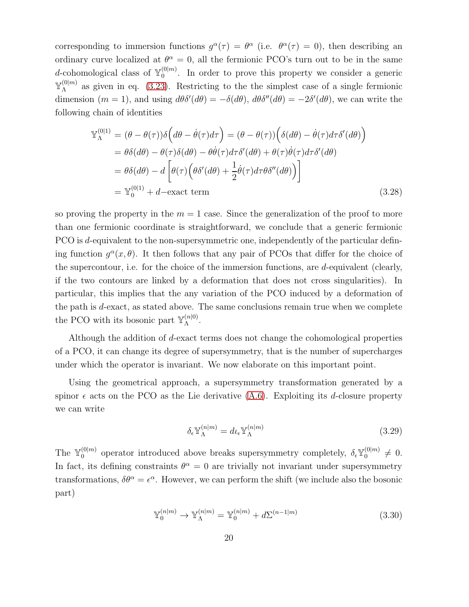corresponding to immersion functions  $g^{\alpha}(\tau) = \theta^{\alpha}$  (i.e.  $\theta^{\alpha}(\tau) = 0$ ), then describing an ordinary curve localized at  $\theta^{\alpha} = 0$ , all the fermionic PCO's turn out to be in the same d-cohomological class of  $\mathbb{Y}_0^{(0|m)}$  $\binom{0}{0}$ . In order to prove this property we consider a generic  $\mathbb{Y}^{(0|m)}_\Lambda$  $\Lambda^{(0,m)}$  as given in eq. [\(3.23\)](#page-18-2). Restricting to the the simplest case of a single fermionic dimension  $(m = 1)$ , and using  $d\theta \delta'(d\theta) = -\delta(d\theta)$ ,  $d\theta \delta''(d\theta) = -2\delta'(d\theta)$ , we can write the following chain of identities

$$
\mathbb{Y}_{\Lambda}^{(0|1)} = (\theta - \theta(\tau))\delta \left(d\theta - \dot{\theta}(\tau)d\tau\right) = (\theta - \theta(\tau))\left(\delta(d\theta) - \dot{\theta}(\tau)d\tau\delta'(d\theta)\right)
$$
  
\n
$$
= \theta\delta(d\theta) - \theta(\tau)\delta(d\theta) - \theta\dot{\theta}(\tau)d\tau\delta'(d\theta) + \theta(\tau)\dot{\theta}(\tau)d\tau\delta'(d\theta)
$$
  
\n
$$
= \theta\delta(d\theta) - d\left[\theta(\tau)\left(\theta\delta'(d\theta) + \frac{1}{2}\dot{\theta}(\tau)d\tau\theta\delta''(d\theta)\right)\right]
$$
  
\n
$$
= \mathbb{Y}_{0}^{(0|1)} + d - \text{exact term}
$$
 (3.28)

so proving the property in the  $m = 1$  case. Since the generalization of the proof to more than one fermionic coordinate is straightforward, we conclude that a generic fermionic PCO is d-equivalent to the non-supersymmetric one, independently of the particular defining function  $g^{\alpha}(x,\theta)$ . It then follows that any pair of PCOs that differ for the choice of the supercontour, i.e. for the choice of the immersion functions, are  $d$ -equivalent (clearly, if the two contours are linked by a deformation that does not cross singularities). In particular, this implies that the any variation of the PCO induced by a deformation of the path is  $d$ -exact, as stated above. The same conclusions remain true when we complete the PCO with its bosonic part  $\mathbb{Y}_{\Lambda}^{(n|0)}$  $\Lambda^{\mathsf{H}^{(1)}}$ .

Although the addition of d-exact terms does not change the cohomological properties of a PCO, it can change its degree of supersymmetry, that is the number of supercharges under which the operator is invariant. We now elaborate on this important point.

Using the geometrical approach, a supersymmetry transformation generated by a spinor  $\epsilon$  acts on the PCO as the Lie derivative  $(A.6)$ . Exploiting its d-closure property we can write

$$
\delta_{\epsilon} \mathbb{Y}_{\Lambda}^{(n|m)} = d \iota_{\epsilon} \mathbb{Y}_{\Lambda}^{(n|m)} \tag{3.29}
$$

The  $\mathbb{Y}_0^{(0|m)}$  $_0^{(0|m)}$  operator introduced above breaks supersymmetry completely,  $\delta_{\epsilon} \mathbb{Y}_0^{(0|m)}$  $0^{(0|m)} \neq 0.$ In fact, its defining constraints  $\theta^{\alpha} = 0$  are trivially not invariant under supersymmetry transformations,  $\delta\theta^{\alpha} = \epsilon^{\alpha}$ . However, we can perform the shift (we include also the bosonic part)

<span id="page-20-0"></span>
$$
\mathbb{Y}_0^{(n|m)} \to \mathbb{Y}_\Lambda^{(n|m)} = \mathbb{Y}_0^{(n|m)} + d\Sigma^{(n-1|m)} \tag{3.30}
$$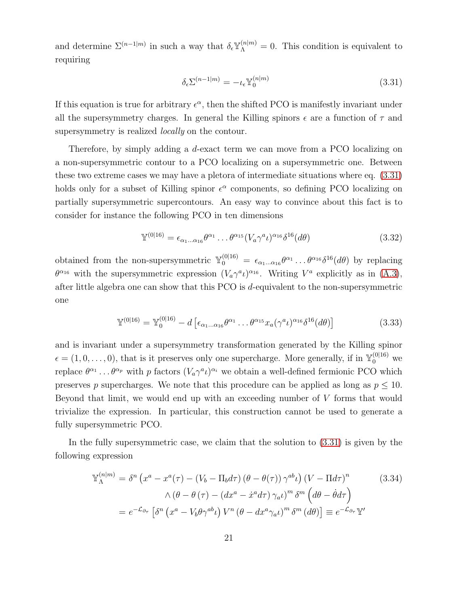and determine  $\Sigma^{(n-1|m)}$  in such a way that  $\delta_{\epsilon} \mathbb{Y}_{\Lambda}^{(n|m)} = 0$ . This condition is equivalent to requiring

<span id="page-21-0"></span>
$$
\delta_{\epsilon} \Sigma^{(n-1|m)} = -\iota_{\epsilon} \mathbb{Y}_0^{(n|m)} \tag{3.31}
$$

If this equation is true for arbitrary  $\epsilon^{\alpha}$ , then the shifted PCO is manifestly invariant under all the supersymmetry charges. In general the Killing spinors  $\epsilon$  are a function of  $\tau$  and supersymmetry is realized *locally* on the contour.

Therefore, by simply adding a d-exact term we can move from a PCO localizing on a non-supersymmetric contour to a PCO localizing on a supersymmetric one. Between these two extreme cases we may have a pletora of intermediate situations where eq. [\(3.31\)](#page-21-0) holds only for a subset of Killing spinor  $\epsilon^{\alpha}$  components, so defining PCO localizing on partially supersymmetric supercontours. An easy way to convince about this fact is to consider for instance the following PCO in ten dimensions

$$
\mathbb{Y}^{(0|16)} = \epsilon_{\alpha_1...\alpha_{16}} \theta^{\alpha_1} \dots \theta^{\alpha_{15}} (V_a \gamma^a \iota)^{\alpha_{16}} \delta^{16}(d\theta)
$$
\n(3.32)

obtained from the non-supersymmetric  $\mathbb{Y}_0^{(0|16)} = \epsilon_{\alpha_1...\alpha_{16}}\theta^{\alpha_1} \dots \theta^{\alpha_{16}}\delta^{16}(d\theta)$  by replacing  $\theta^{\alpha_{16}}$  with the supersymmetric expression  $(V_a \gamma^a \iota)^{\alpha_{16}}$ . Writing  $V^a$  explicitly as in  $(A.3)$ , after little algebra one can show that this PCO is d-equivalent to the non-supersymmetric one

$$
\mathbb{Y}^{(0|16)} = \mathbb{Y}_0^{(0|16)} - d \left[ \epsilon_{\alpha_1...\alpha_{16}} \theta^{\alpha_1} \dots \theta^{\alpha_{15}} x_a (\gamma^a \iota)^{\alpha_{16}} \delta^{16} (d\theta) \right]
$$
(3.33)

and is invariant under a supersymmetry transformation generated by the Killing spinor  $\epsilon = (1, 0, \ldots, 0)$ , that is it preserves only one supercharge. More generally, if in  $\mathbb{Y}_0^{(0|16)}$  we replace  $\theta^{\alpha_1} \dots \theta^{\alpha_p}$  with p factors  $(V_a \gamma^a \iota)^{\alpha_i}$  we obtain a well-defined fermionic PCO which preserves p supercharges. We note that this procedure can be applied as long as  $p \leq 10$ . Beyond that limit, we would end up with an exceeding number of  $V$  forms that would trivialize the expression. In particular, this construction cannot be used to generate a fully supersymmetric PCO.

In the fully supersymmetric case, we claim that the solution to [\(3.31\)](#page-21-0) is given by the following expression

<span id="page-21-1"></span>
$$
\mathbb{Y}_{\Lambda}^{(n|m)} = \delta^{n} \left( x^{a} - x^{a}(\tau) - (V_{b} - \Pi_{b} d\tau) \left( \theta - \theta(\tau) \right) \gamma^{ab} \iota \right) \left( V - \Pi d\tau \right)^{n} \qquad (3.34)
$$

$$
\wedge \left( \theta - \theta(\tau) - \left( dx^{a} - \dot{x}^{a} d\tau \right) \gamma_{a} \iota \right)^{m} \delta^{m} \left( d\theta - \dot{\theta} d\tau \right)
$$

$$
= e^{-\mathcal{L}_{\partial_{\tau}}} \left[ \delta^{n} \left( x^{a} - V_{b} \theta \gamma^{ab} \iota \right) V^{n} \left( \theta - dx^{a} \gamma_{a} \iota \right)^{m} \delta^{m} \left( d\theta \right) \right] \equiv e^{-\mathcal{L}_{\partial_{\tau}}} \mathbb{Y}'
$$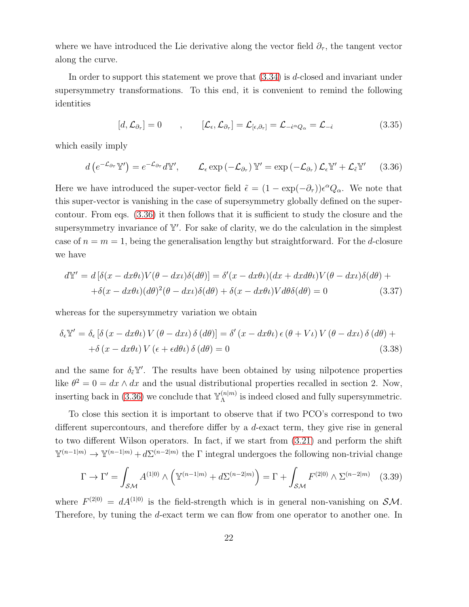where we have introduced the Lie derivative along the vector field  $\partial_{\tau}$ , the tangent vector along the curve.

In order to support this statement we prove that  $(3.34)$  is d-closed and invariant under supersymmetry transformations. To this end, it is convenient to remind the following identities

$$
[d,\mathcal{L}_{\partial_{\tau}}] = 0 \qquad , \qquad [\mathcal{L}_{\epsilon},\mathcal{L}_{\partial_{\tau}}] = \mathcal{L}_{[\epsilon,\partial_{\tau}]} = \mathcal{L}_{-\epsilon^{\alpha}Q_{\alpha}} = \mathcal{L}_{-\epsilon} \qquad (3.35)
$$

which easily imply

<span id="page-22-0"></span>
$$
d\left(e^{-\mathcal{L}_{\partial_{\tau}}}\mathbb{Y}'\right)=e^{-\mathcal{L}_{\partial_{\tau}}}d\mathbb{Y}',\qquad\mathcal{L}_{\epsilon}\exp\left(-\mathcal{L}_{\partial_{\tau}}\right)\mathbb{Y}'=\exp\left(-\mathcal{L}_{\partial_{\tau}}\right)\mathcal{L}_{\epsilon}\mathbb{Y}'+\mathcal{L}_{\tilde{\epsilon}}\mathbb{Y}'\qquad(3.36)
$$

Here we have introduced the super-vector field  $\tilde{\epsilon} = (1 - \exp(-\partial_{\tau})) \epsilon^{\alpha} Q_{\alpha}$ . We note that this super-vector is vanishing in the case of supersymmetry globally defined on the supercontour. From eqs. [\(3.36\)](#page-22-0) it then follows that it is sufficient to study the closure and the supersymmetry invariance of Y'. For sake of clarity, we do the calculation in the simplest case of  $n = m = 1$ , being the generalisation lengthy but straightforward. For the *d*-closure we have

$$
d\mathbb{Y}' = d\left[\delta(x - dx\theta_t)V(\theta - dx_t)\delta(d\theta)\right] = \delta'(x - dx\theta_t)(dx + dx d\theta_t)V(\theta - dx_t)\delta(d\theta) ++\delta(x - dx\theta_t)(d\theta)^2(\theta - dx_t)\delta(d\theta) + \delta(x - dx\theta_t)Vd\theta(\theta) = 0
$$
\n(3.37)

whereas for the supersymmetry variation we obtain

$$
\delta_{\epsilon} \mathbb{Y}' = \delta_{\epsilon} \left[ \delta \left( x - dx \theta \iota \right) V \left( \theta - dx \iota \right) \delta \left( d\theta \right) \right] = \delta' \left( x - dx \theta \iota \right) \epsilon \left( \theta + V \iota \right) V \left( \theta - dx \iota \right) \delta \left( d\theta \right) + + \delta \left( x - dx \theta \iota \right) V \left( \epsilon + \epsilon d\theta \iota \right) \delta \left( d\theta \right) = 0
$$
\n(3.38)

and the same for  $\delta_{\tilde{\epsilon}} Y'$ . The results have been obtained by using nilpotence properties like  $\theta^2 = 0 = dx \wedge dx$  and the usual distributional properties recalled in section 2. Now, inserting back in [\(3.36\)](#page-22-0) we conclude that  $\mathbb{Y}_{\Lambda}^{(n|m)}$  $\Lambda^{(n|m)}$  is indeed closed and fully supersymmetric.

To close this section it is important to observe that if two PCO's correspond to two different supercontours, and therefore differ by a d-exact term, they give rise in general to two different Wilson operators. In fact, if we start from [\(3.21\)](#page-18-3) and perform the shift  $\mathbb{Y}^{(n-1|m)} \to \mathbb{Y}^{(n-1|m)} + d\Sigma^{(n-2|m)}$  the  $\Gamma$  integral undergoes the following non-trivial change

<span id="page-22-1"></span>
$$
\Gamma \to \Gamma' = \int_{\mathcal{SM}} A^{(1|0)} \wedge \left( \mathbb{Y}^{(n-1|m)} + d\Sigma^{(n-2|m)} \right) = \Gamma + \int_{\mathcal{SM}} F^{(2|0)} \wedge \Sigma^{(n-2|m)} \tag{3.39}
$$

where  $F^{(2|0)} = dA^{(1|0)}$  is the field-strength which is in general non-vanishing on  $S\mathcal{M}$ . Therefore, by tuning the d-exact term we can flow from one operator to another one. In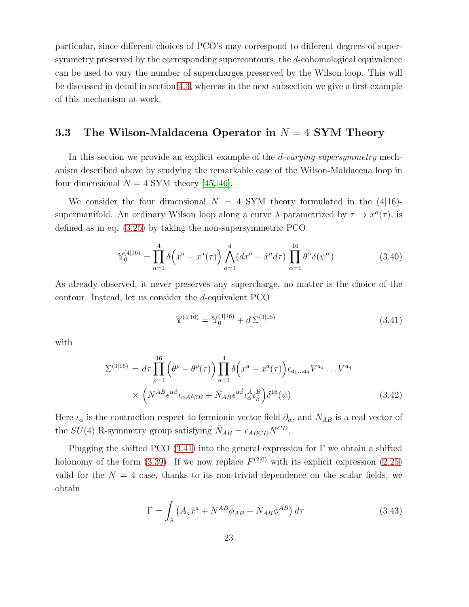particular, since different choices of PCO's may correspond to different degrees of supersymmetry preserved by the corresponding supercontours, the d-cohomological equivalence can be used to vary the number of supercharges preserved by the Wilson loop. This will be discussed in detail in section [4.3,](#page-26-0) whereas in the next subsection we give a first example of this mechanism at work.

### <span id="page-23-0"></span>3.3 The Wilson-Maldacena Operator in  $N = 4$  SYM Theory

In this section we provide an explicit example of the *d-varying supersymmetry* mechanism described above by studying the remarkable case of the Wilson-Maldacena loop in four dimensional  $N = 4$  SYM theory [\[45,](#page-51-1) [46\]](#page-51-2).

We consider the four dimensional  $N = 4$  SYM theory formulated in the (4|16)supermanifold. An ordinary Wilson loop along a curve  $\lambda$  parametrized by  $\tau \to x^a(\tau)$ , is defined as in eq. [\(3.25\)](#page-19-0) by taking the non-supersymmetric PCO

$$
\mathbb{Y}_0^{(4|16)} = \prod_{a=1}^4 \delta\left(x^a - x^a(\tau)\right) \bigwedge_{a=1}^4 (dx^a - \dot{x}^a d\tau) \prod_{\alpha=1}^{16} \theta^{\alpha} \delta(\psi^{\alpha})
$$
(3.40)

As already observed, it never preserves any supercharge, no matter is the choice of the contour. Instead, let us consider the d-equivalent PCO

<span id="page-23-1"></span>
$$
\mathbb{Y}^{(4|16)} = \mathbb{Y}_0^{(4|16)} + d \Sigma^{(3|16)} \tag{3.41}
$$

with

<span id="page-23-3"></span>
$$
\Sigma^{(3|16)} = d\tau \prod_{\rho=1}^{16} \left( \theta^{\rho} - \theta^{\rho}(\tau) \right) \prod_{a=1}^{4} \delta \left( x^a - x^a(\tau) \right) \epsilon_{a_1 \dots a_4} V^{a_1} \dots V^{a_4}
$$

$$
\times \left( N^{AB} \epsilon^{\alpha \beta} \iota_{\alpha A} \iota_{\beta B} + \bar{N}_{AB} \epsilon^{\dot{\alpha} \dot{\beta}} \iota_{\dot{\alpha}}^A \iota_{\dot{\beta}}^B \right) \delta^{16}(\psi)
$$
(3.42)

Here  $\iota_{\alpha}$  is the contraction respect to fermionic vector field  $\partial_{\alpha}$ , and  $N_{AB}$  is a real vector of the  $SU(4)$  R-symmetry group satisfying  $\bar{N}_{AB} = \epsilon_{ABCD} N^{CD}$ .

Plugging the shifted PCO [\(3.41\)](#page-23-1) into the general expression for  $\Gamma$  we obtain a shifted holonomy of the form [\(3.39\)](#page-22-1). If we now replace  $F^{(2|0)}$  with its explicit expression [\(2.25\)](#page-11-1) valid for the  $N = 4$  case, thanks to its non-trivial dependence on the scalar fields, we obtain

<span id="page-23-2"></span>
$$
\Gamma = \int_{\lambda} \left( A_a \dot{x}^a + N^{AB} \bar{\phi}_{AB} + \bar{N}_{AB} \phi^{AB} \right) d\tau \tag{3.43}
$$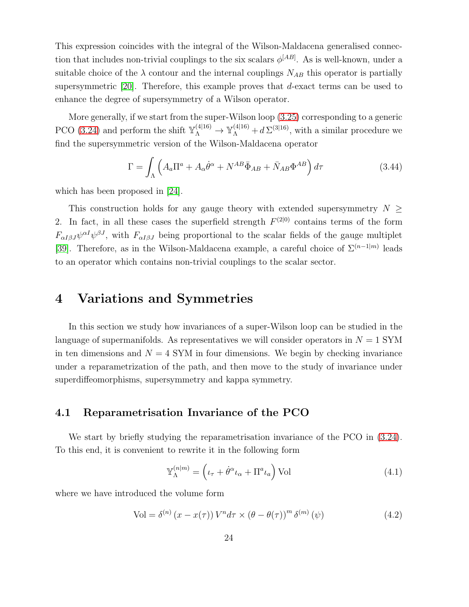This expression coincides with the integral of the Wilson-Maldacena generalised connection that includes non-trivial couplings to the six scalars  $\phi^{[AB]}$ . As is well-known, under a suitable choice of the  $\lambda$  contour and the internal couplings  $N_{AB}$  this operator is partially supersymmetric  $[20]$ . Therefore, this example proves that d-exact terms can be used to enhance the degree of supersymmetry of a Wilson operator.

More generally, if we start from the super-Wilson loop [\(3.25\)](#page-19-0) corresponding to a generic PCO [\(3.24\)](#page-18-4) and perform the shift  $\mathbb{Y}_{\Lambda}^{(4|16)} \to \mathbb{Y}_{\Lambda}^{(4|16)} + d \Sigma^{(3|16)}$ , with a similar procedure we find the supersymmetric version of the Wilson-Maldacena operator

<span id="page-24-3"></span>
$$
\Gamma = \int_{\Lambda} \left( A_a \Pi^a + A_\alpha \dot{\theta}^\alpha + N^{AB} \bar{\Phi}_{AB} + \bar{N}_{AB} \Phi^{AB} \right) d\tau \tag{3.44}
$$

which has been proposed in [\[24\]](#page-48-11).

This construction holds for any gauge theory with extended supersymmetry  $N >$ 2. In fact, in all these cases the superfield strength  $F^{(2|0)}$  contains terms of the form  $F_{\alpha I\beta J}\psi^{\alpha I}\psi^{\beta J}$ , with  $F_{\alpha I\beta J}$  being proportional to the scalar fields of the gauge multiplet [\[39\]](#page-50-4). Therefore, as in the Wilson-Maldacena example, a careful choice of  $\Sigma^{(n-1|m)}$  leads to an operator which contains non-trivial couplings to the scalar sector.

## <span id="page-24-0"></span>4 Variations and Symmetries

In this section we study how invariances of a super-Wilson loop can be studied in the language of supermanifolds. As representatives we will consider operators in  $N = 1$  SYM in ten dimensions and  $N = 4$  SYM in four dimensions. We begin by checking invariance under a reparametrization of the path, and then move to the study of invariance under superdiffeomorphisms, supersymmetry and kappa symmetry.

#### <span id="page-24-1"></span>4.1 Reparametrisation Invariance of the PCO

We start by briefly studying the reparametrisation invariance of the PCO in [\(3.24\)](#page-18-4). To this end, it is convenient to rewrite it in the following form

<span id="page-24-2"></span>
$$
\mathbb{Y}_{\Lambda}^{(n|m)} = \left(\iota_{\tau} + \dot{\theta}^{\alpha}\iota_{\alpha} + \Pi^{a}\iota_{a}\right) \text{Vol} \tag{4.1}
$$

where we have introduced the volume form

$$
\text{Vol} = \delta^{(n)} \left( x - x(\tau) \right) V^n d\tau \times \left( \theta - \theta(\tau) \right)^m \delta^{(m)} \left( \psi \right) \tag{4.2}
$$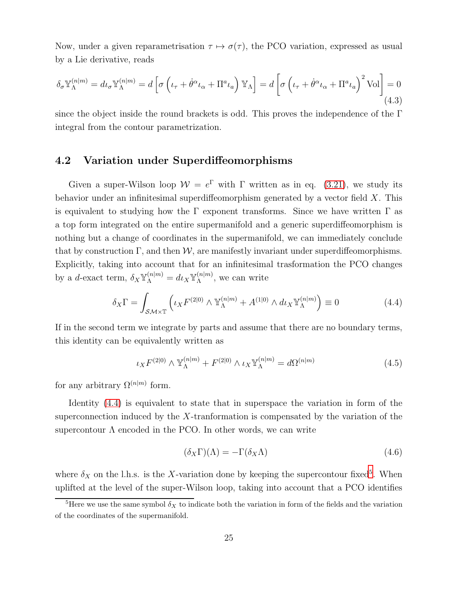Now, under a given reparametrisation  $\tau \mapsto \sigma(\tau)$ , the PCO variation, expressed as usual by a Lie derivative, reads

$$
\delta_{\sigma} \mathbb{Y}_{\Lambda}^{(n|m)} = d\iota_{\sigma} \mathbb{Y}_{\Lambda}^{(n|m)} = d \left[ \sigma \left( \iota_{\tau} + \dot{\theta}^{\alpha} \iota_{\alpha} + \Pi^{a} \iota_{a} \right) \mathbb{Y}_{\Lambda} \right] = d \left[ \sigma \left( \iota_{\tau} + \dot{\theta}^{\alpha} \iota_{\alpha} + \Pi^{a} \iota_{a} \right)^{2} \text{Vol} \right] = 0
$$
\n(4.3)

<span id="page-25-0"></span>since the object inside the round brackets is odd. This proves the independence of the  $\Gamma$ integral from the contour parametrization.

#### 4.2 Variation under Superdiffeomorphisms

Given a super-Wilson loop  $W = e^{\Gamma}$  with  $\Gamma$  written as in eq. [\(3.21\)](#page-18-3), we study its behavior under an infinitesimal superdiffeomorphism generated by a vector field  $X$ . This is equivalent to studying how the  $\Gamma$  exponent transforms. Since we have written  $\Gamma$  as a top form integrated on the entire supermanifold and a generic superdiffeomorphism is nothing but a change of coordinates in the supermanifold, we can immediately conclude that by construction  $\Gamma$ , and then W, are manifestly invariant under superdiffeomorphisms. Explicitly, taking into account that for an infinitesimal trasformation the PCO changes by a *d*-exact term,  $\delta_X \mathbb{Y}_{\Lambda}^{(n|m)} = d\iota_X \mathbb{Y}_{\Lambda}^{(n|m)}$  $\Lambda^{(n|m)}$ , we can write

<span id="page-25-1"></span>
$$
\delta_X \Gamma = \int_{\mathcal{SM}\times\mathbb{T}} \left( \iota_X F^{(2|0)} \wedge \mathbb{Y}_{\Lambda}^{(n|m)} + A^{(1|0)} \wedge d\iota_X \mathbb{Y}_{\Lambda}^{(n|m)} \right) \equiv 0 \tag{4.4}
$$

If in the second term we integrate by parts and assume that there are no boundary terms, this identity can be equivalently written as

<span id="page-25-4"></span>
$$
\iota_X F^{(2|0)} \wedge \mathbb{Y}_{\Lambda}^{(n|m)} + F^{(2|0)} \wedge \iota_X \mathbb{Y}_{\Lambda}^{(n|m)} = d\Omega^{(n|m)} \tag{4.5}
$$

for any arbitrary  $\Omega^{(n|m)}$  form.

Identity [\(4.4\)](#page-25-1) is equivalent to state that in superspace the variation in form of the superconnection induced by the X-tranformation is compensated by the variation of the supercontour  $\Lambda$  encoded in the PCO. In other words, we can write

<span id="page-25-3"></span>
$$
(\delta_X \Gamma)(\Lambda) = -\Gamma(\delta_X \Lambda) \tag{4.6}
$$

where  $\delta_X$  on the l.h.s. is the X-variation done by keeping the supercontour fixed<sup>[5](#page-25-2)</sup>. When uplifted at the level of the super-Wilson loop, taking into account that a PCO identifies

<span id="page-25-2"></span><sup>&</sup>lt;sup>5</sup>Here we use the same symbol  $\delta_X$  to indicate both the variation in form of the fields and the variation of the coordinates of the supermanifold.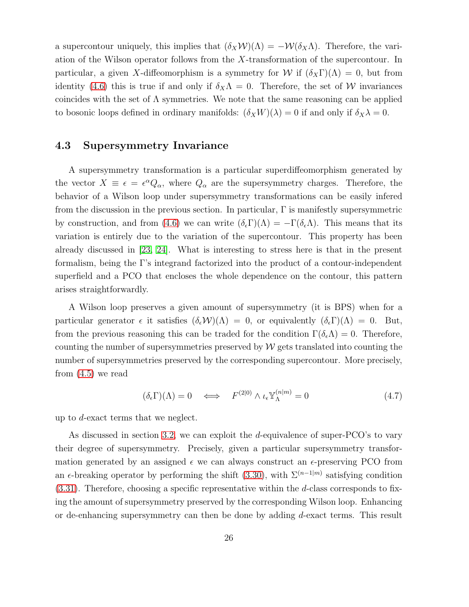a supercontour uniquely, this implies that  $(\delta_X \mathcal{W})(\Lambda) = -\mathcal{W}(\delta_X \Lambda)$ . Therefore, the variation of the Wilson operator follows from the X-transformation of the supercontour. In particular, a given X-diffeomorphism is a symmetry for W if  $(\delta_X \Gamma)(\Lambda) = 0$ , but from identity [\(4.6\)](#page-25-3) this is true if and only if  $\delta_X \Lambda = 0$ . Therefore, the set of W invariances coincides with the set of  $\Lambda$  symmetries. We note that the same reasoning can be applied to bosonic loops defined in ordinary manifolds:  $(\delta_X W)(\lambda) = 0$  if and only if  $\delta_X \lambda = 0$ .

#### <span id="page-26-0"></span>4.3 Supersymmetry Invariance

A supersymmetry transformation is a particular superdiffeomorphism generated by the vector  $X \equiv \epsilon = \epsilon^{\alpha} Q_{\alpha}$ , where  $Q_{\alpha}$  are the supersymmetry charges. Therefore, the behavior of a Wilson loop under supersymmetry transformations can be easily infered from the discussion in the previous section. In particular,  $\Gamma$  is manifestly supersymmetric by construction, and from [\(4.6\)](#page-25-3) we can write  $(\delta_{\epsilon} \Gamma)(\Lambda) = -\Gamma(\delta_{\epsilon} \Lambda)$ . This means that its variation is entirely due to the variation of the supercontour. This property has been already discussed in [\[23,](#page-48-10) [24\]](#page-48-11). What is interesting to stress here is that in the present formalism, being the Γ's integrand factorized into the product of a contour-independent superfield and a PCO that encloses the whole dependence on the contour, this pattern arises straightforwardly.

A Wilson loop preserves a given amount of supersymmetry (it is BPS) when for a particular generator  $\epsilon$  it satisfies  $(\delta_{\epsilon} \mathcal{W})(\Lambda) = 0$ , or equivalently  $(\delta_{\epsilon} \Gamma)(\Lambda) = 0$ . But, from the previous reasoning this can be traded for the condition  $\Gamma(\delta_{\epsilon}\Lambda) = 0$ . Therefore, counting the number of supersymmetries preserved by  $W$  gets translated into counting the number of supersymmetries preserved by the corresponding supercontour. More precisely, from [\(4.5\)](#page-25-4) we read

<span id="page-26-1"></span>
$$
(\delta_{\epsilon}\Gamma)(\Lambda) = 0 \quad \Longleftrightarrow \quad F^{(2|0)} \wedge \iota_{\epsilon} \mathbb{Y}_{\Lambda}^{(n|m)} = 0 \tag{4.7}
$$

up to d-exact terms that we neglect.

As discussed in section [3.2,](#page-17-0) we can exploit the *d*-equivalence of super-PCO's to vary their degree of supersymmetry. Precisely, given a particular supersymmetry transformation generated by an assigned  $\epsilon$  we can always construct an  $\epsilon$ -preserving PCO from an  $\epsilon$ -breaking operator by performing the shift [\(3.30\)](#page-20-0), with  $\Sigma^{(n-1|m)}$  satisfying condition  $(3.31)$ . Therefore, choosing a specific representative within the d-class corresponds to fixing the amount of supersymmetry preserved by the corresponding Wilson loop. Enhancing or de-enhancing supersymmetry can then be done by adding d-exact terms. This result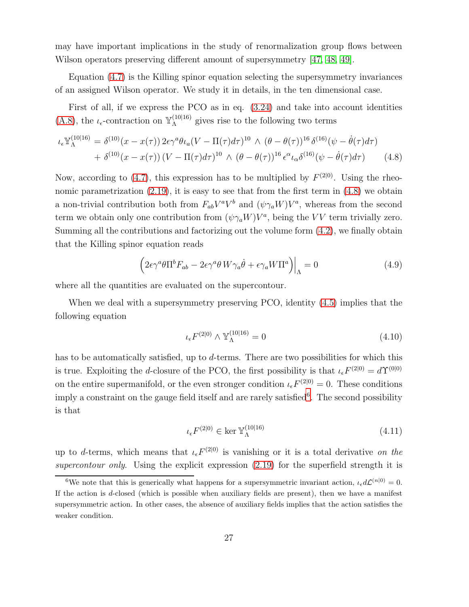may have important implications in the study of renormalization group flows between Wilson operators preserving different amount of supersymmetry [\[47,](#page-51-3) [48,](#page-51-4) [49\]](#page-51-5).

Equation [\(4.7\)](#page-26-1) is the Killing spinor equation selecting the supersymmetry invariances of an assigned Wilson operator. We study it in details, in the ten dimensional case.

First of all, if we express the PCO as in eq. [\(3.24\)](#page-18-4) and take into account identities [\(A.8\)](#page-41-0), the  $\iota_{\epsilon}$ -contraction on  $\mathbb{Y}_{\Lambda}^{(10|16)}$  $\Lambda$ <sup>(10|10)</sup> gives rise to the following two terms

<span id="page-27-0"></span>
$$
\iota_{\epsilon} \mathbb{Y}_{\Lambda}^{(10|16)} = \delta^{(10)}(x - x(\tau)) 2\epsilon \gamma^{a} \theta \iota_{a} (V - \Pi(\tau) d\tau)^{10} \wedge (\theta - \theta(\tau))^{16} \delta^{(16)}(\psi - \dot{\theta}(\tau) d\tau) + \delta^{(10)}(x - x(\tau)) (V - \Pi(\tau) d\tau)^{10} \wedge (\theta - \theta(\tau))^{16} \epsilon^{\alpha} \iota_{\alpha} \delta^{(16)}(\psi - \dot{\theta}(\tau) d\tau)
$$
(4.8)

Now, according to [\(4.7\)](#page-26-1), this expression has to be multiplied by  $F^{(2|0)}$ . Using the rheonomic parametrization  $(2.19)$ , it is easy to see that from the first term in  $(4.8)$  we obtain a non-trivial contribution both from  $F_{ab}V^aV^b$  and  $(\psi \gamma_a W)V^a$ , whereas from the second term we obtain only one contribution from  $(\psi \gamma_a W)V^a$ , being the VV term trivially zero. Summing all the contributions and factorizing out the volume form [\(4.2\)](#page-24-2), we finally obtain that the Killing spinor equation reads

<span id="page-27-2"></span>
$$
\left(2\epsilon\gamma^a\theta\Pi^bF_{ab} - 2\epsilon\gamma^a\theta W\gamma_a\dot{\theta} + \epsilon\gamma_a W\Pi^a\right)\Big|_{\Lambda} = 0\tag{4.9}
$$

where all the quantities are evaluated on the supercontour.

When we deal with a supersymmetry preserving PCO, identity [\(4.5\)](#page-25-4) implies that the following equation

$$
\iota_{\epsilon} F^{(2|0)} \wedge \mathbb{Y}_{\Lambda}^{(10|16)} = 0 \tag{4.10}
$$

has to be automatically satisfied, up to d-terms. There are two possibilities for which this is true. Exploiting the d-closure of the PCO, the first possibility is that  $\iota_{\epsilon} F^{(2|0)} = d\Upsilon^{(0|0)}$ on the entire supermanifold, or the even stronger condition  $\iota_{\epsilon} F^{(2|0)} = 0$ . These conditions imply a constraint on the gauge field itself and are rarely satisfied<sup>[6](#page-27-1)</sup>. The second possibility is that

$$
\iota_{\epsilon} F^{(2|0)} \in \ker \mathbb{Y}_{\Lambda}^{(10|16)} \tag{4.11}
$$

up to d-terms, which means that  $\iota_{\epsilon} F^{(2|0)}$  is vanishing or it is a total derivative on the supercontour only. Using the explicit expression  $(2.19)$  for the superfield strength it is

<span id="page-27-1"></span><sup>&</sup>lt;sup>6</sup>We note that this is generically what happens for a supersymmetric invariant action,  $\iota_{\epsilon} d\mathcal{L}^{(n|0)} = 0$ . If the action is  $d$ -closed (which is possible when auxiliary fields are present), then we have a manifest supersymmetric action. In other cases, the absence of auxiliary fields implies that the action satisfies the weaker condition.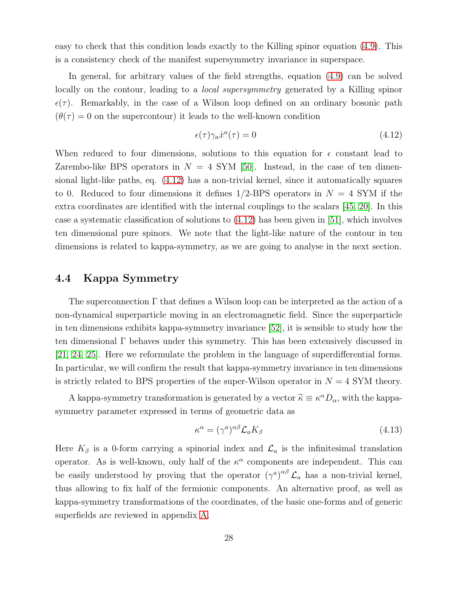easy to check that this condition leads exactly to the Killing spinor equation [\(4.9\)](#page-27-2). This is a consistency check of the manifest supersymmetry invariance in superspace.

In general, for arbitrary values of the field strengths, equation [\(4.9\)](#page-27-2) can be solved locally on the contour, leading to a *local supersymmetry* generated by a Killing spinor  $\epsilon(\tau)$ . Remarkably, in the case of a Wilson loop defined on an ordinary bosonic path  $(\theta(\tau) = 0$  on the supercontour) it leads to the well-known condition

<span id="page-28-1"></span>
$$
\epsilon(\tau)\gamma_a \dot{x}^a(\tau) = 0 \tag{4.12}
$$

When reduced to four dimensions, solutions to this equation for  $\epsilon$  constant lead to Zarembo-like BPS operators in  $N = 4$  SYM [\[50\]](#page-51-6). Instead, in the case of ten dimensional light-like paths, eq. [\(4.12\)](#page-28-1) has a non-trivial kernel, since it automatically squares to 0. Reduced to four dimensions it defines  $1/2$ -BPS operators in  $N = 4$  SYM if the extra coordinates are identified with the internal couplings to the scalars [\[45,](#page-51-1) [20\]](#page-48-7). In this case a systematic classification of solutions to  $(4.12)$  has been given in [\[51\]](#page-51-7), which involves ten dimensional pure spinors. We note that the light-like nature of the contour in ten dimensions is related to kappa-symmetry, as we are going to analyse in the next section.

#### <span id="page-28-0"></span>4.4 Kappa Symmetry

The superconnection Γ that defines a Wilson loop can be interpreted as the action of a non-dynamical superparticle moving in an electromagnetic field. Since the superparticle in ten dimensions exhibits kappa-symmetry invariance [\[52\]](#page-51-8), it is sensible to study how the ten dimensional Γ behaves under this symmetry. This has been extensively discussed in [\[21,](#page-48-8) [24,](#page-48-11) [25\]](#page-49-0). Here we reformulate the problem in the language of superdifferential forms. In particular, we will confirm the result that kappa-symmetry invariance in ten dimensions is strictly related to BPS properties of the super-Wilson operator in  $N = 4$  SYM theory.

A kappa-symmetry transformation is generated by a vector  $\tilde{\kappa} \equiv \kappa^{\alpha} D_{\alpha}$ , with the kappasymmetry parameter expressed in terms of geometric data as

<span id="page-28-2"></span>
$$
\kappa^{\alpha} = (\gamma^a)^{\alpha\beta} \mathcal{L}_a K_\beta \tag{4.13}
$$

Here  $K_{\beta}$  is a 0-form carrying a spinorial index and  $\mathcal{L}_{a}$  is the infinitesimal translation operator. As is well-known, only half of the  $\kappa^{\alpha}$  components are independent. This can be easily understood by proving that the operator  $(\gamma^a)^{\alpha\beta} \mathcal{L}_a$  has a non-trivial kernel, thus allowing to fix half of the fermionic components. An alternative proof, as well as kappa-symmetry transformations of the coordinates, of the basic one-forms and of generic superfields are reviewed in appendix [A.](#page-40-0)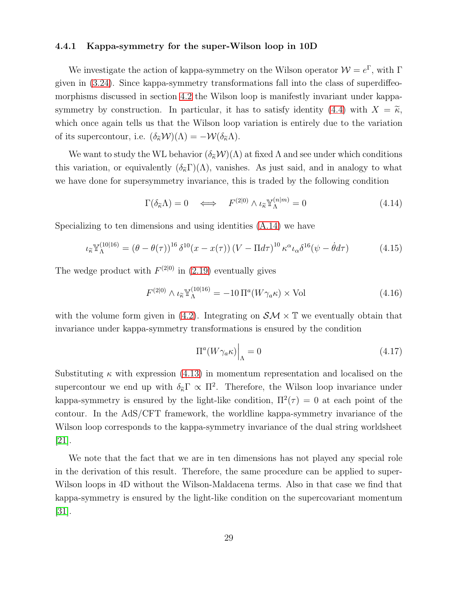#### <span id="page-29-0"></span>4.4.1 Kappa-symmetry for the super-Wilson loop in 10D

We investigate the action of kappa-symmetry on the Wilson operator  $W = e^{\Gamma}$ , with  $\Gamma$ given in [\(3.24\)](#page-18-4). Since kappa-symmetry transformations fall into the class of superdiffeomorphisms discussed in section [4.2](#page-25-0) the Wilson loop is manifestly invariant under kappa-symmetry by construction. In particular, it has to satisfy identity [\(4.4\)](#page-25-1) with  $X = \tilde{\kappa}$ , which once again tells us that the Wilson loop variation is entirely due to the variation of its supercontour, i.e.  $(\delta_{\tilde{\kappa}}\mathcal{W})(\Lambda) = -\mathcal{W}(\delta_{\tilde{\kappa}}\Lambda)$ .

We want to study the WL behavior  $(\delta_{\tilde{\kappa}}W)(\Lambda)$  at fixed  $\Lambda$  and see under which conditions this variation, or equivalently  $(\delta_{\tilde{\kappa}}\Gamma)(\Lambda)$ , vanishes. As just said, and in analogy to what we have done for supersymmetry invariance, this is traded by the following condition

$$
\Gamma(\delta_{\widetilde{\kappa}}\Lambda) = 0 \quad \Longleftrightarrow \quad F^{(2|0)} \wedge \iota_{\widetilde{\kappa}}\mathbb{Y}_{\Lambda}^{(n|m)} = 0 \tag{4.14}
$$

Specializing to ten dimensions and using identities [\(A.14\)](#page-41-1) we have

$$
\iota_{\widetilde{\kappa}}\mathbb{Y}_{\Lambda}^{(10|16)} = \left(\theta - \theta(\tau)\right)^{16} \delta^{10} (x - x(\tau)) \left(V - \Pi d\tau\right)^{10} \kappa^{\alpha} \iota_{\alpha} \delta^{16} (\psi - \dot{\theta} d\tau) \tag{4.15}
$$

The wedge product with  $F^{(2|0)}$  in [\(2.19\)](#page-10-1) eventually gives

$$
F^{(2|0)} \wedge \iota_{\widetilde{\kappa}} \mathbb{Y}_{\Lambda}^{(10|16)} = -10 \Pi^{a}(W\gamma_{a}\kappa) \times \text{Vol}
$$
 (4.16)

with the volume form given in [\(4.2\)](#page-24-2). Integrating on  $\mathcal{SM} \times \mathbb{T}$  we eventually obtain that invariance under kappa-symmetry transformations is ensured by the condition

<span id="page-29-1"></span>
$$
\Pi^{a}(W\gamma_{a}\kappa)\Big|_{\Lambda} = 0\tag{4.17}
$$

Substituting  $\kappa$  with expression [\(4.13\)](#page-28-2) in momentum representation and localised on the supercontour we end up with  $\delta_{\tilde{\kappa}} \Gamma \propto \Pi^2$ . Therefore, the Wilson loop invariance under kappa-symmetry is ensured by the light-like condition,  $\Pi^2(\tau) = 0$  at each point of the contour. In the AdS/CFT framework, the worldline kappa-symmetry invariance of the Wilson loop corresponds to the kappa-symmetry invariance of the dual string worldsheet [\[21\]](#page-48-8).

We note that the fact that we are in ten dimensions has not played any special role in the derivation of this result. Therefore, the same procedure can be applied to super-Wilson loops in 4D without the Wilson-Maldacena terms. Also in that case we find that kappa-symmetry is ensured by the light-like condition on the supercovariant momentum [\[31\]](#page-49-6).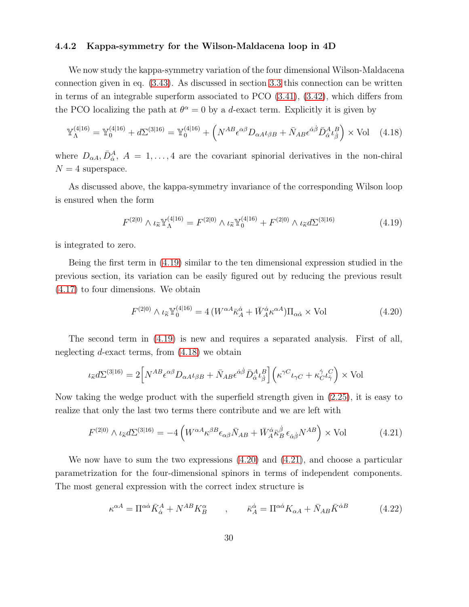#### <span id="page-30-0"></span>4.4.2 Kappa-symmetry for the Wilson-Maldacena loop in 4D

We now study the kappa-symmetry variation of the four dimensional Wilson-Maldacena connection given in eq. [\(3.43\)](#page-23-2). As discussed in section [3.3](#page-23-0) this connection can be written in terms of an integrable superform associated to PCO [\(3.41\)](#page-23-1), [\(3.42\)](#page-23-3), which differs from the PCO localizing the path at  $\theta^{\alpha} = 0$  by a d-exact term. Explicitly it is given by

<span id="page-30-2"></span>
$$
\mathbb{Y}_{\Lambda}^{(4|16)} = \mathbb{Y}_{0}^{(4|16)} + d\Sigma^{(3|16)} = \mathbb{Y}_{0}^{(4|16)} + \left( N^{AB} \epsilon^{\alpha\beta} D_{\alpha A} \iota_{\beta B} + \bar{N}_{AB} \epsilon^{\dot{\alpha}\dot{\beta}} \bar{D}_{\dot{\alpha}}^{A} \iota_{\dot{\beta}}^{B} \right) \times \text{Vol} \quad (4.18)
$$

where  $D_{\alpha A}$ ,  $\bar{D}_{\dot{\alpha}}^A$ ,  $A = 1, \ldots, 4$  are the covariant spinorial derivatives in the non-chiral  $N = 4$  superspace.

As discussed above, the kappa-symmetry invariance of the corresponding Wilson loop is ensured when the form

<span id="page-30-1"></span>
$$
F^{(2|0)} \wedge \iota_{\widetilde{\kappa}} \mathbb{Y}_{\Lambda}^{(4|16)} = F^{(2|0)} \wedge \iota_{\widetilde{\kappa}} \mathbb{Y}_{0}^{(4|16)} + F^{(2|0)} \wedge \iota_{\widetilde{\kappa}} d\Sigma^{(3|16)} \tag{4.19}
$$

is integrated to zero.

Being the first term in [\(4.19\)](#page-30-1) similar to the ten dimensional expression studied in the previous section, its variation can be easily figured out by reducing the previous result [\(4.17\)](#page-29-1) to four dimensions. We obtain

<span id="page-30-4"></span><span id="page-30-3"></span>
$$
F^{(2|0)} \wedge \iota_{\widetilde{\kappa}} \mathbb{Y}_0^{(4|16)} = 4 \left( W^{\alpha A} \bar{\kappa}_A^{\dot{\alpha}} + \bar{W}_A^{\dot{\alpha}} \kappa^{\alpha A} \right) \Pi_{\alpha \dot{\alpha}} \times \text{Vol} \tag{4.20}
$$

The second term in [\(4.19\)](#page-30-1) is new and requires a separated analysis. First of all, neglecting d-exact terms, from  $(4.18)$  we obtain

$$
\iota_{\widetilde{\kappa}} d\Sigma^{(3|16)} = 2 \Big[ N^{AB} \epsilon^{\alpha\beta} D_{\alpha A} \iota_{\beta B} + \bar{N}_{AB} \epsilon^{\dot{\alpha}\dot{\beta}} \bar{D}_{\dot{\alpha}}^{A} \iota_{\dot{\beta}}^{B} \Big] \Big( \kappa^{\gamma C} \iota_{\gamma C} + \kappa_{C}^{\dot{\gamma}} \iota_{\dot{\gamma}}^{C} \Big) \times \text{Vol}
$$

Now taking the wedge product with the superfield strength given in [\(2.25\)](#page-11-1), it is easy to realize that only the last two terms there contribute and we are left with

$$
F^{(2|0)} \wedge \iota_{\widetilde{\kappa}} d\Sigma^{(3|16)} = -4 \left( W^{\alpha A} \kappa^{\beta B} \epsilon_{\alpha \beta} \bar{N}_{AB} + \bar{W}^{\dot{\alpha}}_{A} \bar{\kappa}_{B}^{\dot{\beta}} \epsilon_{\dot{\alpha}\dot{\beta}} N^{AB} \right) \times \text{Vol}
$$
(4.21)

We now have to sum the two expressions [\(4.20\)](#page-30-3) and [\(4.21\)](#page-30-4), and choose a particular parametrization for the four-dimensional spinors in terms of independent components. The most general expression with the correct index structure is

$$
\kappa^{\alpha A} = \Pi^{\alpha \dot{\alpha}} \bar{K}_{\dot{\alpha}}^A + N^{AB} K_B^{\alpha} \qquad , \qquad \bar{\kappa}_A^{\dot{\alpha}} = \Pi^{\alpha \dot{\alpha}} K_{\alpha A} + \bar{N}_{AB} \bar{K}^{\dot{\alpha} B} \tag{4.22}
$$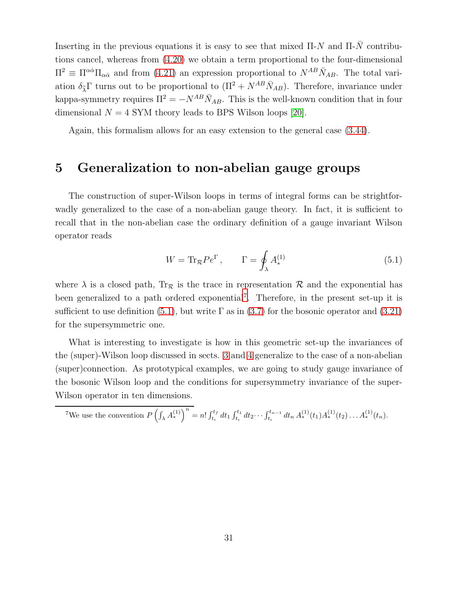Inserting in the previous equations it is easy to see that mixed  $\Pi$ -N and  $\Pi$ -N contributions cancel, whereas from [\(4.20\)](#page-30-3) we obtain a term proportional to the four-dimensional  $\Pi^2 \equiv \Pi^{\alpha\dot{\alpha}}\Pi_{\alpha\dot{\alpha}}$  and from [\(4.21\)](#page-30-4) an expression proportional to  $N^{AB}\bar{N}_{AB}$ . The total variation  $\delta_{\tilde{\lambda}} \Gamma$  turns out to be proportional to  $(\Pi^2 + N^{AB} \bar{N}_{AB})$ . Therefore, invariance under kappa-symmetry requires  $\Pi^2 = -N^{AB} \bar{N}_{AB}$ . This is the well-known condition that in four dimensional  $N = 4$  SYM theory leads to BPS Wilson loops [\[20\]](#page-48-7).

<span id="page-31-0"></span>Again, this formalism allows for an easy extension to the general case [\(3.44\)](#page-24-3).

## 5 Generalization to non-abelian gauge groups

The construction of super-Wilson loops in terms of integral forms can be strightforwadly generalized to the case of a non-abelian gauge theory. In fact, it is sufficient to recall that in the non-abelian case the ordinary definition of a gauge invariant Wilson operator reads

<span id="page-31-2"></span>
$$
W = \text{Tr}_{\mathcal{R}} P e^{\Gamma}, \qquad \Gamma = \oint_{\lambda} A_*^{(1)} \tag{5.1}
$$

where  $\lambda$  is a closed path,  $Tr_R$  is the trace in representation R and the exponential has been generalized to a path ordered exponential<sup>[7](#page-31-1)</sup>. Therefore, in the present set-up it is sufficient to use definition [\(5.1\)](#page-31-2), but write  $\Gamma$  as in [\(3.7\)](#page-14-2) for the bosonic operator and [\(3.21\)](#page-18-3) for the supersymmetric one.

What is interesting to investigate is how in this geometric set-up the invariances of the (super)-Wilson loop discussed in sects. [3](#page-13-0) and [4](#page-24-0) generalize to the case of a non-abelian (super)connection. As prototypical examples, we are going to study gauge invariance of the bosonic Wilson loop and the conditions for supersymmetry invariance of the super-Wilson operator in ten dimensions.

<span id="page-31-1"></span><sup>7</sup>We use the convention  $P\left(\int_{\lambda} A_*^{(1)}\right)^n = n! \int_{t_i}^{t_f} dt_1 \int_{t_i}^{t_1} dt_2 \cdots \int_{t_i}^{t_{n-1}} dt_n A_*^{(1)}(t_1) A_*^{(1)}(t_2) \ldots A_*^{(1)}(t_n)$ .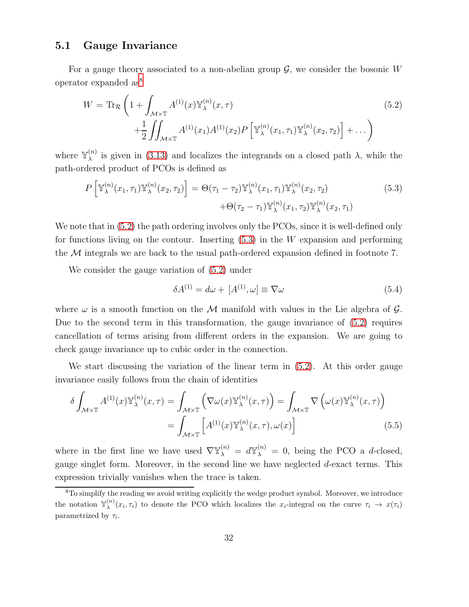#### <span id="page-32-0"></span>5.1 Gauge Invariance

For a gauge theory associated to a non-abelian group  $\mathcal{G}$ , we consider the bosonic W operator expanded as[8](#page-32-1)

<span id="page-32-2"></span>
$$
W = \text{Tr}_{\mathcal{R}} \left( 1 + \int_{\mathcal{M} \times \mathbb{T}} A^{(1)}(x) \mathbb{Y}_{\lambda}^{(n)}(x, \tau) \right. \\ \left. + \frac{1}{2} \iint_{\mathcal{M} \times \mathbb{T}} A^{(1)}(x_1) A^{(1)}(x_2) P \left[ \mathbb{Y}_{\lambda}^{(n)}(x_1, \tau_1) \mathbb{Y}_{\lambda}^{(n)}(x_2, \tau_2) \right] + \dots \right)
$$
\n(5.2)

where  $\mathbb{Y}_{\lambda}^{(n)}$  $\lambda^{(n)}$  is given in [\(3.13\)](#page-16-0) and localizes the integrands on a closed path  $\lambda$ , while the path-ordered product of PCOs is defined as

<span id="page-32-3"></span>
$$
P\left[\mathbb{Y}_{\lambda}^{(n)}(x_1,\tau_1)\mathbb{Y}_{\lambda}^{(n)}(x_2,\tau_2)\right] = \Theta(\tau_1-\tau_2)\mathbb{Y}_{\lambda}^{(n)}(x_1,\tau_1)\mathbb{Y}_{\lambda}^{(n)}(x_2,\tau_2) + \Theta(\tau_2-\tau_1)\mathbb{Y}_{\lambda}^{(n)}(x_1,\tau_2)\mathbb{Y}_{\lambda}^{(n)}(x_2,\tau_1)
$$
\n(5.3)

We note that in  $(5.2)$  the path ordering involves only the PCOs, since it is well-defined only for functions living on the contour. Inserting  $(5.3)$  in the W expansion and performing the  $M$  integrals we are back to the usual path-ordered expansion defined in footnote 7.

We consider the gauge variation of [\(5.2\)](#page-32-2) under

$$
\delta A^{(1)} = d\omega + [A^{(1)}, \omega] \equiv \nabla \omega \tag{5.4}
$$

where  $\omega$  is a smooth function on the M manifold with values in the Lie algebra of G. Due to the second term in this transformation, the gauge invariance of [\(5.2\)](#page-32-2) requires cancellation of terms arising from different orders in the expansion. We are going to check gauge invariance up to cubic order in the connection.

We start discussing the variation of the linear term in [\(5.2\)](#page-32-2). At this order gauge invariance easily follows from the chain of identities

$$
\delta \int_{\mathcal{M}\times\mathbb{T}} A^{(1)}(x) \mathbb{Y}_{\lambda}^{(n)}(x,\tau) = \int_{\mathcal{M}\times\mathbb{T}} \left( \nabla \omega(x) \mathbb{Y}_{\lambda}^{(n)}(x,\tau) \right) = \int_{\mathcal{M}\times\mathbb{T}} \nabla \left( \omega(x) \mathbb{Y}_{\lambda}^{(n)}(x,\tau) \right)
$$

$$
= \int_{\mathcal{M}\times\mathbb{T}} \left[ A^{(1)}(x) \mathbb{Y}_{\lambda}^{(n)}(x,\tau), \omega(x) \right]
$$
(5.5)

where in the first line we have used  $\nabla \mathbb{Y}_{\lambda}^{(n)} = d \mathbb{Y}_{\lambda}^{(n)} = 0$ , being the PCO a d-closed, gauge singlet form. Moreover, in the second line we have neglected d-exact terms. This expression trivially vanishes when the trace is taken.

<span id="page-32-1"></span><sup>&</sup>lt;sup>8</sup>To simplify the reading we avoid writing explicitly the wedge product symbol. Moreover, we introduce the notation  $\mathbb{Y}_{\lambda}^{(n)}(x_i, \tau_i)$  to denote the PCO which localizes the  $x_i$ -integral on the curve  $\tau_i \to x(\tau_i)$ parametrized by  $\tau_i$ .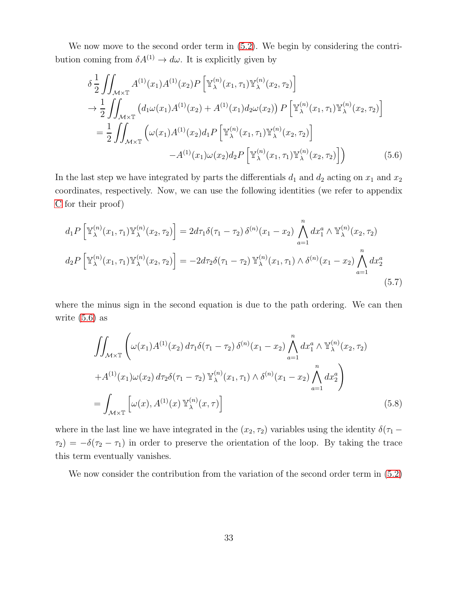We now move to the second order term in  $(5.2)$ . We begin by considering the contribution coming from  $\delta A^{(1)} \to d\omega$ . It is explicitly given by

<span id="page-33-1"></span>
$$
\delta \frac{1}{2} \iint_{\mathcal{M}\times\mathbb{T}} A^{(1)}(x_1) A^{(1)}(x_2) P \left[ \mathbb{Y}_{\lambda}^{(n)}(x_1, \tau_1) \mathbb{Y}_{\lambda}^{(n)}(x_2, \tau_2) \right] \n\to \frac{1}{2} \iint_{\mathcal{M}\times\mathbb{T}} \left( d_1 \omega(x_1) A^{(1)}(x_2) + A^{(1)}(x_1) d_2 \omega(x_2) \right) P \left[ \mathbb{Y}_{\lambda}^{(n)}(x_1, \tau_1) \mathbb{Y}_{\lambda}^{(n)}(x_2, \tau_2) \right] \n= \frac{1}{2} \iint_{\mathcal{M}\times\mathbb{T}} \left( \omega(x_1) A^{(1)}(x_2) d_1 P \left[ \mathbb{Y}_{\lambda}^{(n)}(x_1, \tau_1) \mathbb{Y}_{\lambda}^{(n)}(x_2, \tau_2) \right] \n- A^{(1)}(x_1) \omega(x_2) d_2 P \left[ \mathbb{Y}_{\lambda}^{(n)}(x_1, \tau_1) \mathbb{Y}_{\lambda}^{(n)}(x_2, \tau_2) \right] \right)
$$
\n(5.6)

In the last step we have integrated by parts the differentials  $d_1$  and  $d_2$  acting on  $x_1$  and  $x_2$ coordinates, respectively. Now, we can use the following identities (we refer to appendix [C](#page-43-1) for their proof)

<span id="page-33-0"></span>
$$
d_1 P\left[\mathbb{Y}_{\lambda}^{(n)}(x_1, \tau_1)\mathbb{Y}_{\lambda}^{(n)}(x_2, \tau_2)\right] = 2d\tau_1 \delta(\tau_1 - \tau_2) \delta^{(n)}(x_1 - x_2) \bigwedge_{a=1}^{n} dx_1^a \wedge \mathbb{Y}_{\lambda}^{(n)}(x_2, \tau_2)
$$
  

$$
d_2 P\left[\mathbb{Y}_{\lambda}^{(n)}(x_1, \tau_1)\mathbb{Y}_{\lambda}^{(n)}(x_2, \tau_2)\right] = -2d\tau_2 \delta(\tau_1 - \tau_2) \mathbb{Y}_{\lambda}^{(n)}(x_1, \tau_1) \wedge \delta^{(n)}(x_1 - x_2) \bigwedge_{a=1}^{n} dx_2^a
$$
\n(5.7)

where the minus sign in the second equation is due to the path ordering. We can then write [\(5.6\)](#page-33-1) as

<span id="page-33-2"></span>
$$
\iint_{\mathcal{M}\times\mathbb{T}} \left( \omega(x_1) A^{(1)}(x_2) d\tau_1 \delta(\tau_1 - \tau_2) \delta^{(n)}(x_1 - x_2) \bigwedge_{a=1}^n dx_1^a \wedge \mathbb{Y}_{\lambda}^{(n)}(x_2, \tau_2) \right. \\
\left. + A^{(1)}(x_1) \omega(x_2) d\tau_2 \delta(\tau_1 - \tau_2) \, \mathbb{Y}_{\lambda}^{(n)}(x_1, \tau_1) \wedge \delta^{(n)}(x_1 - x_2) \bigwedge_{a=1}^n dx_2^a \right) \\
= \int_{\mathcal{M}\times\mathbb{T}} \left[ \omega(x), A^{(1)}(x) \, \mathbb{Y}_{\lambda}^{(n)}(x, \tau) \right] \tag{5.8}
$$

where in the last line we have integrated in the  $(x_2, \tau_2)$  variables using the identity  $\delta(\tau_1 \tau_2$ ) =  $-\delta(\tau_2 - \tau_1)$  in order to preserve the orientation of the loop. By taking the trace this term eventually vanishes.

We now consider the contribution from the variation of the second order term in  $(5.2)$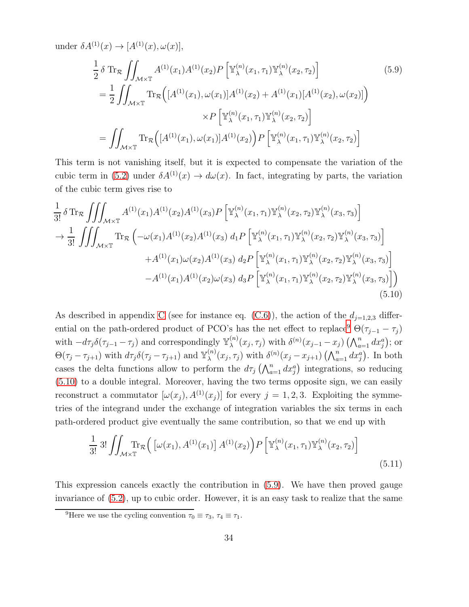under  $\delta A^{(1)}(x) \rightarrow [A^{(1)}(x), \omega(x)],$ 

<span id="page-34-2"></span>
$$
\frac{1}{2} \delta \operatorname{Tr}_{\mathcal{R}} \iint_{\mathcal{M} \times \mathbb{T}} A^{(1)}(x_1) A^{(1)}(x_2) P \left[ \mathbb{Y}_{\lambda}^{(n)}(x_1, \tau_1) \mathbb{Y}_{\lambda}^{(n)}(x_2, \tau_2) \right]
$$
(5.9)  
\n
$$
= \frac{1}{2} \iint_{\mathcal{M} \times \mathbb{T}} \operatorname{Tr}_{\mathcal{R}} \left( [A^{(1)}(x_1), \omega(x_1)] A^{(1)}(x_2) + A^{(1)}(x_1) [A^{(1)}(x_2), \omega(x_2)] \right)
$$
  
\n
$$
\times P \left[ \mathbb{Y}_{\lambda}^{(n)}(x_1, \tau_1) \mathbb{Y}_{\lambda}^{(n)}(x_2, \tau_2) \right]
$$
  
\n
$$
= \iint_{\mathcal{M} \times \mathbb{T}} \operatorname{Tr}_{\mathcal{R}} \left( [A^{(1)}(x_1), \omega(x_1)] A^{(1)}(x_2) \right) P \left[ \mathbb{Y}_{\lambda}^{(n)}(x_1, \tau_1) \mathbb{Y}_{\lambda}^{(n)}(x_2, \tau_2) \right]
$$

This term is not vanishing itself, but it is expected to compensate the variation of the cubic term in [\(5.2\)](#page-32-2) under  $\delta A^{(1)}(x) \to d\omega(x)$ . In fact, integrating by parts, the variation of the cubic term gives rise to

<span id="page-34-1"></span>
$$
\frac{1}{3!} \delta \operatorname{Tr}_{\mathcal{R}} \iiint_{\mathcal{M} \times \mathbb{T}} A^{(1)}(x_1) A^{(1)}(x_2) A^{(1)}(x_3) P \left[ \mathbb{Y}_{\lambda}^{(n)}(x_1, \tau_1) \mathbb{Y}_{\lambda}^{(n)}(x_2, \tau_2) \mathbb{Y}_{\lambda}^{(n)}(x_3, \tau_3) \right] \n\to \frac{1}{3!} \iiint_{\mathcal{M} \times \mathbb{T}} \operatorname{Tr}_{\mathcal{R}} \left( -\omega(x_1) A^{(1)}(x_2) A^{(1)}(x_3) d_1 P \left[ \mathbb{Y}_{\lambda}^{(n)}(x_1, \tau_1) \mathbb{Y}_{\lambda}^{(n)}(x_2, \tau_2) \mathbb{Y}_{\lambda}^{(n)}(x_3, \tau_3) \right] \n+ A^{(1)}(x_1) \omega(x_2) A^{(1)}(x_3) d_2 P \left[ \mathbb{Y}_{\lambda}^{(n)}(x_1, \tau_1) \mathbb{Y}_{\lambda}^{(n)}(x_2, \tau_2) \mathbb{Y}_{\lambda}^{(n)}(x_3, \tau_3) \right] \n- A^{(1)}(x_1) A^{(1)}(x_2) \omega(x_3) d_3 P \left[ \mathbb{Y}_{\lambda}^{(n)}(x_1, \tau_1) \mathbb{Y}_{\lambda}^{(n)}(x_2, \tau_2) \mathbb{Y}_{\lambda}^{(n)}(x_3, \tau_3) \right] \right)
$$
\n(5.10)

As described in appendix [C](#page-43-1) (see for instance eq.  $(C.6)$ ), the action of the  $d_{i=1,2,3}$  differ-ential on the path-ordered product of PCO's has the net effect to replace<sup>[9](#page-34-0)</sup>  $\Theta(\tau_{j-1} - \tau_j)$ with  $-d\tau_j \delta(\tau_{j-1} - \tau_j)$  and correspondingly  $\mathbb{Y}_{\lambda}^{(n)}$  $\lambda^{(n)}(x_j, \tau_j)$  with  $\delta^{(n)}(x_{j-1}-x_j)$   $(\bigwedge_{a=1}^n dx_j^a)$ ; or  $\Theta(\tau_j - \tau_{j+1})$  with  $d\tau_j \delta(\tau_j - \tau_{j+1})$  and  $\mathbb{Y}_{\lambda}^{(n)}$  $\lambda^{(n)}(x_j, \tau_j)$  with  $\delta^{(n)}(x_j - x_{j+1}) \left(\bigwedge_{a=1}^n dx_j^a\right)$ . In both cases the delta functions allow to perform the  $d\tau_j \left(\bigwedge_{a=1}^n dx_j^a\right)$  integrations, so reducing [\(5.10\)](#page-34-1) to a double integral. Moreover, having the two terms opposite sign, we can easily reconstruct a commutator  $[\omega(x_i), A^{(1)}(x_i)]$  for every  $j = 1, 2, 3$ . Exploiting the symmetries of the integrand under the exchange of integration variables the six terms in each path-ordered product give eventually the same contribution, so that we end up with

$$
\frac{1}{3!} \, 3! \, \iint_{\mathcal{M} \times \mathbb{T}} \! \mathrm{Tr}_{\mathcal{R}} \Big( \left[ \omega(x_1), A^{(1)}(x_1) \right] A^{(1)}(x_2) \Big) P \left[ \mathbb{Y}_{\lambda}^{(n)}(x_1, \tau_1) \mathbb{Y}_{\lambda}^{(n)}(x_2, \tau_2) \right] \tag{5.11}
$$

This expression cancels exactly the contribution in [\(5.9\)](#page-34-2). We have then proved gauge invariance of [\(5.2\)](#page-32-2), up to cubic order. However, it is an easy task to realize that the same

<span id="page-34-0"></span><sup>&</sup>lt;sup>9</sup>Here we use the cycling convention  $\tau_0 \equiv \tau_3$ ,  $\tau_4 \equiv \tau_1$ .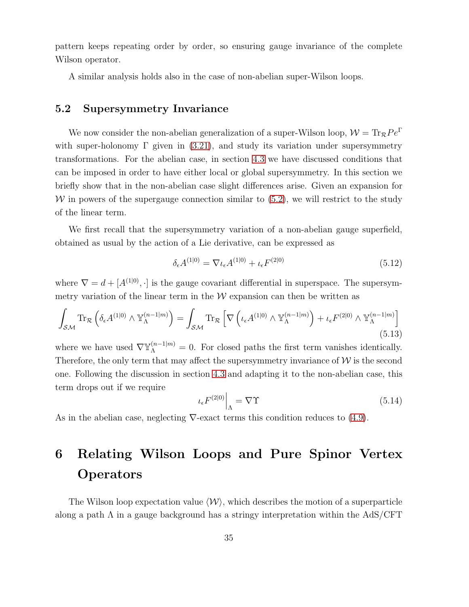pattern keeps repeating order by order, so ensuring gauge invariance of the complete Wilson operator.

<span id="page-35-0"></span>A similar analysis holds also in the case of non-abelian super-Wilson loops.

#### 5.2 Supersymmetry Invariance

We now consider the non-abelian generalization of a super-Wilson loop,  $W = Tr_{\mathcal{R}} Pe^{\Gamma}$ with super-holonomy  $\Gamma$  given in [\(3.21\)](#page-18-3), and study its variation under supersymmetry transformations. For the abelian case, in section [4.3](#page-26-0) we have discussed conditions that can be imposed in order to have either local or global supersymmetry. In this section we briefly show that in the non-abelian case slight differences arise. Given an expansion for W in powers of the supergauge connection similar to  $(5.2)$ , we will restrict to the study of the linear term.

We first recall that the supersymmetry variation of a non-abelian gauge superfield, obtained as usual by the action of a Lie derivative, can be expressed as

$$
\delta_{\epsilon} A^{(1|0)} = \nabla \iota_{\epsilon} A^{(1|0)} + \iota_{\epsilon} F^{(2|0)} \tag{5.12}
$$

where  $\nabla = d + [A^{(1|0)}, \cdot]$  is the gauge covariant differential in superspace. The supersymmetry variation of the linear term in the  $W$  expansion can then be written as

$$
\int_{\mathcal{SM}} \text{Tr}_{\mathcal{R}} \left( \delta_{\epsilon} A^{(1|0)} \wedge \mathbb{Y}_{\Lambda}^{(n-1|m)} \right) = \int_{\mathcal{SM}} \text{Tr}_{\mathcal{R}} \left[ \nabla \left( \iota_{\epsilon} A^{(1|0)} \wedge \mathbb{Y}_{\Lambda}^{(n-1|m)} \right) + \iota_{\epsilon} F^{(2|0)} \wedge \mathbb{Y}_{\Lambda}^{(n-1|m)} \right] \tag{5.13}
$$

where we have used  $\nabla \mathbb{Y}_{\Lambda}^{(n-1|m)} = 0$ . For closed paths the first term vanishes identically. Therefore, the only term that may affect the supersymmetry invariance of  $W$  is the second one. Following the discussion in section [4.3](#page-26-0) and adapting it to the non-abelian case, this term drops out if we require

$$
\iota_{\epsilon} F^{(2|0)} \Big|_{\Lambda} = \nabla \Upsilon \tag{5.14}
$$

<span id="page-35-1"></span>As in the abelian case, neglecting  $\nabla$ -exact terms this condition reduces to [\(4.9\)](#page-27-2).

## 6 Relating Wilson Loops and Pure Spinor Vertex **Operators**

The Wilson loop expectation value  $\langle W \rangle$ , which describes the motion of a superparticle along a path  $\Lambda$  in a gauge background has a stringy interpretation within the AdS/CFT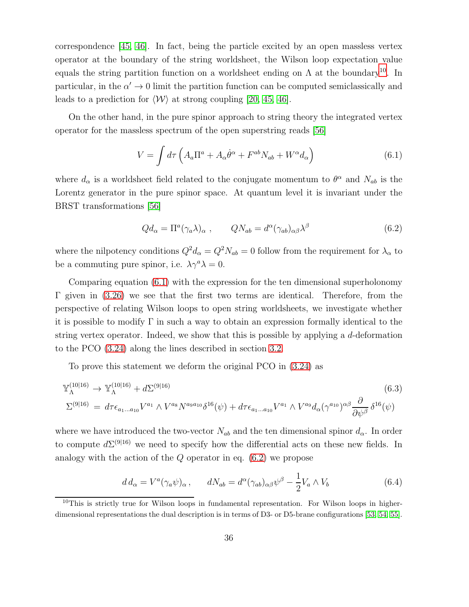correspondence [\[45,](#page-51-1) [46\]](#page-51-2). In fact, being the particle excited by an open massless vertex operator at the boundary of the string worldsheet, the Wilson loop expectation value equals the string partition function on a worldsheet ending on  $\Lambda$  at the boundary<sup>[10](#page-36-0)</sup>. In particular, in the  $\alpha' \to 0$  limit the partition function can be computed semiclassically and leads to a prediction for  $\langle W \rangle$  at strong coupling [\[20,](#page-48-7) [45,](#page-51-1) [46\]](#page-51-2).

On the other hand, in the pure spinor approach to string theory the integrated vertex operator for the massless spectrum of the open superstring reads [\[56\]](#page-51-9)

<span id="page-36-1"></span>
$$
V = \int d\tau \left( A_a \Pi^a + A_\alpha \dot{\theta}^\alpha + F^{ab} N_{ab} + W^\alpha d_\alpha \right) \tag{6.1}
$$

where  $d_{\alpha}$  is a worldsheet field related to the conjugate momentum to  $\theta^{\alpha}$  and  $N_{ab}$  is the Lorentz generator in the pure spinor space. At quantum level it is invariant under the BRST transformations [\[56\]](#page-51-9)

<span id="page-36-2"></span>
$$
Qd_{\alpha} = \Pi^{a}(\gamma_{a}\lambda)_{\alpha} , \qquad QN_{ab} = d^{\alpha}(\gamma_{ab})_{\alpha\beta}\lambda^{\beta} \qquad (6.2)
$$

where the nilpotency conditions  $Q^2 d_{\alpha} = Q^2 N_{ab} = 0$  follow from the requirement for  $\lambda_{\alpha}$  to be a commuting pure spinor, i.e.  $\lambda \gamma^a \lambda = 0$ .

Comparing equation [\(6.1\)](#page-36-1) with the expression for the ten dimensional superholonomy  $\Gamma$  given in [\(3.26\)](#page-19-2) we see that the first two terms are identical. Therefore, from the perspective of relating Wilson loops to open string worldsheets, we investigate whether it is possible to modify  $\Gamma$  in such a way to obtain an expression formally identical to the string vertex operator. Indeed, we show that this is possible by applying a d-deformation to the PCO [\(3.24\)](#page-18-4) along the lines described in section [3.2.](#page-17-0)

To prove this statement we deform the original PCO in [\(3.24\)](#page-18-4) as

<span id="page-36-3"></span>
$$
\mathbb{Y}_{\Lambda}^{(10|16)} \to \mathbb{Y}_{\Lambda}^{(10|16)} + d\Sigma^{(9|16)} \tag{6.3}
$$
\n
$$
\Sigma^{(9|16)} = d\tau \epsilon_{a_1...a_{10}} V^{a_1} \wedge V^{a_8} N^{a_9 a_{10}} \delta^{16}(\psi) + d\tau \epsilon_{a_1...a_{10}} V^{a_1} \wedge V^{a_9} d_{\alpha} (\gamma^{a_{10}})^{\alpha \beta} \frac{\partial}{\partial \psi^{\beta}} \delta^{16}(\psi)
$$

where we have introduced the two-vector  $N_{ab}$  and the ten dimensional spinor  $d_{\alpha}$ . In order to compute  $d\Sigma^{(9|16)}$  we need to specify how the differential acts on these new fields. In analogy with the action of the  $Q$  operator in eq.  $(6.2)$  we propose

$$
d d_{\alpha} = V^{a}(\gamma_{a}\psi)_{\alpha}, \qquad dN_{ab} = d^{\alpha}(\gamma_{ab})_{\alpha\beta}\psi^{\beta} - \frac{1}{2}V_{a}\wedge V_{b}
$$
(6.4)

<span id="page-36-0"></span> $10$ This is strictly true for Wilson loops in fundamental representation. For Wilson loops in higherdimensional representations the dual description is in terms of D3- or D5-brane configurations [\[53,](#page-51-10) [54,](#page-51-11) [55\]](#page-51-12).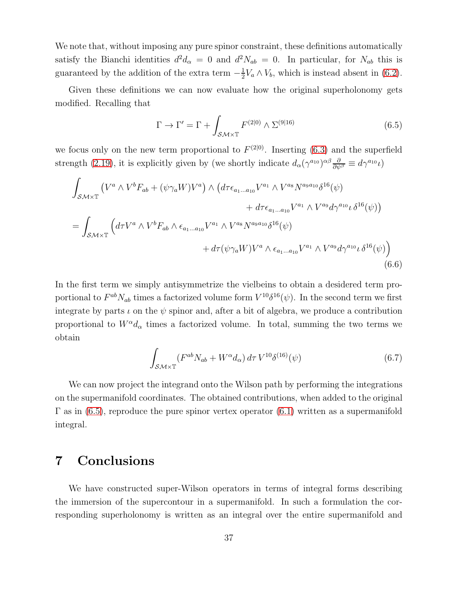We note that, without imposing any pure spinor constraint, these definitions automatically satisfy the Bianchi identities  $d^2d_{\alpha} = 0$  and  $d^2N_{ab} = 0$ . In particular, for  $N_{ab}$  this is guaranteed by the addition of the extra term  $-\frac{1}{2}$  $\frac{1}{2}V_a \wedge V_b$ , which is instead absent in [\(6.2\)](#page-36-2).

Given these definitions we can now evaluate how the original superholonomy gets modified. Recalling that

<span id="page-37-1"></span>
$$
\Gamma \to \Gamma' = \Gamma + \int_{\mathcal{SM} \times \mathbb{T}} F^{(2|0)} \wedge \Sigma^{(9|16)} \tag{6.5}
$$

we focus only on the new term proportional to  $F^{(2|0)}$ . Inserting [\(6.3\)](#page-36-3) and the superfield strength [\(2.19\)](#page-10-1), it is explicitly given by (we shortly indicate  $d_{\alpha}(\gamma^{a_{10}})^{\alpha\beta}\frac{\partial}{\partial\psi^{\beta}}\equiv d\gamma^{a_{10}}\iota$ )

$$
\int_{\mathcal{SM}\times\mathbb{T}} \left( V^a \wedge V^b F_{ab} + (\psi \gamma_a W) V^a \right) \wedge \left( d\tau \epsilon_{a_1 \dots a_{10}} V^{a_1} \wedge V^{a_8} N^{a_9 a_{10}} \delta^{16}(\psi) \right. \\
\left. + d\tau \epsilon_{a_1 \dots a_{10}} V^{a_1} \wedge V^{a_9} d\gamma^{a_{10}} \iota \delta^{16}(\psi) \right)
$$
\n
$$
= \int_{\mathcal{SM}\times\mathbb{T}} \left( d\tau V^a \wedge V^b F_{ab} \wedge \epsilon_{a_1 \dots a_{10}} V^{a_1} \wedge V^{a_8} N^{a_9 a_{10}} \delta^{16}(\psi) \right. \\
\left. + d\tau (\psi \gamma_a W) V^a \wedge \epsilon_{a_1 \dots a_{10}} V^{a_1} \wedge V^{a_9} d\gamma^{a_{10}} \iota \delta^{16}(\psi) \right)
$$
\n
$$
(6.6)
$$

In the first term we simply antisymmetrize the vielbeins to obtain a desidered term proportional to  $F^{ab}N_{ab}$  times a factorized volume form  $V^{10}\delta^{16}(\psi)$ . In the second term we first integrate by parts  $\iota$  on the  $\psi$  spinor and, after a bit of algebra, we produce a contribution proportional to  $W^{\alpha}d_{\alpha}$  times a factorized volume. In total, summing the two terms we obtain

$$
\int_{\mathcal{SM}\times\mathbb{T}} (F^{ab}N_{ab} + W^{\alpha}d_{\alpha}) d\tau V^{10}\delta^{(16)}(\psi)
$$
\n(6.7)

We can now project the integrand onto the Wilson path by performing the integrations on the supermanifold coordinates. The obtained contributions, when added to the original  $\Gamma$  as in [\(6.5\)](#page-37-1), reproduce the pure spinor vertex operator [\(6.1\)](#page-36-1) written as a supermanifold integral.

## <span id="page-37-0"></span>7 Conclusions

We have constructed super-Wilson operators in terms of integral forms describing the immersion of the supercontour in a supermanifold. In such a formulation the corresponding superholonomy is written as an integral over the entire supermanifold and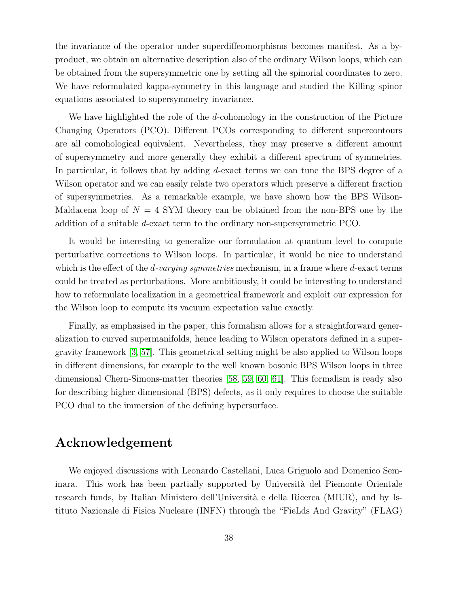the invariance of the operator under superdiffeomorphisms becomes manifest. As a byproduct, we obtain an alternative description also of the ordinary Wilson loops, which can be obtained from the supersymmetric one by setting all the spinorial coordinates to zero. We have reformulated kappa-symmetry in this language and studied the Killing spinor equations associated to supersymmetry invariance.

We have highlighted the role of the d-cohomology in the construction of the Picture Changing Operators (PCO). Different PCOs corresponding to different supercontours are all comohological equivalent. Nevertheless, they may preserve a different amount of supersymmetry and more generally they exhibit a different spectrum of symmetries. In particular, it follows that by adding d-exact terms we can tune the BPS degree of a Wilson operator and we can easily relate two operators which preserve a different fraction of supersymmetries. As a remarkable example, we have shown how the BPS Wilson-Maldacena loop of  $N = 4$  SYM theory can be obtained from the non-BPS one by the addition of a suitable d-exact term to the ordinary non-supersymmetric PCO.

It would be interesting to generalize our formulation at quantum level to compute perturbative corrections to Wilson loops. In particular, it would be nice to understand which is the effect of the  $d$ -varying symmetries mechanism, in a frame where  $d$ -exact terms could be treated as perturbations. More ambitiously, it could be interesting to understand how to reformulate localization in a geometrical framework and exploit our expression for the Wilson loop to compute its vacuum expectation value exactly.

Finally, as emphasised in the paper, this formalism allows for a straightforward generalization to curved supermanifolds, hence leading to Wilson operators defined in a supergravity framework [\[3,](#page-47-2) [57\]](#page-52-0). This geometrical setting might be also applied to Wilson loops in different dimensions, for example to the well known bosonic BPS Wilson loops in three dimensional Chern-Simons-matter theories [\[58,](#page-52-1) [59,](#page-52-2) [60,](#page-52-3) [61\]](#page-52-4). This formalism is ready also for describing higher dimensional (BPS) defects, as it only requires to choose the suitable PCO dual to the immersion of the defining hypersurface.

## Acknowledgement

We enjoyed discussions with Leonardo Castellani, Luca Griguolo and Domenico Seminara. This work has been partially supported by Università del Piemonte Orientale research funds, by Italian Ministero dell'Università e della Ricerca (MIUR), and by Istituto Nazionale di Fisica Nucleare (INFN) through the "FieLds And Gravity" (FLAG)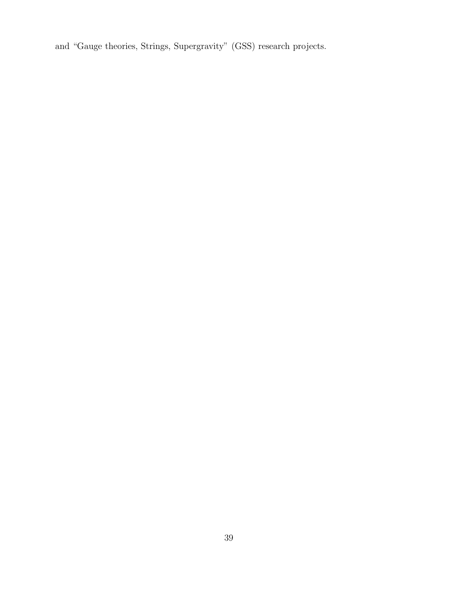and "Gauge theories, Strings, Supergravity" (GSS) research projects.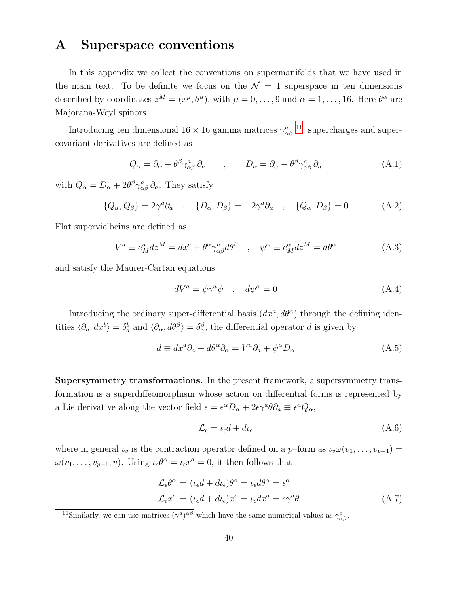## <span id="page-40-0"></span>A Superspace conventions

In this appendix we collect the conventions on supermanifolds that we have used in the main text. To be definite we focus on the  $\mathcal{N} = 1$  superspace in ten dimensions described by coordinates  $z^M = (x^{\mu}, \theta^{\alpha})$ , with  $\mu = 0, \ldots, 9$  and  $\alpha = 1, \ldots, 16$ . Here  $\theta^{\alpha}$  are Majorana-Weyl spinors.

Introducing ten dimensional  $16 \times 16$  gamma matrices  $\gamma_{\alpha\beta}^a$ <sup>[11](#page-40-3)</sup>, supercharges and supercovariant derivatives are defined as

<span id="page-40-6"></span>
$$
Q_{\alpha} = \partial_{\alpha} + \theta^{\beta} \gamma_{\alpha\beta}^{a} \partial_{a} , \qquad D_{\alpha} = \partial_{\alpha} - \theta^{\beta} \gamma_{\alpha\beta}^{a} \partial_{a} . \tag{A.1}
$$

with  $Q_{\alpha} = D_{\alpha} + 2\theta^{\beta} \gamma_{\alpha\beta}^{a} \partial_{a}$ . They satisfy

$$
\{Q_{\alpha}, Q_{\beta}\} = 2\gamma^a \partial_a , \quad \{D_{\alpha}, D_{\beta}\} = -2\gamma^a \partial_a , \quad \{Q_{\alpha}, D_{\beta}\} = 0
$$
 (A.2)

Flat supervielbeins are defined as

<span id="page-40-1"></span>
$$
V^{a} \equiv e_{M}^{a} dz^{M} = dx^{a} + \theta^{\alpha} \gamma_{\alpha\beta}^{a} d\theta^{\beta} , \quad \psi^{\alpha} \equiv e_{M}^{\alpha} dz^{M} = d\theta^{\alpha}
$$
 (A.3)

and satisfy the Maurer-Cartan equations

<span id="page-40-4"></span>
$$
dV^a = \psi \gamma^a \psi \quad , \quad d\psi^\alpha = 0 \tag{A.4}
$$

Introducing the ordinary super-differential basis  $(dx^a, d\theta^{\alpha})$  through the defining identities  $\langle \partial_a, dx^b \rangle = \delta_a^b$  and  $\langle \partial_\alpha, d\theta^\beta \rangle = \delta_\alpha^\beta$ , the differential operator d is given by

$$
d \equiv dx^a \partial_a + d\theta^\alpha \partial_\alpha = V^a \partial_a + \psi^\alpha D_\alpha \tag{A.5}
$$

Supersymmetry transformations. In the present framework, a supersymmetry transformation is a superdiffeomorphism whose action on differential forms is represented by a Lie derivative along the vector field  $\epsilon = \epsilon^{\alpha} D_{\alpha} + 2\epsilon \gamma^a \theta \partial_a \equiv \epsilon^{\alpha} Q_{\alpha}$ ,

<span id="page-40-2"></span>
$$
\mathcal{L}_{\epsilon} = \iota_{\epsilon} d + d\iota_{\epsilon} \tag{A.6}
$$

where in general  $\iota_v$  is the contraction operator defined on a p–form as  $\iota_v \omega(v_1, \ldots, v_{p-1}) =$  $\omega(v_1,\ldots,v_{p-1},v)$ . Using  $\iota_{\epsilon}\theta^{\alpha}=\iota_{\epsilon}x^a=0$ , it then follows that

<span id="page-40-5"></span>
$$
\mathcal{L}_{\epsilon}\theta^{\alpha} = (\iota_{\epsilon}d + d\iota_{\epsilon})\theta^{\alpha} = \iota_{\epsilon}d\theta^{\alpha} = \epsilon^{\alpha}
$$
\n
$$
\mathcal{L}_{\epsilon}x^{a} = (\iota_{\epsilon}d + d\iota_{\epsilon})x^{a} = \iota_{\epsilon}dx^{a} = \epsilon\gamma^{a}\theta
$$
\n(A.7)

<span id="page-40-3"></span><sup>&</sup>lt;sup>11</sup>Similarly, we can use matrices  $(\gamma^a)^{\alpha\beta}$  which have the same numerical values as  $\gamma^a_{\alpha\beta}$ .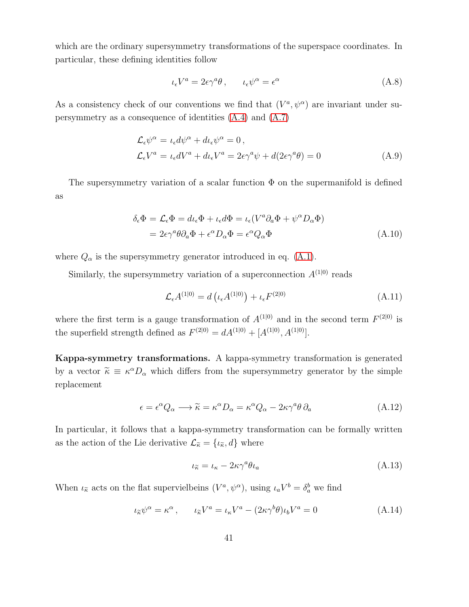which are the ordinary supersymmetry transformations of the superspace coordinates. In particular, these defining identities follow

<span id="page-41-0"></span>
$$
\iota_{\epsilon} V^{a} = 2\epsilon \gamma^{a} \theta , \qquad \iota_{\epsilon} \psi^{\alpha} = \epsilon^{\alpha}
$$
 (A.8)

As a consistency check of our conventions we find that  $(V^a, \psi^\alpha)$  are invariant under supersymmetry as a consequence of identities [\(A.4\)](#page-40-4) and [\(A.7\)](#page-40-5)

$$
\mathcal{L}_{\epsilon}\psi^{\alpha} = \iota_{\epsilon}d\psi^{\alpha} + d\iota_{\epsilon}\psi^{\alpha} = 0 ,
$$
  

$$
\mathcal{L}_{\epsilon}V^{a} = \iota_{\epsilon}dV^{a} + d\iota_{\epsilon}V^{a} = 2\epsilon\gamma^{a}\psi + d(2\epsilon\gamma^{a}\theta) = 0
$$
 (A.9)

The supersymmetry variation of a scalar function  $\Phi$  on the supermanifold is defined as

<span id="page-41-3"></span>
$$
\delta_{\epsilon} \Phi = \mathcal{L}_{\epsilon} \Phi = d\iota_{\epsilon} \Phi + \iota_{\epsilon} d\Phi = \iota_{\epsilon} (V^a \partial_a \Phi + \psi^\alpha D_\alpha \Phi)
$$
  
=  $2\epsilon \gamma^a \theta \partial_a \Phi + \epsilon^\alpha D_\alpha \Phi = \epsilon^\alpha Q_\alpha \Phi$  (A.10)

where  $Q_{\alpha}$  is the supersymmetry generator introduced in eq. [\(A.1\)](#page-40-6).

Similarly, the supersymmetry variation of a superconnection  $A^{(1|0)}$  reads

$$
\mathcal{L}_{\epsilon} A^{(1|0)} = d \left( \iota_{\epsilon} A^{(1|0)} \right) + \iota_{\epsilon} F^{(2|0)} \tag{A.11}
$$

where the first term is a gauge transformation of  $A^{(1|0)}$  and in the second term  $F^{(2|0)}$  is the superfield strength defined as  $F^{(2|0)} = dA^{(1|0)} + [A^{(1|0)}, A^{(1|0)}].$ 

Kappa-symmetry transformations. A kappa-symmetry transformation is generated by a vector  $\tilde{\kappa} \equiv \kappa^{\alpha} D_{\alpha}$  which differs from the supersymmetry generator by the simple replacement

<span id="page-41-2"></span>
$$
\epsilon = \epsilon^{\alpha} Q_{\alpha} \longrightarrow \widetilde{\kappa} = \kappa^{\alpha} D_{\alpha} = \kappa^{\alpha} Q_{\alpha} - 2\kappa \gamma^{a} \theta \partial_{a}
$$
 (A.12)

In particular, it follows that a kappa-symmetry transformation can be formally written as the action of the Lie derivative  $\mathcal{L}_{\tilde{\kappa}} = {\iota_{\tilde{\kappa}}, d}$  where

$$
\iota_{\tilde{\kappa}} = \iota_{\kappa} - 2\kappa \gamma^a \theta \iota_a \tag{A.13}
$$

When  $\iota_{\tilde{\kappa}}$  acts on the flat supervielbeins  $(V^a, \psi^\alpha)$ , using  $\iota_a V^b = \delta^b_a$  we find

<span id="page-41-1"></span>
$$
\iota_{\tilde{\kappa}} \psi^{\alpha} = \kappa^{\alpha} , \qquad \iota_{\tilde{\kappa}} V^{a} = \iota_{\kappa} V^{a} - (2\kappa \gamma^{b} \theta) \iota_{b} V^{a} = 0
$$
\n(A.14)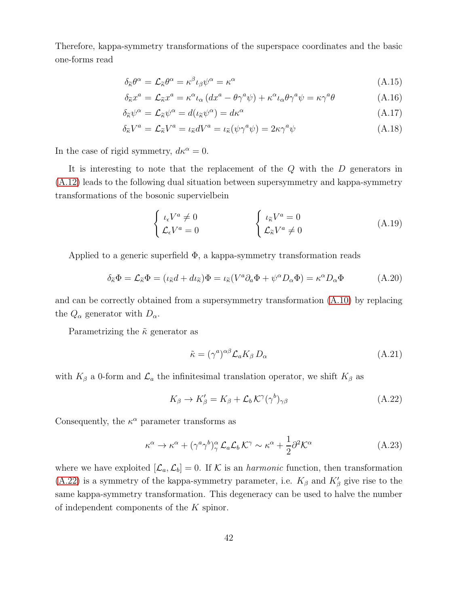Therefore, kappa-symmetry transformations of the superspace coordinates and the basic one-forms read

$$
\delta_{\tilde{\kappa}}\theta^{\alpha} = \mathcal{L}_{\tilde{\kappa}}\theta^{\alpha} = \kappa^{\beta}\iota_{\beta}\psi^{\alpha} = \kappa^{\alpha} \tag{A.15}
$$

$$
\delta_{\tilde{\kappa}} x^a = \mathcal{L}_{\tilde{\kappa}} x^a = \kappa^{\alpha} \iota_{\alpha} \left( dx^a - \theta \gamma^a \psi \right) + \kappa^{\alpha} \iota_{\alpha} \theta \gamma^a \psi = \kappa \gamma^a \theta \tag{A.16}
$$

$$
\delta_{\tilde{\kappa}} \psi^{\alpha} = \mathcal{L}_{\tilde{\kappa}} \psi^{\alpha} = d(\iota_{\tilde{\kappa}} \psi^{\alpha}) = d\kappa^{\alpha}
$$
\n(A.17)

$$
\delta_{\tilde{\kappa}} V^a = \mathcal{L}_{\tilde{\kappa}} V^a = \iota_{\tilde{\kappa}} dV^a = \iota_{\tilde{\kappa}} (\psi \gamma^a \psi) = 2\kappa \gamma^a \psi \tag{A.18}
$$

In the case of rigid symmetry,  $d\kappa^{\alpha} = 0$ .

It is interesting to note that the replacement of the Q with the D generators in [\(A.12\)](#page-41-2) leads to the following dual situation between supersymmetry and kappa-symmetry transformations of the bosonic supervielbein

$$
\begin{cases}\n\iota_{\epsilon}V^{a} \neq 0 \\
\mathcal{L}_{\epsilon}V^{a} = 0\n\end{cases}\n\qquad \qquad\n\begin{cases}\n\iota_{\tilde{\kappa}}V^{a} = 0 \\
\mathcal{L}_{\tilde{\kappa}}V^{a} \neq 0\n\end{cases}\n\tag{A.19}
$$

Applied to a generic superfield  $\Phi$ , a kappa-symmetry transformation reads

$$
\delta_{\tilde{\kappa}} \Phi = \mathcal{L}_{\tilde{\kappa}} \Phi = (\iota_{\tilde{\kappa}} d + d\iota_{\tilde{\kappa}}) \Phi = \iota_{\tilde{\kappa}} (V^a \partial_a \Phi + \psi^\alpha D_\alpha \Phi) = \kappa^\alpha D_\alpha \Phi \tag{A.20}
$$

and can be correctly obtained from a supersymmetry transformation [\(A.10\)](#page-41-3) by replacing the  $Q_{\alpha}$  generator with  $D_{\alpha}$ .

Parametrizing the  $\tilde{\kappa}$  generator as

<span id="page-42-0"></span>
$$
\tilde{\kappa} = (\gamma^a)^{\alpha\beta} \mathcal{L}_a K_\beta D_\alpha \tag{A.21}
$$

with  $K_\beta$  a 0-form and  $\mathcal{L}_a$  the infinitesimal translation operator, we shift  $K_\beta$  as

$$
K_{\beta} \to K'_{\beta} = K_{\beta} + \mathcal{L}_b \mathcal{K}^{\gamma} (\gamma^b)_{\gamma\beta} \tag{A.22}
$$

Consequently, the  $\kappa^{\alpha}$  parameter transforms as

$$
\kappa^{\alpha} \to \kappa^{\alpha} + (\gamma^{a} \gamma^{b})^{\alpha}_{\gamma} \mathcal{L}_{a} \mathcal{L}_{b} \mathcal{K}^{\gamma} \sim \kappa^{\alpha} + \frac{1}{2} \partial^{2} \mathcal{K}^{\alpha}
$$
 (A.23)

where we have exploited  $[\mathcal{L}_a, \mathcal{L}_b] = 0$ . If K is an *harmonic* function, then transformation [\(A.22\)](#page-42-0) is a symmetry of the kappa-symmetry parameter, i.e.  $K_{\beta}$  and  $K'_{\beta}$  give rise to the same kappa-symmetry transformation. This degeneracy can be used to halve the number of independent components of the K spinor.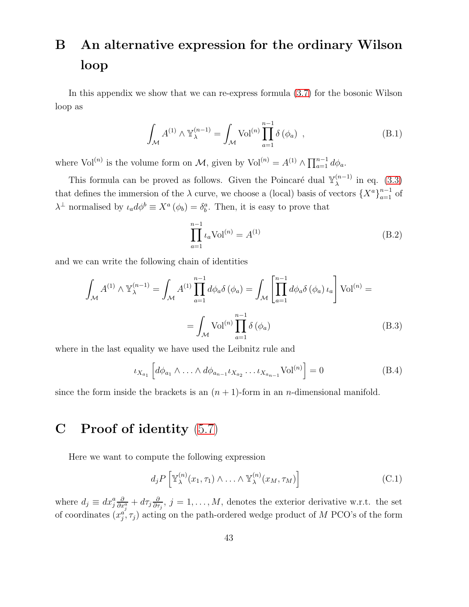# <span id="page-43-0"></span>B An alternative expression for the ordinary Wilson loop

In this appendix we show that we can re-express formula [\(3.7\)](#page-14-2) for the bosonic Wilson loop as

$$
\int_{\mathcal{M}} A^{(1)} \wedge \mathbb{Y}_{\lambda}^{(n-1)} = \int_{\mathcal{M}} \text{Vol}^{(n)} \prod_{a=1}^{n-1} \delta(\phi_a) , \qquad (B.1)
$$

where Vol<sup>(n)</sup> is the volume form on M, given by Vol<sup>(n)</sup> =  $A^{(1)} \wedge \prod_{a=1}^{n-1} d\phi_a$ .

This formula can be proved as follows. Given the Poincaré dual  $\mathbb{Y}_{\lambda}^{(n-1)}$  $\lambda^{(n-1)}$  in eq. [\(3.3\)](#page-13-2) that defines the immersion of the  $\lambda$  curve, we choose a (local) basis of vectors  $\{X^a\}_{a=1}^{n-1}$  of  $\lambda^{\perp}$  normalised by  $\iota_a d\phi^b \equiv X^a (\phi_b) = \delta^a_b$ . Then, it is easy to prove that

$$
\prod_{a=1}^{n-1} t_a \text{Vol}^{(n)} = A^{(1)} \tag{B.2}
$$

and we can write the following chain of identities

$$
\int_{\mathcal{M}} A^{(1)} \wedge \mathbb{Y}_{\lambda}^{(n-1)} = \int_{\mathcal{M}} A^{(1)} \prod_{a=1}^{n-1} d\phi_a \delta(\phi_a) = \int_{\mathcal{M}} \left[ \prod_{a=1}^{n-1} d\phi_a \delta(\phi_a) \iota_a \right] \text{Vol}^{(n)} =
$$
\n
$$
= \int_{\mathcal{M}} \text{Vol}^{(n)} \prod_{a=1}^{n-1} \delta(\phi_a) \tag{B.3}
$$

where in the last equality we have used the Leibnitz rule and

$$
\iota_{X_{a_1}} \left[ d\phi_{a_1} \wedge \ldots \wedge d\phi_{a_{n-1}} \iota_{X_{a_2}} \ldots \iota_{X_{a_{n-1}}} \mathrm{Vol}^{(n)} \right] = 0 \tag{B.4}
$$

<span id="page-43-1"></span>since the form inside the brackets is an  $(n + 1)$ -form in an *n*-dimensional manifold.

## C Proof of identity [\(5.7\)](#page-33-0)

Here we want to compute the following expression

<span id="page-43-2"></span>
$$
d_j P\left[\mathbb{Y}_{\lambda}^{(n)}(x_1,\tau_1)\wedge\ldots\wedge \mathbb{Y}_{\lambda}^{(n)}(x_M,\tau_M)\right]
$$
\n(C.1)

where  $d_j \equiv dx_j^a \frac{\partial}{\partial x_j^a} + d\tau_j \frac{\partial}{\partial \tau_j^a}$  $\frac{\partial}{\partial \tau_j}$ ,  $j = 1, \ldots, M$ , denotes the exterior derivative w.r.t. the set of coordinates  $(x_j^a, \tau_j)$  acting on the path-ordered wedge product of M PCO's of the form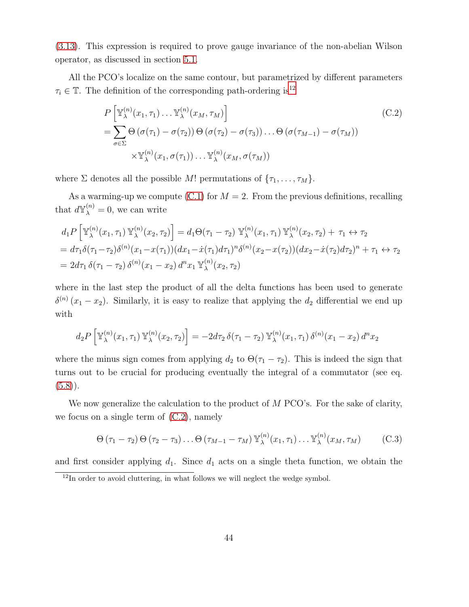[\(3.13\)](#page-16-0). This expression is required to prove gauge invariance of the non-abelian Wilson operator, as discussed in section [5.1.](#page-32-0)

All the PCO's localize on the same contour, but parametrized by different parameters  $\tau_i \in \mathbb{T}$ . The definition of the corresponding path-ordering is<sup>[12](#page-44-0)</sup>

<span id="page-44-1"></span>
$$
P\left[\mathbb{Y}_{\lambda}^{(n)}(x_1, \tau_1) \dots \mathbb{Y}_{\lambda}^{(n)}(x_M, \tau_M)\right]
$$
\n
$$
= \sum_{\sigma \in \Sigma} \Theta\left(\sigma(\tau_1) - \sigma(\tau_2)\right) \Theta\left(\sigma(\tau_2) - \sigma(\tau_3)\right) \dots \Theta\left(\sigma(\tau_{M-1}) - \sigma(\tau_M)\right)
$$
\n
$$
\times \mathbb{Y}_{\lambda}^{(n)}(x_1, \sigma(\tau_1)) \dots \mathbb{Y}_{\lambda}^{(n)}(x_M, \sigma(\tau_M))
$$
\n(C.2)

where  $\Sigma$  denotes all the possible M! permutations of  $\{\tau_1, \ldots, \tau_M\}$ .

As a warming-up we compute [\(C.1\)](#page-43-2) for  $M = 2$ . From the previous definitions, recalling that  $d\mathbb{Y}_{\lambda}^{(n)}=0$ , we can write

$$
d_1 P\left[\mathbb{Y}_{\lambda}^{(n)}(x_1, \tau_1) \mathbb{Y}_{\lambda}^{(n)}(x_2, \tau_2)\right] = d_1 \Theta(\tau_1 - \tau_2) \mathbb{Y}_{\lambda}^{(n)}(x_1, \tau_1) \mathbb{Y}_{\lambda}^{(n)}(x_2, \tau_2) + \tau_1 \leftrightarrow \tau_2
$$
  
=  $d\tau_1 \delta(\tau_1 - \tau_2) \delta^{(n)}(x_1 - x(\tau_1)) (dx_1 - \dot{x}(\tau_1) d\tau_1)^n \delta^{(n)}(x_2 - x(\tau_2)) (dx_2 - \dot{x}(\tau_2) d\tau_2)^n + \tau_1 \leftrightarrow \tau_2$   
=  $2d\tau_1 \delta(\tau_1 - \tau_2) \delta^{(n)}(x_1 - x_2) d^n x_1 \mathbb{Y}_{\lambda}^{(n)}(x_2, \tau_2)$ 

where in the last step the product of all the delta functions has been used to generate  $\delta^{(n)}(x_1 - x_2)$ . Similarly, it is easy to realize that applying the  $d_2$  differential we end up with

$$
d_2P\left[\mathbb{Y}_{\lambda}^{(n)}(x_1,\tau_1)\mathbb{Y}_{\lambda}^{(n)}(x_2,\tau_2)\right] = -2d\tau_2\,\delta(\tau_1-\tau_2)\,\mathbb{Y}_{\lambda}^{(n)}(x_1,\tau_1)\,\delta^{(n)}(x_1-x_2)\,d^nx_2
$$

where the minus sign comes from applying  $d_2$  to  $\Theta(\tau_1 - \tau_2)$ . This is indeed the sign that turns out to be crucial for producing eventually the integral of a commutator (see eq.  $(5.8)$ .

We now generalize the calculation to the product of  $M$  PCO's. For the sake of clarity, we focus on a single term of [\(C.2\)](#page-44-1), namely

$$
\Theta\left(\tau_1-\tau_2\right)\Theta\left(\tau_2-\tau_3\right)\dots\Theta\left(\tau_{M-1}-\tau_M\right)\mathbb{Y}_{\lambda}^{(n)}(x_1,\tau_1)\dots\mathbb{Y}_{\lambda}^{(n)}(x_M,\tau_M) \tag{C.3}
$$

and first consider applying  $d_1$ . Since  $d_1$  acts on a single theta function, we obtain the

<span id="page-44-0"></span> $12$ In order to avoid cluttering, in what follows we will neglect the wedge symbol.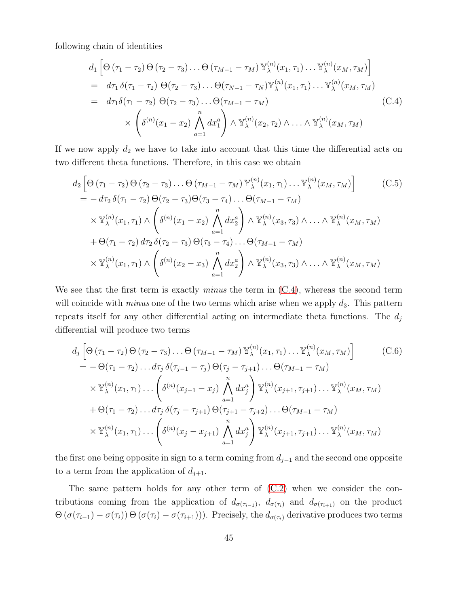following chain of identities

<span id="page-45-1"></span>
$$
d_1 \left[ \Theta \left( \tau_1 - \tau_2 \right) \Theta \left( \tau_2 - \tau_3 \right) \dots \Theta \left( \tau_{M-1} - \tau_M \right) \mathbb{Y}_{\lambda}^{(n)}(x_1, \tau_1) \dots \mathbb{Y}_{\lambda}^{(n)}(x_M, \tau_M) \right]
$$
  
\n
$$
= d\tau_1 \delta(\tau_1 - \tau_2) \Theta(\tau_2 - \tau_3) \dots \Theta(\tau_{N-1} - \tau_N) \mathbb{Y}_{\lambda}^{(n)}(x_1, \tau_1) \dots \mathbb{Y}_{\lambda}^{(n)}(x_M, \tau_M)
$$
  
\n
$$
= d\tau_1 \delta(\tau_1 - \tau_2) \Theta(\tau_2 - \tau_3) \dots \Theta(\tau_{M-1} - \tau_M)
$$
  
\n
$$
\times \left( \delta^{(n)}(x_1 - x_2) \bigwedge_{a=1}^n dx_1^a \right) \wedge \mathbb{Y}_{\lambda}^{(n)}(x_2, \tau_2) \wedge \dots \wedge \mathbb{Y}_{\lambda}^{(n)}(x_M, \tau_M)
$$
  
\n(C.4)

If we now apply  $d_2$  we have to take into account that this time the differential acts on two different theta functions. Therefore, in this case we obtain

$$
d_2 \left[ \Theta \left( \tau_1 - \tau_2 \right) \Theta \left( \tau_2 - \tau_3 \right) \dots \Theta \left( \tau_{M-1} - \tau_M \right) \mathbb{Y}_{\lambda}^{(n)}(x_1, \tau_1) \dots \mathbb{Y}_{\lambda}^{(n)}(x_M, \tau_M) \right] \qquad (C.5)
$$
  
\n
$$
= -d\tau_2 \delta(\tau_1 - \tau_2) \Theta(\tau_2 - \tau_3) \Theta(\tau_3 - \tau_4) \dots \Theta(\tau_{M-1} - \tau_M)
$$
  
\n
$$
\times \mathbb{Y}_{\lambda}^{(n)}(x_1, \tau_1) \wedge \left( \delta^{(n)}(x_1 - x_2) \bigwedge_{a=1}^{n} dx_2^a \right) \wedge \mathbb{Y}_{\lambda}^{(n)}(x_3, \tau_3) \wedge \dots \wedge \mathbb{Y}_{\lambda}^{(n)}(x_M, \tau_M)
$$
  
\n
$$
+ \Theta(\tau_1 - \tau_2) d\tau_2 \delta(\tau_2 - \tau_3) \Theta(\tau_3 - \tau_4) \dots \Theta(\tau_{M-1} - \tau_M)
$$
  
\n
$$
\times \mathbb{Y}_{\lambda}^{(n)}(x_1, \tau_1) \wedge \left( \delta^{(n)}(x_2 - x_3) \bigwedge_{a=1}^{n} dx_2^a \right) \wedge \mathbb{Y}_{\lambda}^{(n)}(x_3, \tau_3) \wedge \dots \wedge \mathbb{Y}_{\lambda}^{(n)}(x_M, \tau_M)
$$

We see that the first term is exactly *minus* the term in  $(C.4)$ , whereas the second term will coincide with *minus* one of the two terms which arise when we apply  $d_3$ . This pattern repeats itself for any other differential acting on intermediate theta functions. The  $d_j$ differential will produce two terms

<span id="page-45-0"></span>
$$
d_{j}\left[\Theta\left(\tau_{1}-\tau_{2}\right)\Theta\left(\tau_{2}-\tau_{3}\right)\dots\Theta\left(\tau_{M-1}-\tau_{M}\right)\mathbb{Y}_{\lambda}^{(n)}(x_{1},\tau_{1})\dots\mathbb{Y}_{\lambda}^{(n)}(x_{M},\tau_{M})\right]
$$
(C.6)  
\n
$$
=-\Theta(\tau_{1}-\tau_{2})\dots d\tau_{j}\,\delta(\tau_{j-1}-\tau_{j})\,\Theta(\tau_{j}-\tau_{j+1})\dots\Theta(\tau_{M-1}-\tau_{M})
$$
  
\n
$$
\times\mathbb{Y}_{\lambda}^{(n)}(x_{1},\tau_{1})\dots\left(\delta^{(n)}(x_{j-1}-x_{j})\bigwedge_{a=1}^{n}dx_{j}^{a}\right)\mathbb{Y}_{\lambda}^{(n)}(x_{j+1},\tau_{j+1})\dots\mathbb{Y}_{\lambda}^{(n)}(x_{M},\tau_{M})
$$
  
\n
$$
+\Theta(\tau_{1}-\tau_{2})\dots d\tau_{j}\,\delta(\tau_{j}-\tau_{j+1})\,\Theta(\tau_{j+1}-\tau_{j+2})\dots\Theta(\tau_{M-1}-\tau_{M})
$$
  
\n
$$
\times\mathbb{Y}_{\lambda}^{(n)}(x_{1},\tau_{1})\dots\left(\delta^{(n)}(x_{j}-x_{j+1})\bigwedge_{a=1}^{n}dx_{j}^{a}\right)\mathbb{Y}_{\lambda}^{(n)}(x_{j+1},\tau_{j+1})\dots\mathbb{Y}_{\lambda}^{(n)}(x_{M},\tau_{M})
$$

the first one being opposite in sign to a term coming from  $d_{j-1}$  and the second one opposite to a term from the application of  $d_{j+1}$ .

The same pattern holds for any other term of [\(C.2\)](#page-44-1) when we consider the contributions coming from the application of  $d_{\sigma(\tau_{i-1})}$ ,  $d_{\sigma(\tau_i)}$  and  $d_{\sigma(\tau_{i+1})}$  on the product  $\Theta\left(\sigma(\tau_{i-1})-\sigma(\tau_i)\right) \Theta\left(\sigma(\tau_i)-\sigma(\tau_{i+1})\right)$ . Precisely, the  $d_{\sigma(\tau_i)}$  derivative produces two terms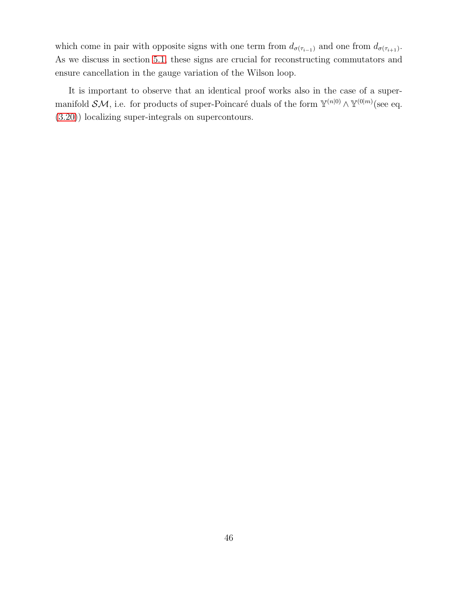which come in pair with opposite signs with one term from  $d_{\sigma(\tau_{i-1})}$  and one from  $d_{\sigma(\tau_{i+1})}$ . As we discuss in section [5.1,](#page-32-0) these signs are crucial for reconstructing commutators and ensure cancellation in the gauge variation of the Wilson loop.

It is important to observe that an identical proof works also in the case of a supermanifold  $\mathcal{SM}$ , i.e. for products of super-Poincaré duals of the form  $\mathbb{Y}^{(n|0)} \wedge \mathbb{Y}^{(0|m)}$  (see eq. [\(3.20\)](#page-18-1)) localizing super-integrals on supercontours.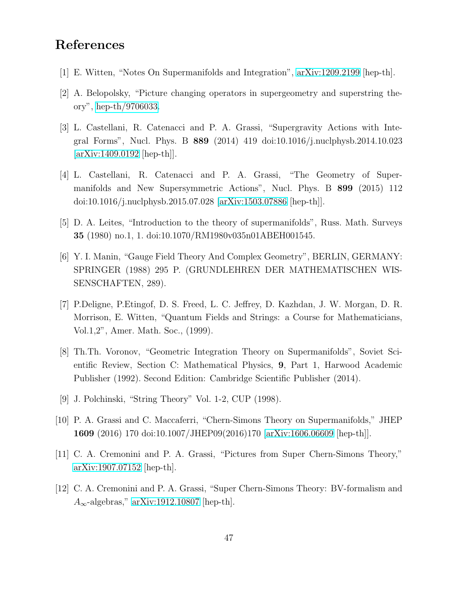## <span id="page-47-0"></span>References

- <span id="page-47-1"></span>[1] E. Witten, "Notes On Supermanifolds and Integration", [arXiv:1209.2199](http://arxiv.org/abs/1209.2199) [hep-th].
- <span id="page-47-2"></span>[2] A. Belopolsky, "Picture changing operators in supergeometry and superstring theory", [hep-th/9706033.](http://arxiv.org/abs/hep-th/9706033)
- [3] L. Castellani, R. Catenacci and P. A. Grassi, "Supergravity Actions with Integral Forms", Nucl. Phys. B 889 (2014) 419 doi:10.1016/j.nuclphysb.2014.10.023 [\[arXiv:1409.0192](http://arxiv.org/abs/1409.0192) [hep-th]].
- <span id="page-47-3"></span>[4] L. Castellani, R. Catenacci and P. A. Grassi, "The Geometry of Supermanifolds and New Supersymmetric Actions", Nucl. Phys. B 899 (2015) 112 doi:10.1016/j.nuclphysb.2015.07.028 [\[arXiv:1503.07886](http://arxiv.org/abs/1503.07886) [hep-th]].
- <span id="page-47-5"></span><span id="page-47-4"></span>[5] D. A. Leites, "Introduction to the theory of supermanifolds", Russ. Math. Surveys 35 (1980) no.1, 1. doi:10.1070/RM1980v035n01ABEH001545.
- [6] Y. I. Manin, "Gauge Field Theory And Complex Geometry", BERLIN, GERMANY: SPRINGER (1988) 295 P. (GRUNDLEHREN DER MATHEMATISCHEN WIS-SENSCHAFTEN, 289).
- <span id="page-47-6"></span>[7] P.Deligne, P.Etingof, D. S. Freed, L. C. Jeffrey, D. Kazhdan, J. W. Morgan, D. R. Morrison, E. Witten, "Quantum Fields and Strings: a Course for Mathematicians, Vol.1,2", Amer. Math. Soc., (1999).
- <span id="page-47-7"></span>[8] Th.Th. Voronov, "Geometric Integration Theory on Supermanifolds", Soviet Scientific Review, Section C: Mathematical Physics, 9, Part 1, Harwood Academic Publisher (1992). Second Edition: Cambridge Scientific Publisher (2014).
- <span id="page-47-9"></span><span id="page-47-8"></span>[9] J. Polchinski, "String Theory" Vol. 1-2, CUP (1998).
- <span id="page-47-10"></span>[10] P. A. Grassi and C. Maccaferri, "Chern-Simons Theory on Supermanifolds," JHEP 1609 (2016) 170 doi:10.1007/JHEP09(2016)170 [\[arXiv:1606.06609](http://arxiv.org/abs/1606.06609) [hep-th]].
- <span id="page-47-11"></span>[11] C. A. Cremonini and P. A. Grassi, "Pictures from Super Chern-Simons Theory," [arXiv:1907.07152](http://arxiv.org/abs/1907.07152) [hep-th].
- [12] C. A. Cremonini and P. A. Grassi, "Super Chern-Simons Theory: BV-formalism and  $A_{\infty}$ -algebras," [arXiv:1912.10807](http://arxiv.org/abs/1912.10807) [hep-th].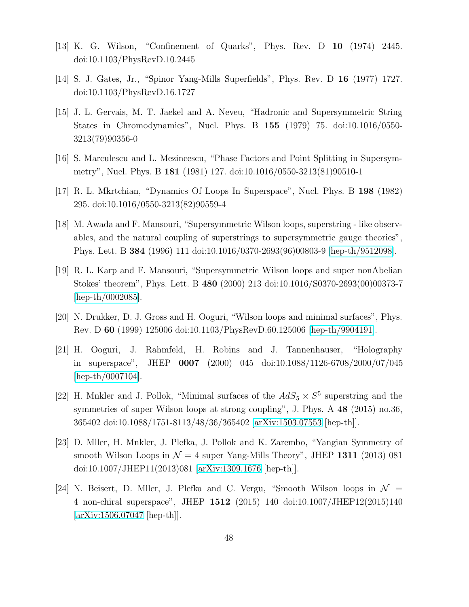- <span id="page-48-1"></span><span id="page-48-0"></span>[13] K. G. Wilson, "Confinement of Quarks", Phys. Rev. D 10 (1974) 2445. doi:10.1103/PhysRevD.10.2445
- <span id="page-48-2"></span>[14] S. J. Gates, Jr., "Spinor Yang-Mills Superfields", Phys. Rev. D 16 (1977) 1727. doi:10.1103/PhysRevD.16.1727
- [15] J. L. Gervais, M. T. Jaekel and A. Neveu, "Hadronic and Supersymmetric String States in Chromodynamics", Nucl. Phys. B 155 (1979) 75. doi:10.1016/0550- 3213(79)90356-0
- <span id="page-48-4"></span><span id="page-48-3"></span>[16] S. Marculescu and L. Mezincescu, "Phase Factors and Point Splitting in Supersymmetry", Nucl. Phys. B 181 (1981) 127. doi:10.1016/0550-3213(81)90510-1
- <span id="page-48-5"></span>[17] R. L. Mkrtchian, "Dynamics Of Loops In Superspace", Nucl. Phys. B 198 (1982) 295. doi:10.1016/0550-3213(82)90559-4
- [18] M. Awada and F. Mansouri, "Supersymmetric Wilson loops, superstring like observables, and the natural coupling of superstrings to supersymmetric gauge theories", Phys. Lett. B 384 (1996) 111 doi:10.1016/0370-2693(96)00803-9 [\[hep-th/9512098\]](http://arxiv.org/abs/hep-th/9512098).
- <span id="page-48-6"></span>[19] R. L. Karp and F. Mansouri, "Supersymmetric Wilson loops and super nonAbelian Stokes' theorem", Phys. Lett. B 480 (2000) 213 doi:10.1016/S0370-2693(00)00373-7 [\[hep-th/0002085\]](http://arxiv.org/abs/hep-th/0002085).
- <span id="page-48-8"></span><span id="page-48-7"></span>[20] N. Drukker, D. J. Gross and H. Ooguri, "Wilson loops and minimal surfaces", Phys. Rev. D 60 (1999) 125006 doi:10.1103/PhysRevD.60.125006 [\[hep-th/9904191\]](http://arxiv.org/abs/hep-th/9904191).
- [21] H. Ooguri, J. Rahmfeld, H. Robins and J. Tannenhauser, "Holography in superspace", JHEP 0007 (2000) 045 doi:10.1088/1126-6708/2000/07/045 [\[hep-th/0007104\]](http://arxiv.org/abs/hep-th/0007104).
- <span id="page-48-9"></span>[22] H. Mnkler and J. Pollok, "Minimal surfaces of the  $AdS_5 \times S^5$  superstring and the symmetries of super Wilson loops at strong coupling", J. Phys.  $A$  48 (2015) no.36, 365402 doi:10.1088/1751-8113/48/36/365402 [\[arXiv:1503.07553](http://arxiv.org/abs/1503.07553) [hep-th]].
- <span id="page-48-10"></span>[23] D. Mller, H. Mnkler, J. Plefka, J. Pollok and K. Zarembo, "Yangian Symmetry of smooth Wilson Loops in  $\mathcal{N} = 4$  super Yang-Mills Theory", JHEP 1311 (2013) 081 doi:10.1007/JHEP11(2013)081 [\[arXiv:1309.1676](http://arxiv.org/abs/1309.1676) [hep-th]].
- <span id="page-48-11"></span>[24] N. Beisert, D. Mller, J. Plefka and C. Vergu, "Smooth Wilson loops in  $\mathcal{N} =$ 4 non-chiral superspace", JHEP 1512 (2015) 140 doi:10.1007/JHEP12(2015)140 [\[arXiv:1506.07047](http://arxiv.org/abs/1506.07047) [hep-th]].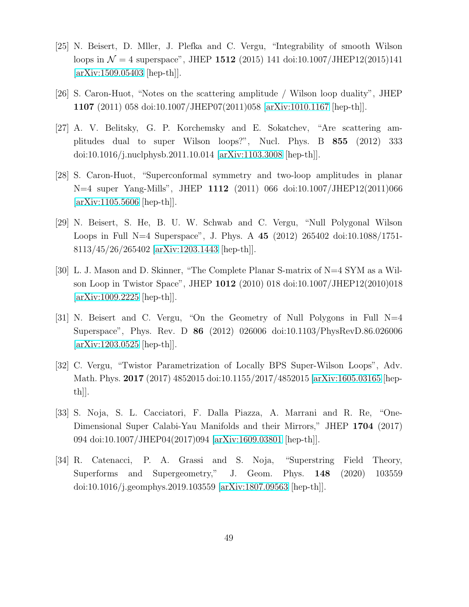- <span id="page-49-0"></span>[25] N. Beisert, D. Mller, J. Plefka and C. Vergu, "Integrability of smooth Wilson loops in  $\mathcal{N} = 4$  superspace", JHEP 1512 (2015) 141 doi:10.1007/JHEP12(2015)141 [\[arXiv:1509.05403](http://arxiv.org/abs/1509.05403) [hep-th]].
- <span id="page-49-2"></span><span id="page-49-1"></span>[26] S. Caron-Huot, "Notes on the scattering amplitude / Wilson loop duality", JHEP 1107 (2011) 058 doi:10.1007/JHEP07(2011)058 [\[arXiv:1010.1167](http://arxiv.org/abs/1010.1167) [hep-th]].
- [27] A. V. Belitsky, G. P. Korchemsky and E. Sokatchev, "Are scattering amplitudes dual to super Wilson loops?", Nucl. Phys. B 855 (2012) 333 doi:10.1016/j.nuclphysb.2011.10.014 [\[arXiv:1103.3008](http://arxiv.org/abs/1103.3008) [hep-th]].
- <span id="page-49-3"></span>[28] S. Caron-Huot, "Superconformal symmetry and two-loop amplitudes in planar N=4 super Yang-Mills", JHEP 1112 (2011) 066 doi:10.1007/JHEP12(2011)066 [\[arXiv:1105.5606](http://arxiv.org/abs/1105.5606) [hep-th]].
- <span id="page-49-4"></span>[29] N. Beisert, S. He, B. U. W. Schwab and C. Vergu, "Null Polygonal Wilson Loops in Full N=4 Superspace", J. Phys. A 45 (2012) 265402 doi:10.1088/1751- 8113/45/26/265402 [\[arXiv:1203.1443](http://arxiv.org/abs/1203.1443) [hep-th]].
- <span id="page-49-5"></span>[30] L. J. Mason and D. Skinner, "The Complete Planar S-matrix of N=4 SYM as a Wilson Loop in Twistor Space", JHEP 1012 (2010) 018 doi:10.1007/JHEP12(2010)018 [\[arXiv:1009.2225](http://arxiv.org/abs/1009.2225) [hep-th]].
- <span id="page-49-6"></span>[31] N. Beisert and C. Vergu, "On the Geometry of Null Polygons in Full N=4 Superspace", Phys. Rev. D 86 (2012) 026006 doi:10.1103/PhysRevD.86.026006 [\[arXiv:1203.0525](http://arxiv.org/abs/1203.0525) [hep-th]].
- <span id="page-49-7"></span>[32] C. Vergu, "Twistor Parametrization of Locally BPS Super-Wilson Loops", Adv. Math. Phys. 2017 (2017) 4852015 doi:10.1155/2017/4852015 [\[arXiv:1605.03165](http://arxiv.org/abs/1605.03165) [hepth]].
- <span id="page-49-8"></span>[33] S. Noja, S. L. Cacciatori, F. Dalla Piazza, A. Marrani and R. Re, "One-Dimensional Super Calabi-Yau Manifolds and their Mirrors," JHEP 1704 (2017) 094 doi:10.1007/JHEP04(2017)094 [\[arXiv:1609.03801](http://arxiv.org/abs/1609.03801) [hep-th]].
- <span id="page-49-9"></span>[34] R. Catenacci, P. A. Grassi and S. Noja, "Superstring Field Theory, Superforms and Supergeometry," J. Geom. Phys. 148 (2020) 103559 doi:10.1016/j.geomphys.2019.103559 [\[arXiv:1807.09563](http://arxiv.org/abs/1807.09563) [hep-th]].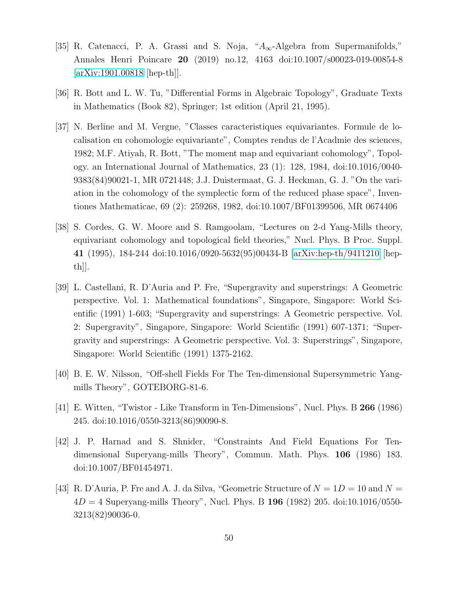- <span id="page-50-0"></span>[35] R. Catenacci, P. A. Grassi and S. Noja, " $A_{\infty}$ -Algebra from Supermanifolds," Annales Henri Poincare 20 (2019) no.12, 4163 doi:10.1007/s00023-019-00854-8 [\[arXiv:1901.00818](http://arxiv.org/abs/1901.00818) [hep-th]].
- <span id="page-50-2"></span><span id="page-50-1"></span>[36] R. Bott and L. W. Tu, "Differential Forms in Algebraic Topology", Graduate Texts in Mathematics (Book 82), Springer; 1st edition (April 21, 1995).
- [37] N. Berline and M. Vergne, "Classes caracteristiques equivariantes. Formule de localisation en cohomologie equivariante", Comptes rendus de l'Acadmie des sciences, 1982; M.F. Atiyah, R. Bott, "The moment map and equivariant cohomology", Topology. an International Journal of Mathematics, 23 (1): 128, 1984, doi:10.1016/0040- 9383(84)90021-1, MR 0721448; J.J. Duistermaat, G. J. Heckman, G. J. "On the variation in the cohomology of the symplectic form of the reduced phase space", Inventiones Mathematicae, 69 (2): 259268, 1982, doi:10.1007/BF01399506, MR 0674406
- <span id="page-50-3"></span>[38] S. Cordes, G. W. Moore and S. Ramgoolam, "Lectures on 2-d Yang-Mills theory, equivariant cohomology and topological field theories," Nucl. Phys. B Proc. Suppl. 41 (1995), 184-244 doi:10.1016/0920-5632(95)00434-B [\[arXiv:hep-th/9411210](http://arxiv.org/abs/hep-th/9411210) [hepth]].
- <span id="page-50-4"></span>[39] L. Castellani, R. D'Auria and P. Fre, "Supergravity and superstrings: A Geometric perspective. Vol. 1: Mathematical foundations", Singapore, Singapore: World Scientific (1991) 1-603; "Supergravity and superstrings: A Geometric perspective. Vol. 2: Supergravity", Singapore, Singapore: World Scientific (1991) 607-1371; "Supergravity and superstrings: A Geometric perspective. Vol. 3: Superstrings", Singapore, Singapore: World Scientific (1991) 1375-2162.
- <span id="page-50-6"></span><span id="page-50-5"></span>[40] B. E. W. Nilsson, "Off-shell Fields For The Ten-dimensional Supersymmetric Yangmills Theory", GOTEBORG-81-6.
- <span id="page-50-7"></span>[41] E. Witten, "Twistor - Like Transform in Ten-Dimensions", Nucl. Phys. B 266 (1986) 245. doi:10.1016/0550-3213(86)90090-8.
- [42] J. P. Harnad and S. Shnider, "Constraints And Field Equations For Tendimensional Superyang-mills Theory", Commun. Math. Phys. 106 (1986) 183. doi:10.1007/BF01454971.
- <span id="page-50-8"></span>[43] R. D'Auria, P. Fre and A. J. da Silva, "Geometric Structure of  $N = 1D = 10$  and  $N =$  $4D = 4$  Superyang-mills Theory", Nucl. Phys. B 196 (1982) 205. doi:10.1016/0550-3213(82)90036-0.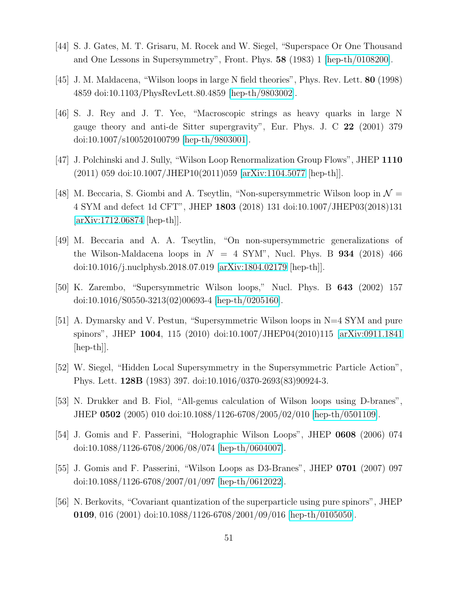- <span id="page-51-1"></span><span id="page-51-0"></span>[44] S. J. Gates, M. T. Grisaru, M. Rocek and W. Siegel, "Superspace Or One Thousand and One Lessons in Supersymmetry", Front. Phys. 58 (1983) 1 [\[hep-th/0108200\]](http://arxiv.org/abs/hep-th/0108200).
- <span id="page-51-2"></span>[45] J. M. Maldacena, "Wilson loops in large N field theories", Phys. Rev. Lett. **80** (1998) 4859 doi:10.1103/PhysRevLett.80.4859 [\[hep-th/9803002\]](http://arxiv.org/abs/hep-th/9803002).
- [46] S. J. Rey and J. T. Yee, "Macroscopic strings as heavy quarks in large N gauge theory and anti-de Sitter supergravity", Eur. Phys. J. C 22 (2001) 379 doi:10.1007/s100520100799 [\[hep-th/9803001\]](http://arxiv.org/abs/hep-th/9803001).
- <span id="page-51-4"></span><span id="page-51-3"></span>[47] J. Polchinski and J. Sully, "Wilson Loop Renormalization Group Flows", JHEP 1110 (2011) 059 doi:10.1007/JHEP10(2011)059 [\[arXiv:1104.5077](http://arxiv.org/abs/1104.5077) [hep-th]].
- [48] M. Beccaria, S. Giombi and A. Tseytlin, "Non-supersymmetric Wilson loop in  $\mathcal{N} =$ 4 SYM and defect 1d CFT", JHEP 1803 (2018) 131 doi:10.1007/JHEP03(2018)131 [\[arXiv:1712.06874](http://arxiv.org/abs/1712.06874) [hep-th]].
- <span id="page-51-5"></span>[49] M. Beccaria and A. A. Tseytlin, "On non-supersymmetric generalizations of the Wilson-Maldacena loops in  $N = 4$  SYM", Nucl. Phys. B 934 (2018) 466 doi:10.1016/j.nuclphysb.2018.07.019 [\[arXiv:1804.02179](http://arxiv.org/abs/1804.02179) [hep-th]].
- <span id="page-51-7"></span><span id="page-51-6"></span>[50] K. Zarembo, "Supersymmetric Wilson loops," Nucl. Phys. B 643 (2002) 157 doi:10.1016/S0550-3213(02)00693-4 [\[hep-th/0205160\]](http://arxiv.org/abs/hep-th/0205160).
- [51] A. Dymarsky and V. Pestun, "Supersymmetric Wilson loops in N=4 SYM and pure spinors", JHEP 1004, 115 (2010) doi:10.1007/JHEP04(2010)115 [\[arXiv:0911.1841](http://arxiv.org/abs/0911.1841) [hep-th]].
- <span id="page-51-10"></span><span id="page-51-8"></span>[52] W. Siegel, "Hidden Local Supersymmetry in the Supersymmetric Particle Action", Phys. Lett. 128B (1983) 397. doi:10.1016/0370-2693(83)90924-3.
- <span id="page-51-11"></span>[53] N. Drukker and B. Fiol, "All-genus calculation of Wilson loops using D-branes", JHEP 0502 (2005) 010 doi:10.1088/1126-6708/2005/02/010 [\[hep-th/0501109\]](http://arxiv.org/abs/hep-th/0501109).
- <span id="page-51-12"></span>[54] J. Gomis and F. Passerini, "Holographic Wilson Loops", JHEP 0608 (2006) 074 doi:10.1088/1126-6708/2006/08/074 [\[hep-th/0604007\]](http://arxiv.org/abs/hep-th/0604007).
- <span id="page-51-9"></span>[55] J. Gomis and F. Passerini, "Wilson Loops as D3-Branes", JHEP 0701 (2007) 097 doi:10.1088/1126-6708/2007/01/097 [\[hep-th/0612022\]](http://arxiv.org/abs/hep-th/0612022).
- [56] N. Berkovits, "Covariant quantization of the superparticle using pure spinors", JHEP 0109, 016 (2001) doi:10.1088/1126-6708/2001/09/016 [\[hep-th/0105050\]](http://arxiv.org/abs/hep-th/0105050).